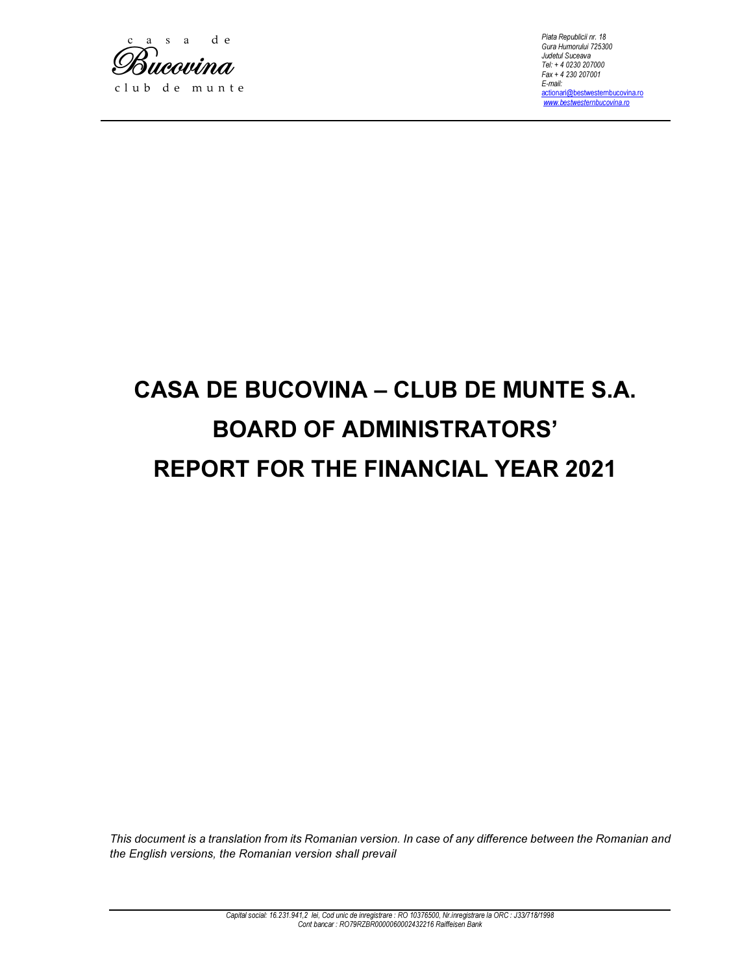

c l u b d e m u n t e

Piata Republicii nr. 18 Gura Humorului 725300 Judetul Suceava Tel: + 4 0230 207000 Fax + 4 230 207001 E-mail: actionari@bestwesternbucovina.ro www.bestwesternbucovina.ro

## CASA DE BUCOVINA – CLUB DE MUNTE S.A. BOARD OF ADMINISTRATORS' REPORT FOR THE FINANCIAL YEAR 2021

This document is a translation from its Romanian version. In case of any difference between the Romanian and the English versions, the Romanian version shall prevail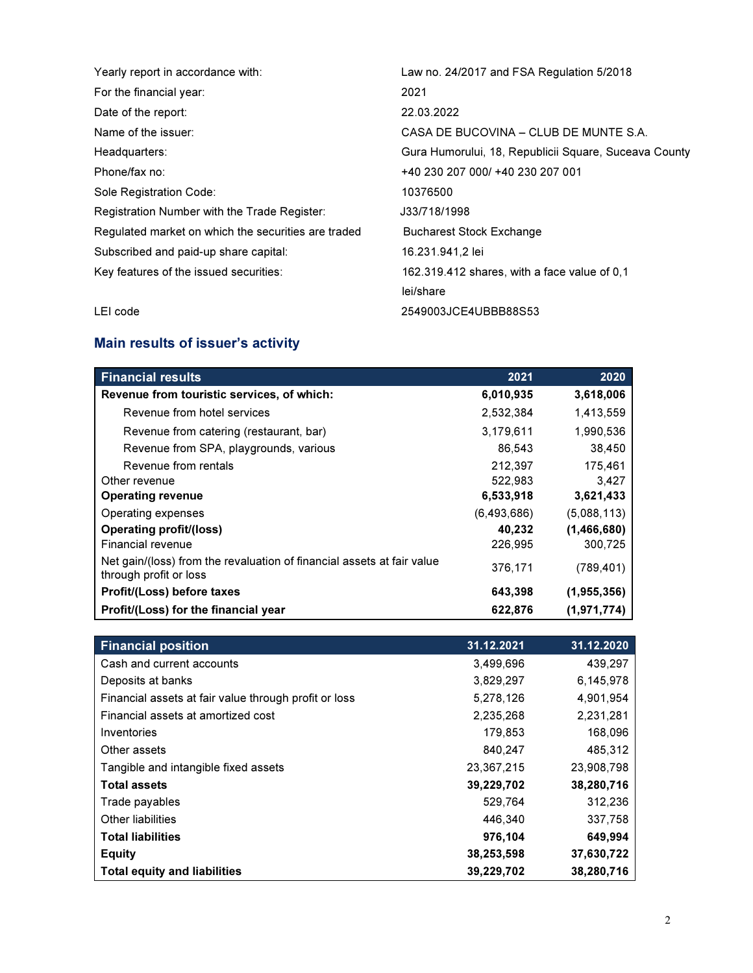| Yearly report in accordance with:                   | Law no. 24/2017 and FSA Regulation 5/2018             |
|-----------------------------------------------------|-------------------------------------------------------|
| For the financial year:                             | 2021                                                  |
| Date of the report:                                 | 22.03.2022                                            |
| Name of the issuer:                                 | CASA DE BUCOVINA – CLUB DE MUNTE S.A.                 |
| Headquarters:                                       | Gura Humorului, 18, Republicii Square, Suceava County |
| Phone/fax no:                                       | +40 230 207 000/ +40 230 207 001                      |
| Sole Registration Code:                             | 10376500                                              |
| Registration Number with the Trade Register:        | J33/718/1998                                          |
| Regulated market on which the securities are traded | <b>Bucharest Stock Exchange</b>                       |
| Subscribed and paid-up share capital:               | 16.231.941,2 lei                                      |
| Key features of the issued securities:              | 162.319.412 shares, with a face value of 0,1          |
|                                                     | lei/share                                             |
| LEI code                                            | 2549003JCE4UBBB88S53                                  |

### Main results of issuer's activity

| <b>Financial results</b>                                                                         | 2021        | 2020          |
|--------------------------------------------------------------------------------------------------|-------------|---------------|
| Revenue from touristic services, of which:                                                       | 6,010,935   | 3,618,006     |
| Revenue from hotel services                                                                      | 2,532,384   | 1,413,559     |
| Revenue from catering (restaurant, bar)                                                          | 3,179,611   | 1,990,536     |
| Revenue from SPA, playgrounds, various                                                           | 86,543      | 38,450        |
| Revenue from rentals                                                                             | 212,397     | 175,461       |
| Other revenue                                                                                    | 522,983     | 3,427         |
| <b>Operating revenue</b>                                                                         | 6,533,918   | 3,621,433     |
| Operating expenses                                                                               | (6,493,686) | (5,088,113)   |
| <b>Operating profit/(loss)</b>                                                                   | 40,232      | (1,466,680)   |
| Financial revenue                                                                                | 226,995     | 300,725       |
| Net gain/(loss) from the revaluation of financial assets at fair value<br>through profit or loss | 376,171     | (789, 401)    |
| Profit/(Loss) before taxes                                                                       | 643,398     | (1,955,356)   |
| Profit/(Loss) for the financial year                                                             | 622,876     | (1, 971, 774) |

| <b>Financial position</b>                             | 31.12.2021 | 31.12.2020 |
|-------------------------------------------------------|------------|------------|
| Cash and current accounts                             | 3,499,696  | 439,297    |
| Deposits at banks                                     | 3,829,297  | 6,145,978  |
| Financial assets at fair value through profit or loss | 5,278,126  | 4,901,954  |
| Financial assets at amortized cost                    | 2,235,268  | 2,231,281  |
| Inventories                                           | 179,853    | 168,096    |
| Other assets                                          | 840,247    | 485,312    |
| Tangible and intangible fixed assets                  | 23,367,215 | 23,908,798 |
| <b>Total assets</b>                                   | 39,229,702 | 38,280,716 |
| Trade payables                                        | 529,764    | 312,236    |
| Other liabilities                                     | 446.340    | 337,758    |
| <b>Total liabilities</b>                              | 976,104    | 649,994    |
| <b>Equity</b>                                         | 38,253,598 | 37,630,722 |
| <b>Total equity and liabilities</b>                   | 39,229,702 | 38,280,716 |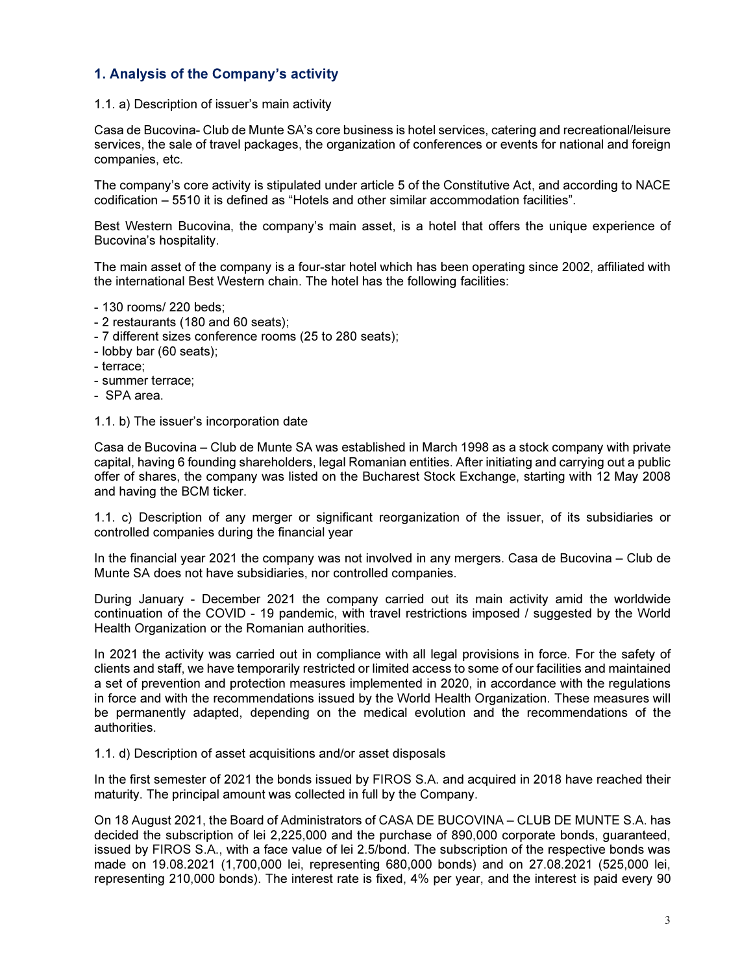#### 1. Analysis of the Company's activity

#### 1.1. a) Description of issuer's main activity

Casa de Bucovina- Club de Munte SA's core business is hotel services, catering and recreational/leisure services, the sale of travel packages, the organization of conferences or events for national and foreign companies, etc.

The company's core activity is stipulated under article 5 of the Constitutive Act, and according to NACE codification – 5510 it is defined as "Hotels and other similar accommodation facilities".

Best Western Bucovina, the company's main asset, is a hotel that offers the unique experience of Bucovina's hospitality.

The main asset of the company is a four-star hotel which has been operating since 2002, affiliated with the international Best Western chain. The hotel has the following facilities:

- 130 rooms/ 220 beds;
- 2 restaurants (180 and 60 seats);
- 7 different sizes conference rooms (25 to 280 seats);
- lobby bar (60 seats);
- terrace;
- summer terrace;
- SPA area.
- 1.1. b) The issuer's incorporation date

Casa de Bucovina – Club de Munte SA was established in March 1998 as a stock company with private capital, having 6 founding shareholders, legal Romanian entities. After initiating and carrying out a public offer of shares, the company was listed on the Bucharest Stock Exchange, starting with 12 May 2008 and having the BCM ticker.

1.1. c) Description of any merger or significant reorganization of the issuer, of its subsidiaries or controlled companies during the financial year

In the financial year 2021 the company was not involved in any mergers. Casa de Bucovina – Club de Munte SA does not have subsidiaries, nor controlled companies.

During January - December 2021 the company carried out its main activity amid the worldwide continuation of the COVID - 19 pandemic, with travel restrictions imposed / suggested by the World Health Organization or the Romanian authorities.

In 2021 the activity was carried out in compliance with all legal provisions in force. For the safety of clients and staff, we have temporarily restricted or limited access to some of our facilities and maintained a set of prevention and protection measures implemented in 2020, in accordance with the regulations in force and with the recommendations issued by the World Health Organization. These measures will be permanently adapted, depending on the medical evolution and the recommendations of the authorities.

1.1. d) Description of asset acquisitions and/or asset disposals

In the first semester of 2021 the bonds issued by FIROS S.A. and acquired in 2018 have reached their maturity. The principal amount was collected in full by the Company.

On 18 August 2021, the Board of Administrators of CASA DE BUCOVINA – CLUB DE MUNTE S.A. has decided the subscription of lei 2,225,000 and the purchase of 890,000 corporate bonds, guaranteed, issued by FIROS S.A., with a face value of lei 2.5/bond. The subscription of the respective bonds was made on 19.08.2021 (1,700,000 lei, representing 680,000 bonds) and on 27.08.2021 (525,000 lei, representing 210,000 bonds). The interest rate is fixed, 4% per year, and the interest is paid every 90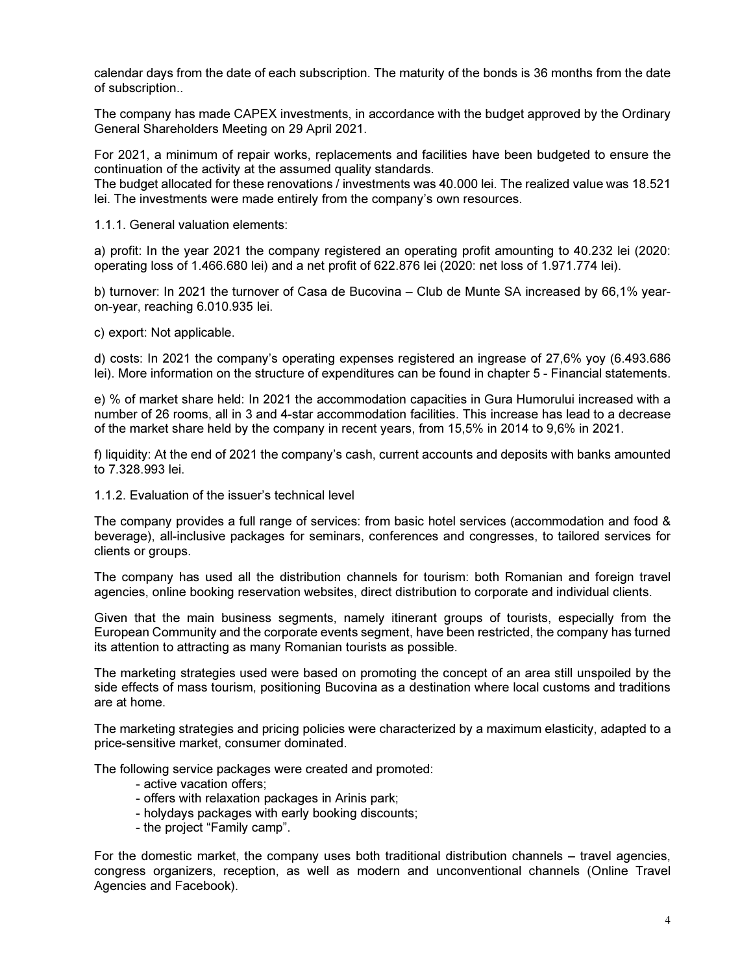calendar days from the date of each subscription. The maturity of the bonds is 36 months from the date of subscription..

The company has made CAPEX investments, in accordance with the budget approved by the Ordinary General Shareholders Meeting on 29 April 2021.

For 2021, a minimum of repair works, replacements and facilities have been budgeted to ensure the continuation of the activity at the assumed quality standards.

The budget allocated for these renovations / investments was 40.000 lei. The realized value was 18.521 lei. The investments were made entirely from the company's own resources.

1.1.1. General valuation elements:

a) profit: In the year 2021 the company registered an operating profit amounting to 40.232 lei (2020: operating loss of 1.466.680 lei) and a net profit of 622.876 lei (2020: net loss of 1.971.774 lei).

b) turnover: In 2021 the turnover of Casa de Bucovina – Club de Munte SA increased by 66,1% yearon-year, reaching 6.010.935 lei.

c) export: Not applicable.

d) costs: In 2021 the company's operating expenses registered an ingrease of 27,6% yoy (6.493.686 lei). More information on the structure of expenditures can be found in chapter 5 - Financial statements.

e) % of market share held: In 2021 the accommodation capacities in Gura Humorului increased with a number of 26 rooms, all in 3 and 4-star accommodation facilities. This increase has lead to a decrease of the market share held by the company in recent years, from 15,5% in 2014 to 9,6% in 2021.

f) liquidity: At the end of 2021 the company's cash, current accounts and deposits with banks amounted to 7.328.993 lei.

1.1.2. Evaluation of the issuer's technical level

The company provides a full range of services: from basic hotel services (accommodation and food & beverage), all-inclusive packages for seminars, conferences and congresses, to tailored services for clients or groups.

The company has used all the distribution channels for tourism: both Romanian and foreign travel agencies, online booking reservation websites, direct distribution to corporate and individual clients.

Given that the main business segments, namely itinerant groups of tourists, especially from the European Community and the corporate events segment, have been restricted, the company has turned its attention to attracting as many Romanian tourists as possible.

The marketing strategies used were based on promoting the concept of an area still unspoiled by the side effects of mass tourism, positioning Bucovina as a destination where local customs and traditions are at home.

The marketing strategies and pricing policies were characterized by a maximum elasticity, adapted to a price-sensitive market, consumer dominated.

The following service packages were created and promoted:

- active vacation offers;
- offers with relaxation packages in Arinis park;
- holydays packages with early booking discounts;
- the project "Family camp".

For the domestic market, the company uses both traditional distribution channels – travel agencies, congress organizers, reception, as well as modern and unconventional channels (Online Travel Agencies and Facebook).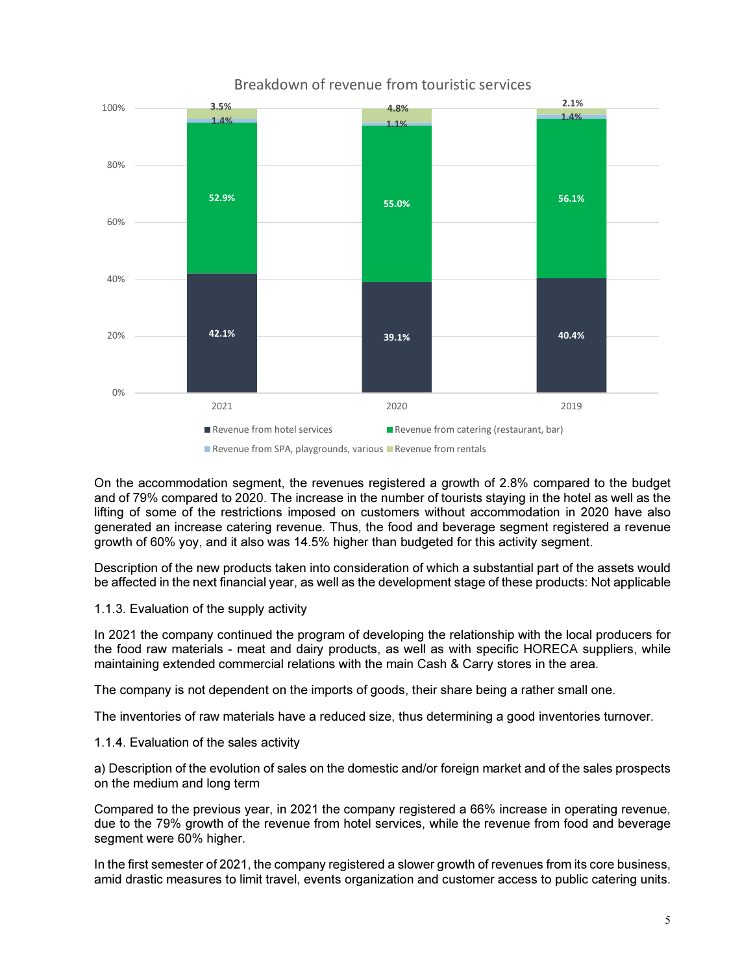

Breakdown of revenue from touristic services

Revenue from SPA, playgrounds, various Revenue from rentals

On the accommodation segment, the revenues registered a growth of 2.8% compared to the budget and of 79% compared to 2020. The increase in the number of tourists staying in the hotel as well as the lifting of some of the restrictions imposed on customers without accommodation in 2020 have also generated an increase catering revenue. Thus, the food and beverage segment registered a revenue growth of 60% yoy, and it also was 14.5% higher than budgeted for this activity segment.

Description of the new products taken into consideration of which a substantial part of the assets would be affected in the next financial year, as well as the development stage of these products: Not applicable

1.1.3. Evaluation of the supply activity

In 2021 the company continued the program of developing the relationship with the local producers for the food raw materials - meat and dairy products, as well as with specific HORECA suppliers, while maintaining extended commercial relations with the main Cash & Carry stores in the area.

The company is not dependent on the imports of goods, their share being a rather small one.

The inventories of raw materials have a reduced size, thus determining a good inventories turnover.

1.1.4. Evaluation of the sales activity

a) Description of the evolution of sales on the domestic and/or foreign market and of the sales prospects on the medium and long term

Compared to the previous year, in 2021 the company registered a 66% increase in operating revenue, due to the 79% growth of the revenue from hotel services, while the revenue from food and beverage segment were 60% higher.

In the first semester of 2021, the company registered a slower growth of revenues from its core business, amid drastic measures to limit travel, events organization and customer access to public catering units.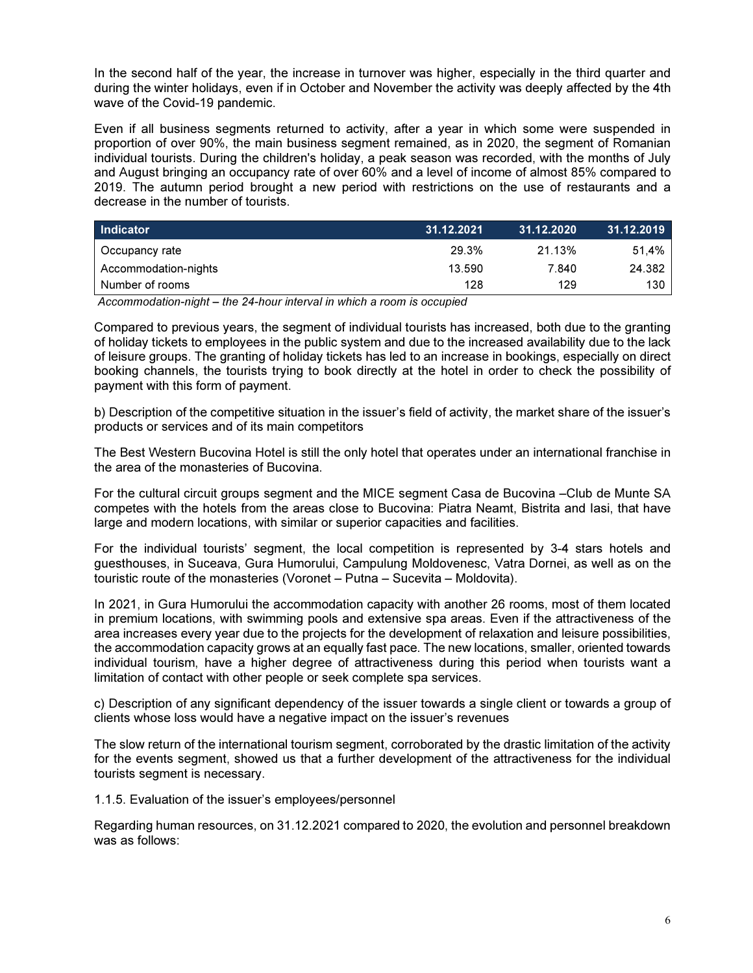In the second half of the year, the increase in turnover was higher, especially in the third quarter and during the winter holidays, even if in October and November the activity was deeply affected by the 4th wave of the Covid-19 pandemic.

Even if all business segments returned to activity, after a year in which some were suspended in proportion of over 90%, the main business segment remained, as in 2020, the segment of Romanian individual tourists. During the children's holiday, a peak season was recorded, with the months of July and August bringing an occupancy rate of over 60% and a level of income of almost 85% compared to 2019. The autumn period brought a new period with restrictions on the use of restaurants and a decrease in the number of tourists.

| Indicator            | 31.12.2021 | 31.12.2020 | 31.12.2019 |
|----------------------|------------|------------|------------|
| Occupancy rate       | 29.3%      | 21.13%     | 51.4%      |
| Accommodation-nights | 13.590     | 7.840      | 24.382     |
| Number of rooms      | 128        | 129        | 130        |

Accommodation-night – the 24-hour interval in which a room is occupied

Compared to previous years, the segment of individual tourists has increased, both due to the granting of holiday tickets to employees in the public system and due to the increased availability due to the lack of leisure groups. The granting of holiday tickets has led to an increase in bookings, especially on direct booking channels, the tourists trying to book directly at the hotel in order to check the possibility of payment with this form of payment.

b) Description of the competitive situation in the issuer's field of activity, the market share of the issuer's products or services and of its main competitors

The Best Western Bucovina Hotel is still the only hotel that operates under an international franchise in the area of the monasteries of Bucovina.

For the cultural circuit groups segment and the MICE segment Casa de Bucovina –Club de Munte SA competes with the hotels from the areas close to Bucovina: Piatra Neamt, Bistrita and Iasi, that have large and modern locations, with similar or superior capacities and facilities.

For the individual tourists' segment, the local competition is represented by 3-4 stars hotels and guesthouses, in Suceava, Gura Humorului, Campulung Moldovenesc, Vatra Dornei, as well as on the touristic route of the monasteries (Voronet – Putna – Sucevita – Moldovita).

In 2021, in Gura Humorului the accommodation capacity with another 26 rooms, most of them located in premium locations, with swimming pools and extensive spa areas. Even if the attractiveness of the area increases every year due to the projects for the development of relaxation and leisure possibilities, the accommodation capacity grows at an equally fast pace. The new locations, smaller, oriented towards individual tourism, have a higher degree of attractiveness during this period when tourists want a limitation of contact with other people or seek complete spa services.

c) Description of any significant dependency of the issuer towards a single client or towards a group of clients whose loss would have a negative impact on the issuer's revenues

The slow return of the international tourism segment, corroborated by the drastic limitation of the activity for the events segment, showed us that a further development of the attractiveness for the individual tourists segment is necessary.

1.1.5. Evaluation of the issuer's employees/personnel

Regarding human resources, on 31.12.2021 compared to 2020, the evolution and personnel breakdown was as follows: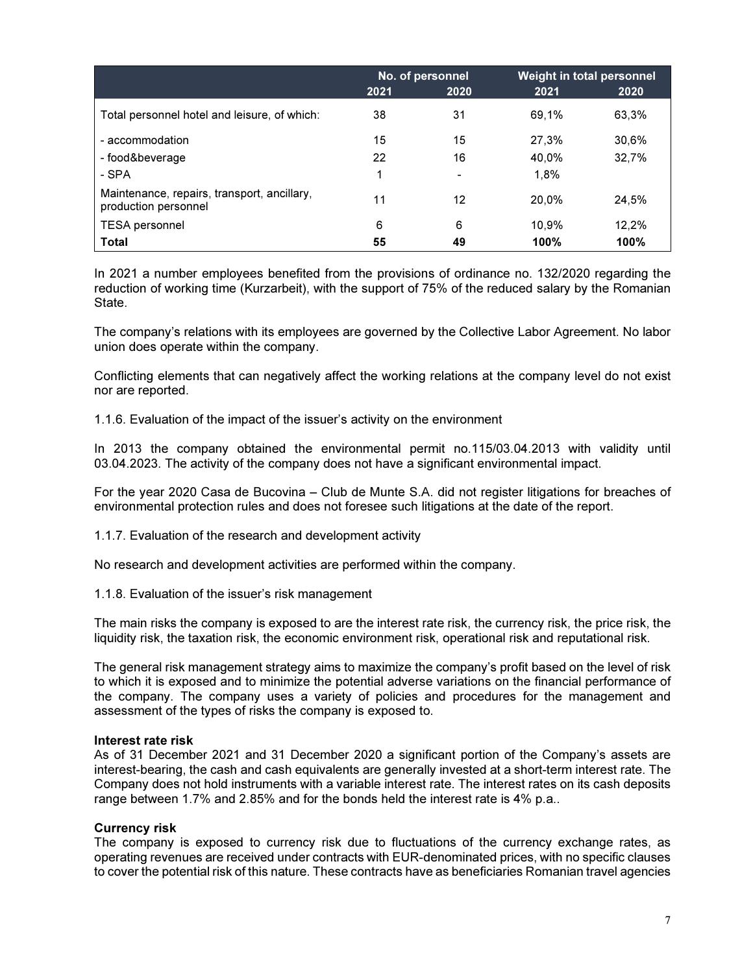|                                                                     | No. of personnel |      | <b>Weight in total personnel</b> |       |
|---------------------------------------------------------------------|------------------|------|----------------------------------|-------|
|                                                                     | 2021             | 2020 | 2021                             | 2020  |
| Total personnel hotel and leisure, of which:                        | 38               | 31   | 69,1%                            | 63,3% |
| - accommodation                                                     | 15               | 15   | 27,3%                            | 30,6% |
| - food&beverage                                                     | 22               | 16   | 40,0%                            | 32,7% |
| - SPA                                                               | 1                |      | 1,8%                             |       |
| Maintenance, repairs, transport, ancillary,<br>production personnel | 11               | 12   | 20,0%                            | 24,5% |
| <b>TESA</b> personnel                                               | 6                | 6    | 10.9%                            | 12,2% |
| Total                                                               | 55               | 49   | 100%                             | 100%  |

In 2021 a number employees benefited from the provisions of ordinance no. 132/2020 regarding the reduction of working time (Kurzarbeit), with the support of 75% of the reduced salary by the Romanian State.

The company's relations with its employees are governed by the Collective Labor Agreement. No labor union does operate within the company.

Conflicting elements that can negatively affect the working relations at the company level do not exist nor are reported.

1.1.6. Evaluation of the impact of the issuer's activity on the environment

In 2013 the company obtained the environmental permit no.115/03.04.2013 with validity until 03.04.2023. The activity of the company does not have a significant environmental impact.

For the year 2020 Casa de Bucovina – Club de Munte S.A. did not register litigations for breaches of environmental protection rules and does not foresee such litigations at the date of the report.

1.1.7. Evaluation of the research and development activity

No research and development activities are performed within the company.

1.1.8. Evaluation of the issuer's risk management

The main risks the company is exposed to are the interest rate risk, the currency risk, the price risk, the liquidity risk, the taxation risk, the economic environment risk, operational risk and reputational risk.

The general risk management strategy aims to maximize the company's profit based on the level of risk to which it is exposed and to minimize the potential adverse variations on the financial performance of the company. The company uses a variety of policies and procedures for the management and assessment of the types of risks the company is exposed to.

#### Interest rate risk

As of 31 December 2021 and 31 December 2020 a significant portion of the Company's assets are interest-bearing, the cash and cash equivalents are generally invested at a short-term interest rate. The Company does not hold instruments with a variable interest rate. The interest rates on its cash deposits range between 1.7% and 2.85% and for the bonds held the interest rate is 4% p.a..

#### Currency risk

The company is exposed to currency risk due to fluctuations of the currency exchange rates, as operating revenues are received under contracts with EUR-denominated prices, with no specific clauses to cover the potential risk of this nature. These contracts have as beneficiaries Romanian travel agencies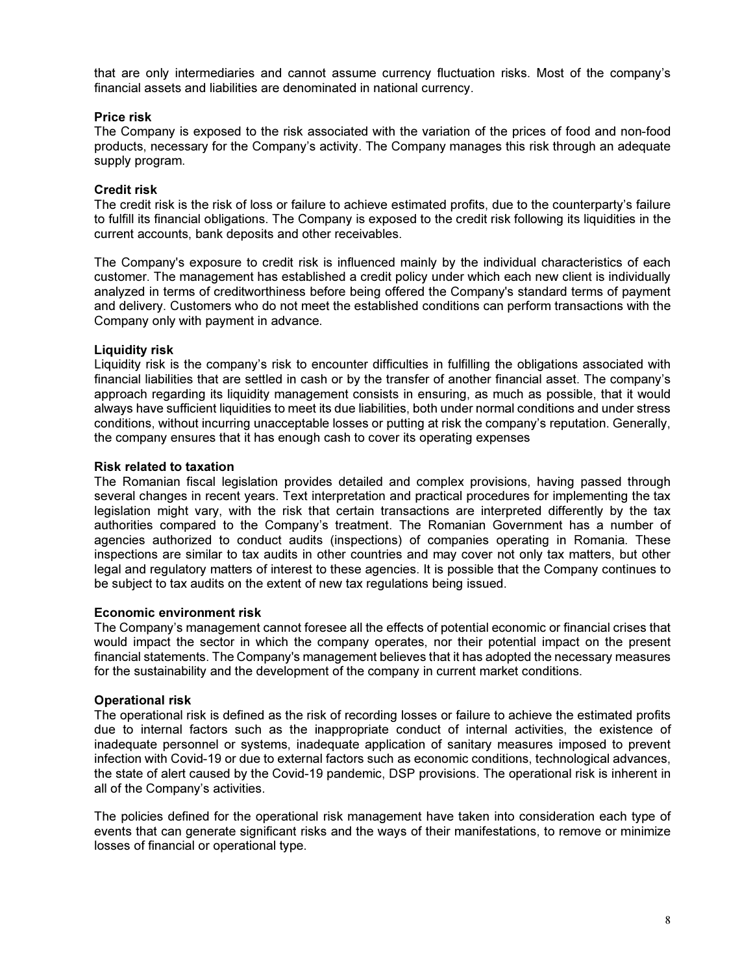that are only intermediaries and cannot assume currency fluctuation risks. Most of the company's financial assets and liabilities are denominated in national currency.

#### Price risk

The Company is exposed to the risk associated with the variation of the prices of food and non-food products, necessary for the Company's activity. The Company manages this risk through an adequate supply program.

#### Credit risk

The credit risk is the risk of loss or failure to achieve estimated profits, due to the counterparty's failure to fulfill its financial obligations. The Company is exposed to the credit risk following its liquidities in the current accounts, bank deposits and other receivables.

The Company's exposure to credit risk is influenced mainly by the individual characteristics of each customer. The management has established a credit policy under which each new client is individually analyzed in terms of creditworthiness before being offered the Company's standard terms of payment and delivery. Customers who do not meet the established conditions can perform transactions with the Company only with payment in advance.

#### Liquidity risk

Liquidity risk is the company's risk to encounter difficulties in fulfilling the obligations associated with financial liabilities that are settled in cash or by the transfer of another financial asset. The company's approach regarding its liquidity management consists in ensuring, as much as possible, that it would always have sufficient liquidities to meet its due liabilities, both under normal conditions and under stress conditions, without incurring unacceptable losses or putting at risk the company's reputation. Generally, the company ensures that it has enough cash to cover its operating expenses

#### Risk related to taxation

The Romanian fiscal legislation provides detailed and complex provisions, having passed through several changes in recent years. Text interpretation and practical procedures for implementing the tax legislation might vary, with the risk that certain transactions are interpreted differently by the tax authorities compared to the Company's treatment. The Romanian Government has a number of agencies authorized to conduct audits (inspections) of companies operating in Romania. These inspections are similar to tax audits in other countries and may cover not only tax matters, but other legal and regulatory matters of interest to these agencies. It is possible that the Company continues to be subject to tax audits on the extent of new tax regulations being issued.

#### Economic environment risk

The Company's management cannot foresee all the effects of potential economic or financial crises that would impact the sector in which the company operates, nor their potential impact on the present financial statements. The Company's management believes that it has adopted the necessary measures for the sustainability and the development of the company in current market conditions.

#### Operational risk

The operational risk is defined as the risk of recording losses or failure to achieve the estimated profits due to internal factors such as the inappropriate conduct of internal activities, the existence of inadequate personnel or systems, inadequate application of sanitary measures imposed to prevent infection with Covid-19 or due to external factors such as economic conditions, technological advances, the state of alert caused by the Covid-19 pandemic, DSP provisions. The operational risk is inherent in all of the Company's activities.

The policies defined for the operational risk management have taken into consideration each type of events that can generate significant risks and the ways of their manifestations, to remove or minimize losses of financial or operational type.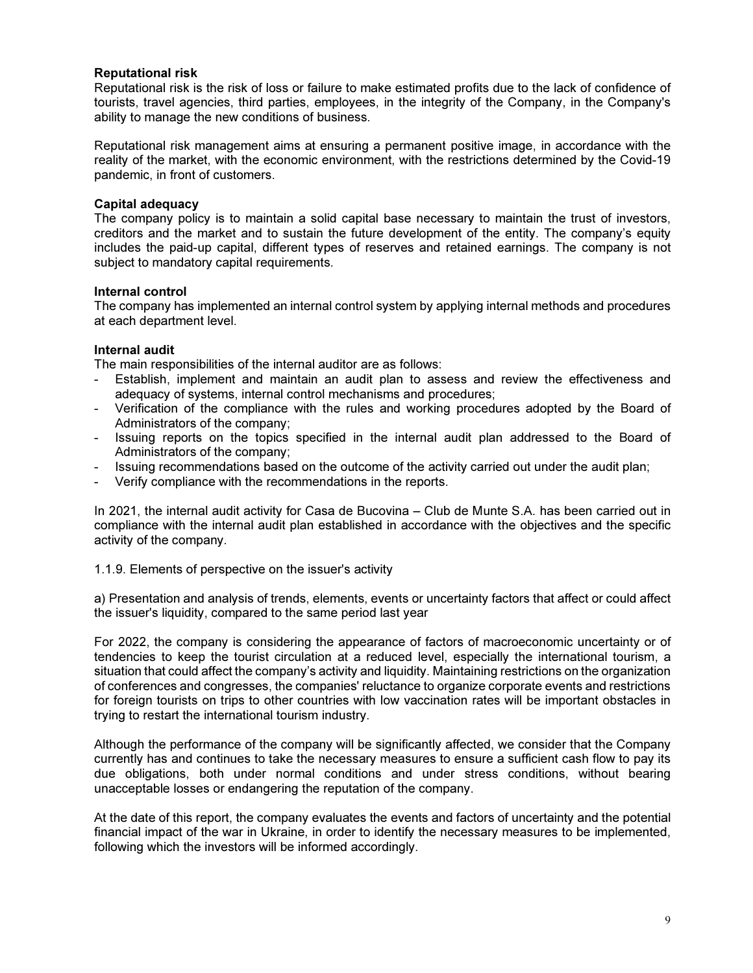#### Reputational risk

Reputational risk is the risk of loss or failure to make estimated profits due to the lack of confidence of tourists, travel agencies, third parties, employees, in the integrity of the Company, in the Company's ability to manage the new conditions of business.

Reputational risk management aims at ensuring a permanent positive image, in accordance with the reality of the market, with the economic environment, with the restrictions determined by the Covid-19 pandemic, in front of customers.

#### Capital adequacy

The company policy is to maintain a solid capital base necessary to maintain the trust of investors, creditors and the market and to sustain the future development of the entity. The company's equity includes the paid-up capital, different types of reserves and retained earnings. The company is not subject to mandatory capital requirements.

#### Internal control

The company has implemented an internal control system by applying internal methods and procedures at each department level.

#### Internal audit

The main responsibilities of the internal auditor are as follows:

- Establish, implement and maintain an audit plan to assess and review the effectiveness and adequacy of systems, internal control mechanisms and procedures;
- Verification of the compliance with the rules and working procedures adopted by the Board of Administrators of the company;
- Issuing reports on the topics specified in the internal audit plan addressed to the Board of Administrators of the company;
- Issuing recommendations based on the outcome of the activity carried out under the audit plan;
- Verify compliance with the recommendations in the reports.

In 2021, the internal audit activity for Casa de Bucovina – Club de Munte S.A. has been carried out in compliance with the internal audit plan established in accordance with the objectives and the specific activity of the company.

1.1.9. Elements of perspective on the issuer's activity

a) Presentation and analysis of trends, elements, events or uncertainty factors that affect or could affect the issuer's liquidity, compared to the same period last year

For 2022, the company is considering the appearance of factors of macroeconomic uncertainty or of tendencies to keep the tourist circulation at a reduced level, especially the international tourism, a situation that could affect the company's activity and liquidity. Maintaining restrictions on the organization of conferences and congresses, the companies' reluctance to organize corporate events and restrictions for foreign tourists on trips to other countries with low vaccination rates will be important obstacles in trying to restart the international tourism industry.

Although the performance of the company will be significantly affected, we consider that the Company currently has and continues to take the necessary measures to ensure a sufficient cash flow to pay its due obligations, both under normal conditions and under stress conditions, without bearing unacceptable losses or endangering the reputation of the company.

At the date of this report, the company evaluates the events and factors of uncertainty and the potential financial impact of the war in Ukraine, in order to identify the necessary measures to be implemented, following which the investors will be informed accordingly.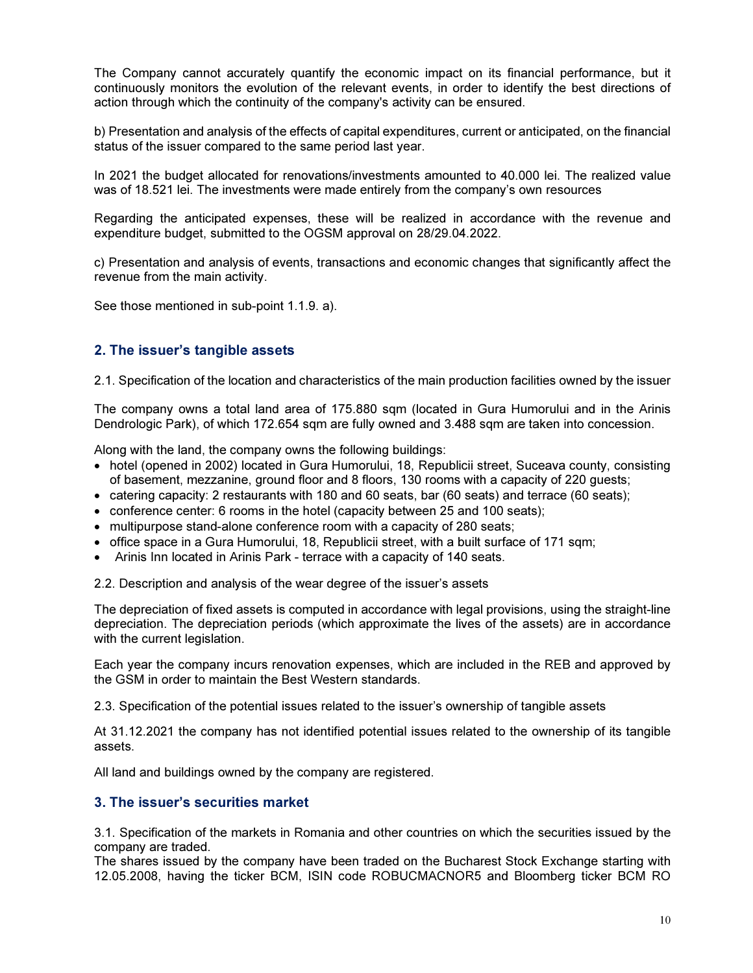The Company cannot accurately quantify the economic impact on its financial performance, but it continuously monitors the evolution of the relevant events, in order to identify the best directions of action through which the continuity of the company's activity can be ensured.

b) Presentation and analysis of the effects of capital expenditures, current or anticipated, on the financial status of the issuer compared to the same period last year.

In 2021 the budget allocated for renovations/investments amounted to 40.000 lei. The realized value was of 18.521 lei. The investments were made entirely from the company's own resources

Regarding the anticipated expenses, these will be realized in accordance with the revenue and expenditure budget, submitted to the OGSM approval on 28/29.04.2022.

c) Presentation and analysis of events, transactions and economic changes that significantly affect the revenue from the main activity.

See those mentioned in sub-point 1.1.9. a).

#### 2. The issuer's tangible assets

2.1. Specification of the location and characteristics of the main production facilities owned by the issuer

The company owns a total land area of 175.880 sqm (located in Gura Humorului and in the Arinis Dendrologic Park), of which 172.654 sqm are fully owned and 3.488 sqm are taken into concession.

Along with the land, the company owns the following buildings:

- hotel (opened in 2002) located in Gura Humorului, 18, Republicii street, Suceava county, consisting of basement, mezzanine, ground floor and 8 floors, 130 rooms with a capacity of 220 guests;
- catering capacity: 2 restaurants with 180 and 60 seats, bar (60 seats) and terrace (60 seats);
- conference center: 6 rooms in the hotel (capacity between 25 and 100 seats);
- multipurpose stand-alone conference room with a capacity of 280 seats;
- office space in a Gura Humorului, 18, Republicii street, with a built surface of 171 sqm;
- Arinis Inn located in Arinis Park terrace with a capacity of 140 seats.

2.2. Description and analysis of the wear degree of the issuer's assets

The depreciation of fixed assets is computed in accordance with legal provisions, using the straight-line depreciation. The depreciation periods (which approximate the lives of the assets) are in accordance with the current legislation.

Each year the company incurs renovation expenses, which are included in the REB and approved by the GSM in order to maintain the Best Western standards.

2.3. Specification of the potential issues related to the issuer's ownership of tangible assets

At 31.12.2021 the company has not identified potential issues related to the ownership of its tangible assets.

All land and buildings owned by the company are registered.

#### 3. The issuer's securities market

3.1. Specification of the markets in Romania and other countries on which the securities issued by the company are traded.

The shares issued by the company have been traded on the Bucharest Stock Exchange starting with 12.05.2008, having the ticker BCM, ISIN code ROBUCMACNOR5 and Bloomberg ticker BCM RO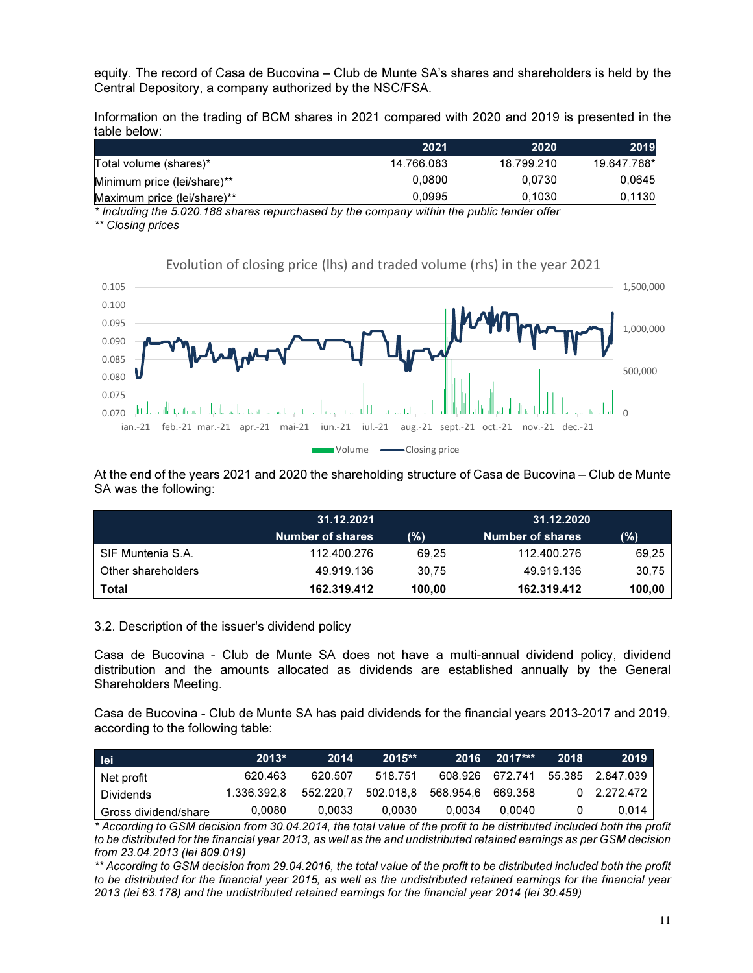equity. The record of Casa de Bucovina – Club de Munte SA's shares and shareholders is held by the Central Depository, a company authorized by the NSC/FSA.

Information on the trading of BCM shares in 2021 compared with 2020 and 2019 is presented in the table below:

|                             | 2021       | 2020       | 2019        |
|-----------------------------|------------|------------|-------------|
| Total volume (shares)*      | 14.766.083 | 18.799.210 | 19.647.788* |
| Minimum price (lei/share)** | 0.0800     | 0.0730     | 0.0645      |
| Maximum price (lei/share)** | 0.0995     | 0.1030     | 0.1130      |
|                             |            |            |             |

\* Including the 5.020.188 shares repurchased by the company within the public tender offer

\*\* Closing prices



At the end of the years 2021 and 2020 the shareholding structure of Casa de Bucovina – Club de Munte SA was the following:

|                    | 31.12.2021       |        | 31.12.2020              |        |  |
|--------------------|------------------|--------|-------------------------|--------|--|
|                    | Number of shares | (%)    | <b>Number of shares</b> | (%)    |  |
| SIF Muntenia S.A.  | 112.400.276      | 69.25  | 112.400.276             | 69,25  |  |
| Other shareholders | 49.919.136       | 30.75  | 49.919.136              | 30,75  |  |
| Total              | 162.319.412      | 100.00 | 162.319.412             | 100,00 |  |

#### 3.2. Description of the issuer's dividend policy

Casa de Bucovina - Club de Munte SA does not have a multi-annual dividend policy, dividend distribution and the amounts allocated as dividends are established annually by the General Shareholders Meeting.

Casa de Bucovina - Club de Munte SA has paid dividends for the financial years 2013-2017 and 2019, according to the following table:

| llei.                | $2013*$     | 2014    | $2015**$ |                                       | $2016$ $2017***$ | 2018 | 2019             |
|----------------------|-------------|---------|----------|---------------------------------------|------------------|------|------------------|
| Net profit           | 620.463     | 620.507 | 518.751  |                                       | 608.926 672.741  |      | 55.385 2.847.039 |
| Dividends            | 1.336.392.8 |         |          | 552.220.7 502.018.8 568.954.6 669.358 |                  |      | 0 2.272.472      |
| Gross dividend/share | 0.0080      | 0.0033  | 0.0030   | 0.0034                                | 0.0040           |      | 0.014            |

\* According to GSM decision from 30.04.2014, the total value of the profit to be distributed included both the profit to be distributed for the financial year 2013, as well as the and undistributed retained earnings as per GSM decision from 23.04.2013 (lei 809.019)

\*\* According to GSM decision from 29.04.2016, the total value of the profit to be distributed included both the profit to be distributed for the financial year 2015, as well as the undistributed retained earnings for the financial year 2013 (lei 63.178) and the undistributed retained earnings for the financial year 2014 (lei 30.459)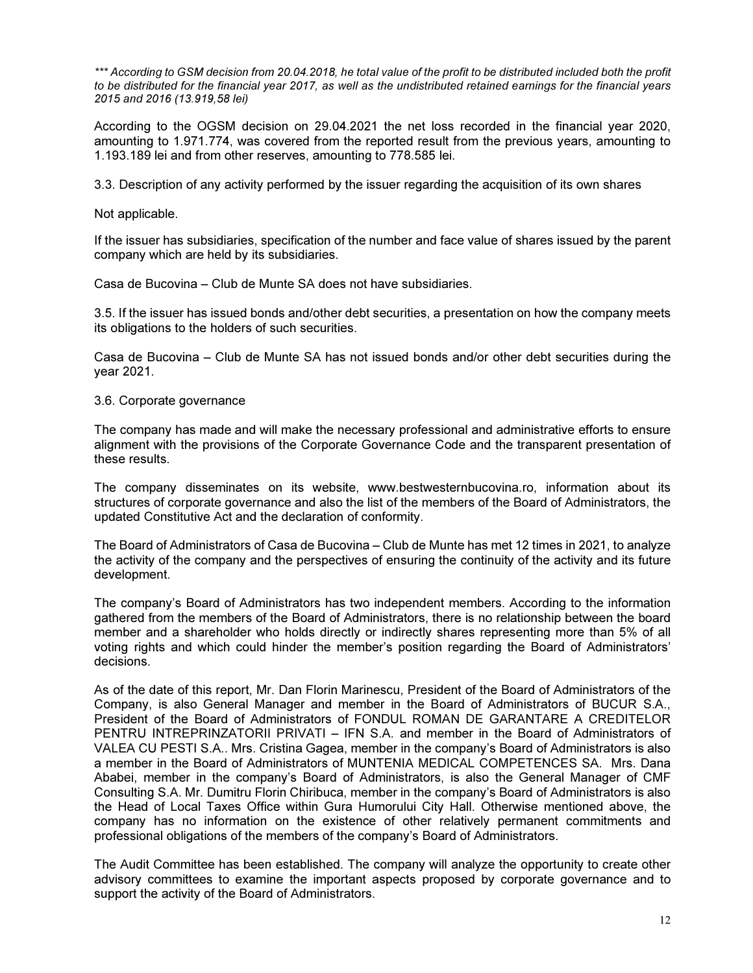\*\*\* According to GSM decision from 20.04.2018, he total value of the profit to be distributed included both the profit to be distributed for the financial year 2017, as well as the undistributed retained earnings for the financial years 2015 and 2016 (13.919,58 lei)

According to the OGSM decision on 29.04.2021 the net loss recorded in the financial year 2020, amounting to 1.971.774, was covered from the reported result from the previous years, amounting to 1.193.189 lei and from other reserves, amounting to 778.585 lei.

3.3. Description of any activity performed by the issuer regarding the acquisition of its own shares

Not applicable.

If the issuer has subsidiaries, specification of the number and face value of shares issued by the parent company which are held by its subsidiaries.

Casa de Bucovina – Club de Munte SA does not have subsidiaries.

3.5. If the issuer has issued bonds and/other debt securities, a presentation on how the company meets its obligations to the holders of such securities.

Casa de Bucovina – Club de Munte SA has not issued bonds and/or other debt securities during the year 2021.

3.6. Corporate governance

The company has made and will make the necessary professional and administrative efforts to ensure alignment with the provisions of the Corporate Governance Code and the transparent presentation of these results.

The company disseminates on its website, www.bestwesternbucovina.ro, information about its structures of corporate governance and also the list of the members of the Board of Administrators, the updated Constitutive Act and the declaration of conformity.

The Board of Administrators of Casa de Bucovina – Club de Munte has met 12 times in 2021, to analyze the activity of the company and the perspectives of ensuring the continuity of the activity and its future development.

The company's Board of Administrators has two independent members. According to the information gathered from the members of the Board of Administrators, there is no relationship between the board member and a shareholder who holds directly or indirectly shares representing more than 5% of all voting rights and which could hinder the member's position regarding the Board of Administrators' decisions.

As of the date of this report, Mr. Dan Florin Marinescu, President of the Board of Administrators of the Company, is also General Manager and member in the Board of Administrators of BUCUR S.A., President of the Board of Administrators of FONDUL ROMAN DE GARANTARE A CREDITELOR PENTRU INTREPRINZATORII PRIVATI – IFN S.A. and member in the Board of Administrators of VALEA CU PESTI S.A.. Mrs. Cristina Gagea, member in the company's Board of Administrators is also a member in the Board of Administrators of MUNTENIA MEDICAL COMPETENCES SA. Mrs. Dana Ababei, member in the company's Board of Administrators, is also the General Manager of CMF Consulting S.A. Mr. Dumitru Florin Chiribuca, member in the company's Board of Administrators is also the Head of Local Taxes Office within Gura Humorului City Hall. Otherwise mentioned above, the company has no information on the existence of other relatively permanent commitments and professional obligations of the members of the company's Board of Administrators.

The Audit Committee has been established. The company will analyze the opportunity to create other advisory committees to examine the important aspects proposed by corporate governance and to support the activity of the Board of Administrators.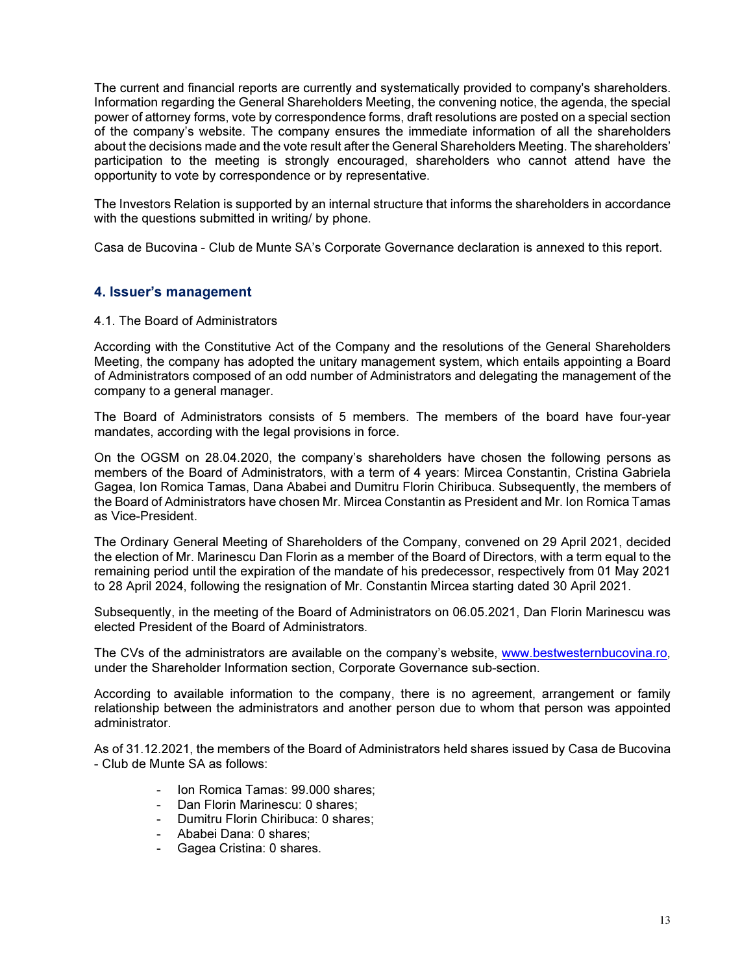The current and financial reports are currently and systematically provided to company's shareholders. Information regarding the General Shareholders Meeting, the convening notice, the agenda, the special power of attorney forms, vote by correspondence forms, draft resolutions are posted on a special section of the company's website. The company ensures the immediate information of all the shareholders about the decisions made and the vote result after the General Shareholders Meeting. The shareholders' participation to the meeting is strongly encouraged, shareholders who cannot attend have the opportunity to vote by correspondence or by representative.

The Investors Relation is supported by an internal structure that informs the shareholders in accordance with the questions submitted in writing by phone.

Casa de Bucovina - Club de Munte SA's Corporate Governance declaration is annexed to this report.

#### 4. Issuer's management

#### 4.1. The Board of Administrators

According with the Constitutive Act of the Company and the resolutions of the General Shareholders Meeting, the company has adopted the unitary management system, which entails appointing a Board of Administrators composed of an odd number of Administrators and delegating the management of the company to a general manager.

The Board of Administrators consists of 5 members. The members of the board have four-year mandates, according with the legal provisions in force.

On the OGSM on 28.04.2020, the company's shareholders have chosen the following persons as members of the Board of Administrators, with a term of 4 years: Mircea Constantin, Cristina Gabriela Gagea, Ion Romica Tamas, Dana Ababei and Dumitru Florin Chiribuca. Subsequently, the members of the Board of Administrators have chosen Mr. Mircea Constantin as President and Mr. Ion Romica Tamas as Vice-President.

The Ordinary General Meeting of Shareholders of the Company, convened on 29 April 2021, decided the election of Mr. Marinescu Dan Florin as a member of the Board of Directors, with a term equal to the remaining period until the expiration of the mandate of his predecessor, respectively from 01 May 2021 to 28 April 2024, following the resignation of Mr. Constantin Mircea starting dated 30 April 2021.

Subsequently, in the meeting of the Board of Administrators on 06.05.2021, Dan Florin Marinescu was elected President of the Board of Administrators.

The CVs of the administrators are available on the company's website, www.bestwesternbucovina.ro, under the Shareholder Information section, Corporate Governance sub-section.

According to available information to the company, there is no agreement, arrangement or family relationship between the administrators and another person due to whom that person was appointed administrator.

As of 31.12.2021, the members of the Board of Administrators held shares issued by Casa de Bucovina - Club de Munte SA as follows:

- Ion Romica Tamas: 99.000 shares;
- Dan Florin Marinescu: 0 shares:
- Dumitru Florin Chiribuca: 0 shares;
- Ababei Dana: 0 shares;
- Gagea Cristina: 0 shares.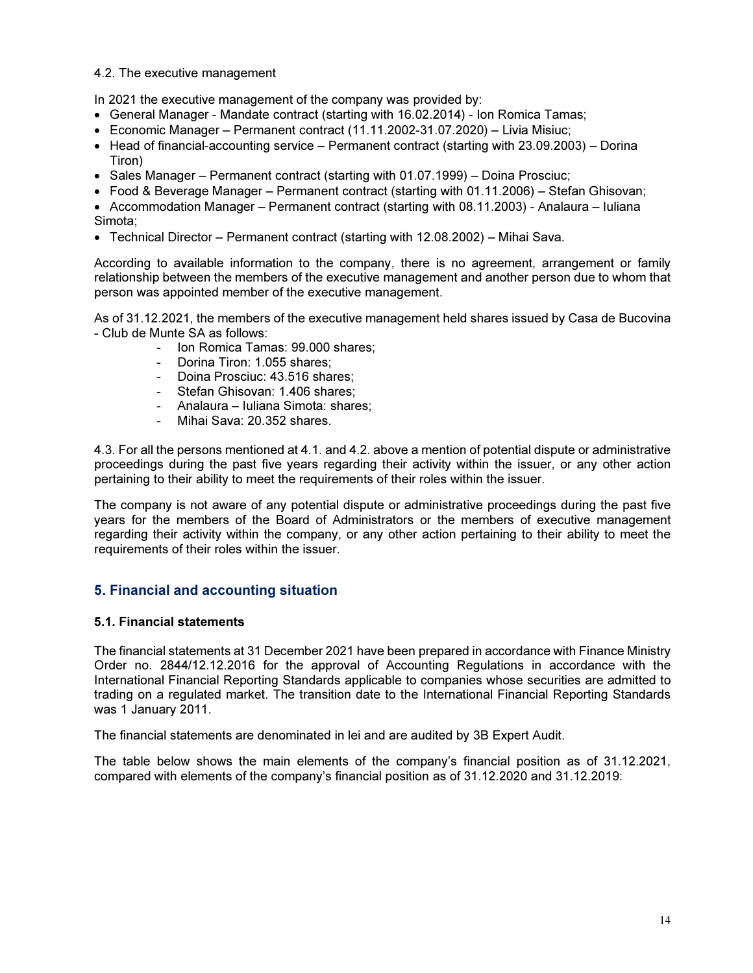#### 4.2. The executive management

In 2021 the executive management of the company was provided by:

- General Manager Mandate contract (starting with 16.02.2014) Ion Romica Tamas;
- Economic Manager Permanent contract (11.11.2002-31.07.2020) Livia Misiuc;
- $\bullet$  Head of financial-accounting service Permanent contract (starting with 23.09.2003) Dorina Tiron)
- Sales Manager Permanent contract (starting with 01.07.1999) Doina Prosciuc;
- Food & Beverage Manager Permanent contract (starting with 01.11.2006) Stefan Ghisovan;

 Accommodation Manager – Permanent contract (starting with 08.11.2003) - Analaura – Iuliana Simota;

Technical Director – Permanent contract (starting with 12.08.2002) – Mihai Sava.

According to available information to the company, there is no agreement, arrangement or family relationship between the members of the executive management and another person due to whom that person was appointed member of the executive management.

As of 31.12.2021, the members of the executive management held shares issued by Casa de Bucovina - Club de Munte SA as follows:

- Ion Romica Tamas: 99.000 shares;
- Dorina Tiron: 1.055 shares;
- Doina Prosciuc: 43.516 shares:
- Stefan Ghisovan: 1.406 shares;
- Analaura Iuliana Simota: shares;
- Mihai Sava: 20.352 shares.

4.3. For all the persons mentioned at 4.1. and 4.2. above a mention of potential dispute or administrative proceedings during the past five years regarding their activity within the issuer, or any other action pertaining to their ability to meet the requirements of their roles within the issuer.

The company is not aware of any potential dispute or administrative proceedings during the past five years for the members of the Board of Administrators or the members of executive management regarding their activity within the company, or any other action pertaining to their ability to meet the requirements of their roles within the issuer.

#### 5. Financial and accounting situation

#### 5.1. Financial statements

The financial statements at 31 December 2021 have been prepared in accordance with Finance Ministry Order no. 2844/12.12.2016 for the approval of Accounting Regulations in accordance with the International Financial Reporting Standards applicable to companies whose securities are admitted to trading on a regulated market. The transition date to the International Financial Reporting Standards was 1 January 2011.

The financial statements are denominated in lei and are audited by 3B Expert Audit.

The table below shows the main elements of the company's financial position as of 31.12.2021, compared with elements of the company's financial position as of 31.12.2020 and 31.12.2019: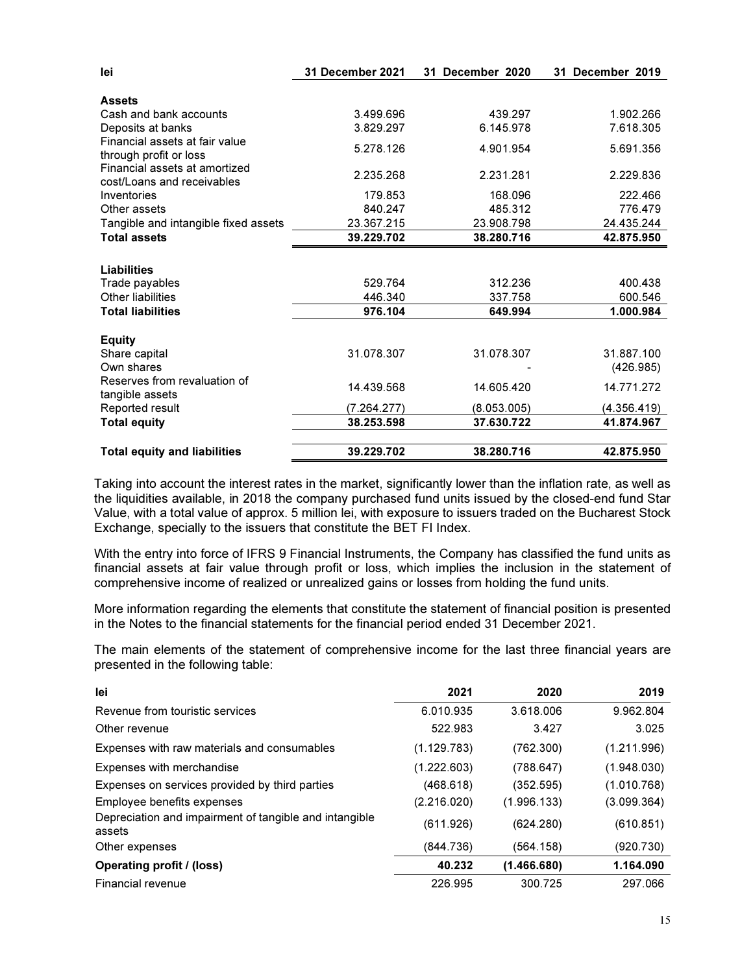| lei                                                         | <b>31 December 2021</b> | 31 December 2020 | 31 December 2019 |
|-------------------------------------------------------------|-------------------------|------------------|------------------|
| Assets                                                      |                         |                  |                  |
| Cash and bank accounts                                      | 3.499.696               | 439.297          | 1.902.266        |
| Deposits at banks                                           | 3.829.297               | 6.145.978        | 7.618.305        |
| Financial assets at fair value<br>through profit or loss    | 5.278.126               | 4.901.954        | 5.691.356        |
| Financial assets at amortized<br>cost/Loans and receivables | 2.235.268               | 2.231.281        | 2.229.836        |
| Inventories                                                 | 179.853                 | 168.096          | 222.466          |
| Other assets                                                | 840.247                 | 485.312          | 776.479          |
| Tangible and intangible fixed assets                        | 23.367.215              | 23.908.798       | 24.435.244       |
| <b>Total assets</b>                                         | 39.229.702              | 38.280.716       | 42.875.950       |
| <b>Liabilities</b>                                          |                         |                  |                  |
| Trade payables                                              | 529.764                 | 312.236          | 400.438          |
| Other liabilities                                           | 446.340                 | 337.758          | 600.546          |
| <b>Total liabilities</b>                                    | 976.104                 | 649.994          | 1.000.984        |
| <b>Equity</b>                                               |                         |                  |                  |
| Share capital                                               | 31.078.307              | 31.078.307       | 31.887.100       |
| Own shares                                                  |                         |                  | (426.985)        |
| Reserves from revaluation of<br>tangible assets             | 14.439.568              | 14.605.420       | 14.771.272       |
| Reported result                                             | (7.264.277)             | (8.053.005)      | (4.356.419)      |
| <b>Total equity</b>                                         | 38.253.598              | 37.630.722       | 41.874.967       |
| <b>Total equity and liabilities</b>                         | 39.229.702              | 38.280.716       | 42.875.950       |

Taking into account the interest rates in the market, significantly lower than the inflation rate, as well as the liquidities available, in 2018 the company purchased fund units issued by the closed-end fund Star Value, with a total value of approx. 5 million lei, with exposure to issuers traded on the Bucharest Stock Exchange, specially to the issuers that constitute the BET FI Index.

With the entry into force of IFRS 9 Financial Instruments, the Company has classified the fund units as financial assets at fair value through profit or loss, which implies the inclusion in the statement of comprehensive income of realized or unrealized gains or losses from holding the fund units.

More information regarding the elements that constitute the statement of financial position is presented in the Notes to the financial statements for the financial period ended 31 December 2021.

The main elements of the statement of comprehensive income for the last three financial years are presented in the following table:

| lei                                                              | 2021        | 2020        | 2019        |
|------------------------------------------------------------------|-------------|-------------|-------------|
| Revenue from touristic services                                  | 6.010.935   | 3.618.006   | 9.962.804   |
| Other revenue                                                    | 522.983     | 3.427       | 3.025       |
| Expenses with raw materials and consumables                      | (1.129.783) | (762.300)   | (1.211.996) |
| Expenses with merchandise                                        | (1.222.603) | (788.647)   | (1.948.030) |
| Expenses on services provided by third parties                   | (468.618)   | (352.595)   | (1.010.768) |
| Employee benefits expenses                                       | (2.216.020) | (1.996.133) | (3.099.364) |
| Depreciation and impairment of tangible and intangible<br>assets | (611.926)   | (624.280)   | (610.851)   |
| Other expenses                                                   | (844.736)   | (564.158)   | (920.730)   |
| Operating profit / (loss)                                        | 40.232      | (1.466.680) | 1.164.090   |
| Financial revenue                                                | 226.995     | 300.725     | 297.066     |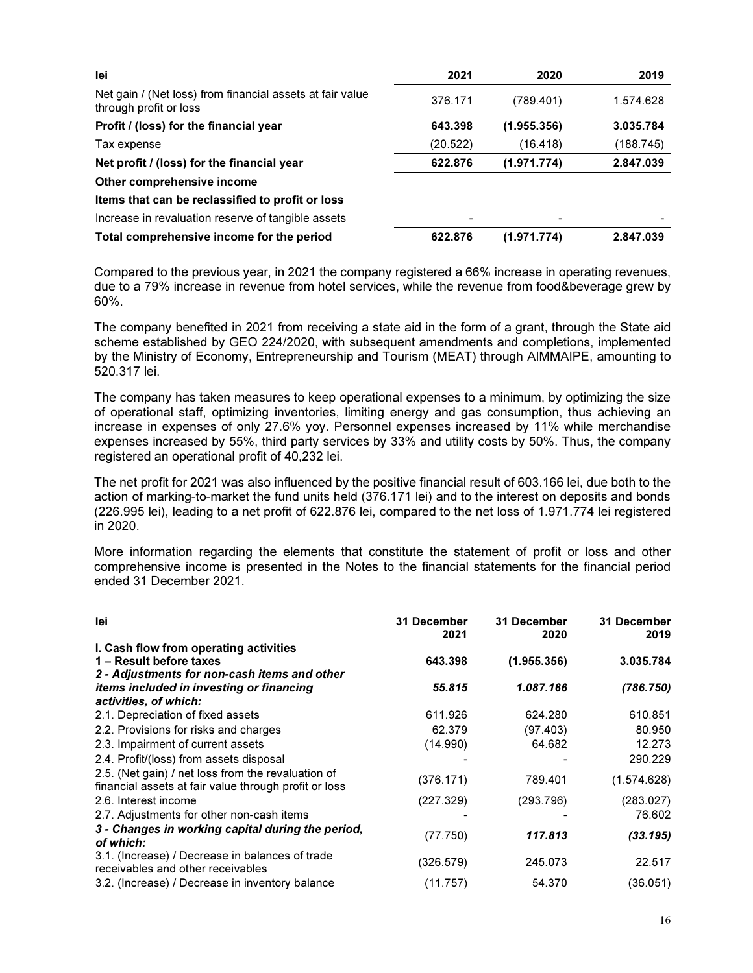| lei                                                                                 | 2021     | 2020        | 2019      |
|-------------------------------------------------------------------------------------|----------|-------------|-----------|
| Net gain / (Net loss) from financial assets at fair value<br>through profit or loss | 376.171  | (789.401)   | 1.574.628 |
| Profit / (loss) for the financial year                                              | 643.398  | (1.955.356) | 3.035.784 |
| Tax expense                                                                         | (20.522) | (16.418)    | (188.745) |
| Net profit / (loss) for the financial year                                          | 622.876  | (1.971.774) | 2.847.039 |
| Other comprehensive income                                                          |          |             |           |
| Items that can be reclassified to profit or loss                                    |          |             |           |
| Increase in revaluation reserve of tangible assets                                  | -        | ۰           |           |
| Total comprehensive income for the period                                           | 622.876  | (1.971.774) | 2.847.039 |

Compared to the previous year, in 2021 the company registered a 66% increase in operating revenues, due to a 79% increase in revenue from hotel services, while the revenue from food&beverage grew by 60%.

The company benefited in 2021 from receiving a state aid in the form of a grant, through the State aid scheme established by GEO 224/2020, with subsequent amendments and completions, implemented by the Ministry of Economy, Entrepreneurship and Tourism (MEAT) through AIMMAIPE, amounting to 520.317 lei.

The company has taken measures to keep operational expenses to a minimum, by optimizing the size of operational staff, optimizing inventories, limiting energy and gas consumption, thus achieving an increase in expenses of only 27.6% yoy. Personnel expenses increased by 11% while merchandise expenses increased by 55%, third party services by 33% and utility costs by 50%. Thus, the company registered an operational profit of 40,232 lei.

The net profit for 2021 was also influenced by the positive financial result of 603.166 lei, due both to the action of marking-to-market the fund units held (376.171 lei) and to the interest on deposits and bonds (226.995 lei), leading to a net profit of 622.876 lei, compared to the net loss of 1.971.774 lei registered in 2020.

More information regarding the elements that constitute the statement of profit or loss and other comprehensive income is presented in the Notes to the financial statements for the financial period ended 31 December 2021.

| lei                                                                                                         | 31 December<br>2021 | 31 December<br>2020 | 31 December<br>2019 |
|-------------------------------------------------------------------------------------------------------------|---------------------|---------------------|---------------------|
| I. Cash flow from operating activities                                                                      |                     |                     |                     |
| 1 – Result before taxes                                                                                     | 643.398             | (1.955.356)         | 3.035.784           |
| 2 - Adjustments for non-cash items and other                                                                |                     |                     |                     |
| items included in investing or financing                                                                    | 55.815              | 1.087.166           | (786.750)           |
| activities, of which:                                                                                       |                     |                     |                     |
| 2.1. Depreciation of fixed assets                                                                           | 611.926             | 624.280             | 610.851             |
| 2.2. Provisions for risks and charges                                                                       | 62.379              | (97.403)            | 80.950              |
| 2.3. Impairment of current assets                                                                           | (14.990)            | 64.682              | 12.273              |
| 2.4. Profit/(loss) from assets disposal                                                                     |                     |                     | 290.229             |
| 2.5. (Net gain) / net loss from the revaluation of<br>financial assets at fair value through profit or loss | (376.171)           | 789.401             | (1.574.628)         |
| 2.6. Interest income                                                                                        | (227.329)           | (293.796)           | (283.027)           |
| 2.7. Adjustments for other non-cash items                                                                   |                     |                     | 76.602              |
| 3 - Changes in working capital during the period,<br>of which:                                              | (77.750)            | 117.813             | (33.195)            |
| 3.1. (Increase) / Decrease in balances of trade<br>receivables and other receivables                        | (326.579)           | 245.073             | 22.517              |
| 3.2. (Increase) / Decrease in inventory balance                                                             | (11.757)            | 54.370              | (36.051)            |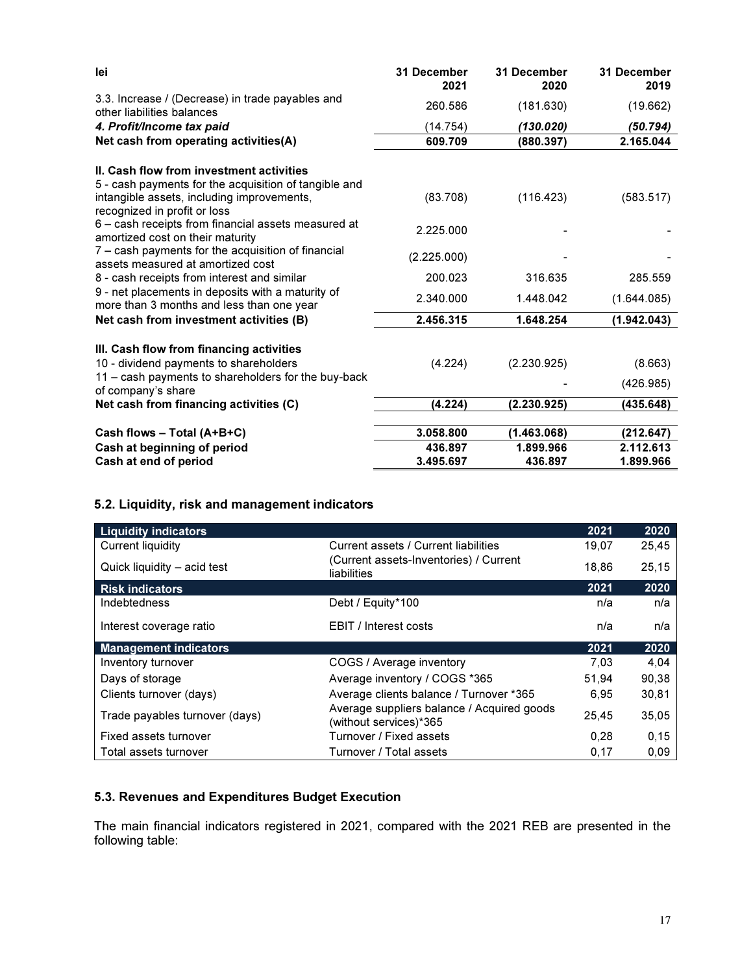| lei                                                                                            | 31 December<br>2021 | 31 December<br>2020 | 31 December<br>2019 |
|------------------------------------------------------------------------------------------------|---------------------|---------------------|---------------------|
| 3.3. Increase / (Decrease) in trade payables and<br>other liabilities balances                 | 260.586             | (181.630)           | (19.662)            |
| 4. Profit/Income tax paid                                                                      | (14.754)            | (130.020)           | (50.794)            |
| Net cash from operating activities (A)                                                         | 609.709             | (880.397)           | 2.165.044           |
| <b>II. Cash flow from investment activities</b>                                                |                     |                     |                     |
| 5 - cash payments for the acquisition of tangible and                                          |                     |                     |                     |
| intangible assets, including improvements,<br>recognized in profit or loss                     | (83.708)            | (116.423)           | (583.517)           |
| 6 - cash receipts from financial assets measured at<br>amortized cost on their maturity        | 2.225.000           |                     |                     |
| 7 – cash payments for the acquisition of financial<br>assets measured at amortized cost        | (2.225.000)         |                     |                     |
| 8 - cash receipts from interest and similar                                                    | 200.023             | 316.635             | 285.559             |
| 9 - net placements in deposits with a maturity of<br>more than 3 months and less than one year | 2.340.000           | 1.448.042           | (1.644.085)         |
| Net cash from investment activities (B)                                                        | 2.456.315           | 1.648.254           | (1.942.043)         |
| III. Cash flow from financing activities                                                       |                     |                     |                     |
| 10 - dividend payments to shareholders                                                         | (4.224)             | (2.230.925)         | (8.663)             |
| 11 - cash payments to shareholders for the buy-back<br>of company's share                      |                     |                     | (426.985)           |
| Net cash from financing activities (C)                                                         | (4.224)             | (2.230.925)         | (435.648)           |
| Cash flows - Total $(A+B+C)$                                                                   | 3.058.800           | (1.463.068)         | (212.647)           |
| Cash at beginning of period                                                                    | 436.897             | 1.899.966           | 2.112.613           |
| Cash at end of period                                                                          | 3.495.697           | 436.897             | 1.899.966           |

#### 5.2. Liquidity, risk and management indicators

| <b>Liquidity indicators</b>    |                                                                      | 2021  | 2020  |
|--------------------------------|----------------------------------------------------------------------|-------|-------|
| Current liquidity              | Current assets / Current liabilities                                 | 19,07 | 25,45 |
| Quick liquidity - acid test    | (Current assets-Inventories) / Current<br>liabilities                | 18.86 | 25,15 |
| <b>Risk indicators</b>         |                                                                      | 2021  | 2020  |
| Indebtedness                   | Debt / Equity*100                                                    | n/a   | n/a   |
| Interest coverage ratio        | EBIT / Interest costs                                                | n/a   | n/a   |
|                                |                                                                      |       |       |
| <b>Management indicators</b>   |                                                                      | 2021  | 2020  |
| Inventory turnover             | COGS / Average inventory                                             | 7,03  | 4,04  |
| Days of storage                | Average inventory / COGS *365                                        | 51,94 | 90,38 |
| Clients turnover (days)        | Average clients balance / Turnover *365                              | 6.95  | 30,81 |
| Trade payables turnover (days) | Average suppliers balance / Acquired goods<br>(without services)*365 | 25,45 | 35,05 |
| Fixed assets turnover          | Turnover / Fixed assets                                              | 0.28  | 0, 15 |

#### 5.3. Revenues and Expenditures Budget Execution

The main financial indicators registered in 2021, compared with the 2021 REB are presented in the following table: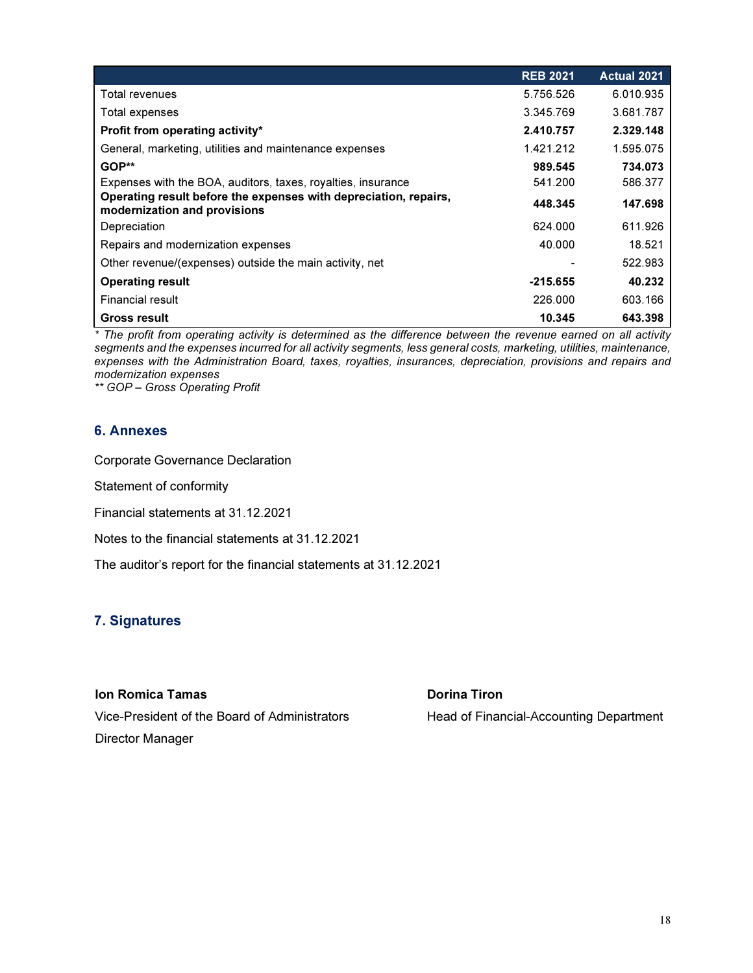|                                                                                                  | <b>REB 2021</b> | <b>Actual 2021</b> |
|--------------------------------------------------------------------------------------------------|-----------------|--------------------|
| Total revenues                                                                                   | 5.756.526       | 6.010.935          |
| Total expenses                                                                                   | 3.345.769       | 3.681.787          |
| Profit from operating activity*                                                                  | 2.410.757       | 2.329.148          |
| General, marketing, utilities and maintenance expenses                                           | 1.421.212       | 1.595.075          |
| GOP**                                                                                            | 989.545         | 734.073            |
| Expenses with the BOA, auditors, taxes, royalties, insurance                                     | 541.200         | 586.377            |
| Operating result before the expenses with depreciation, repairs,<br>modernization and provisions | 448.345         | 147.698            |
| Depreciation                                                                                     | 624.000         | 611.926            |
| Repairs and modernization expenses                                                               | 40.000          | 18.521             |
| Other revenue/(expenses) outside the main activity, net                                          |                 | 522.983            |
| <b>Operating result</b>                                                                          | $-215.655$      | 40.232             |
| <b>Financial result</b>                                                                          | 226,000         | 603.166            |
| Gross result                                                                                     | 10.345          | 643.398            |

\* The profit from operating activity is determined as the difference between the revenue earned on all activity segments and the expenses incurred for all activity segments, less general costs, marketing, utilities, maintenance, expenses with the Administration Board, taxes, royalties, insurances, depreciation, provisions and repairs and modernization expenses

\*\* GOP - Gross Operating Profit

#### 6. Annexes

Corporate Governance Declaration

Statement of conformity

Financial statements at 31.12.2021

Notes to the financial statements at 31.12.2021

The auditor's report for the financial statements at 31.12.2021

#### 7. Signatures

# Ion Romica Tamas **International Community Community** Dorina Tiron

Director Manager

Vice-President of the Board of Administrators Head of Financial-Accounting Department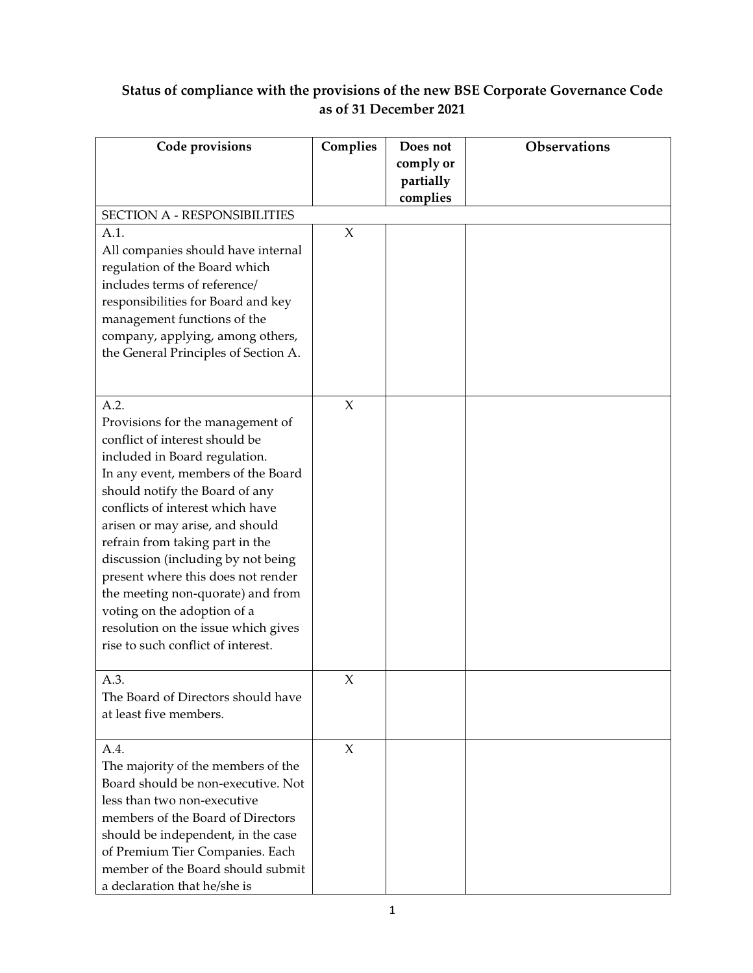### Status of compliance with the provisions of the new BSE Corporate Governance Code as of 31 December 2021

| Code provisions                                                                                                                                                                                                                                                                                                                                                                                                                                                                                                            | Complies | Does not<br>comply or<br>partially<br>complies | <b>Observations</b> |
|----------------------------------------------------------------------------------------------------------------------------------------------------------------------------------------------------------------------------------------------------------------------------------------------------------------------------------------------------------------------------------------------------------------------------------------------------------------------------------------------------------------------------|----------|------------------------------------------------|---------------------|
| <b>SECTION A - RESPONSIBILITIES</b>                                                                                                                                                                                                                                                                                                                                                                                                                                                                                        |          |                                                |                     |
| A.1.<br>All companies should have internal<br>regulation of the Board which<br>includes terms of reference/<br>responsibilities for Board and key<br>management functions of the<br>company, applying, among others,<br>the General Principles of Section A.                                                                                                                                                                                                                                                               | $\chi$   |                                                |                     |
| A.2.<br>Provisions for the management of<br>conflict of interest should be<br>included in Board regulation.<br>In any event, members of the Board<br>should notify the Board of any<br>conflicts of interest which have<br>arisen or may arise, and should<br>refrain from taking part in the<br>discussion (including by not being<br>present where this does not render<br>the meeting non-quorate) and from<br>voting on the adoption of a<br>resolution on the issue which gives<br>rise to such conflict of interest. | $\chi$   |                                                |                     |
| A.3.<br>The Board of Directors should have<br>at least five members.                                                                                                                                                                                                                                                                                                                                                                                                                                                       | X        |                                                |                     |
| A.4.<br>The majority of the members of the<br>Board should be non-executive. Not<br>less than two non-executive<br>members of the Board of Directors<br>should be independent, in the case<br>of Premium Tier Companies. Each<br>member of the Board should submit<br>a declaration that he/she is                                                                                                                                                                                                                         | $\chi$   |                                                |                     |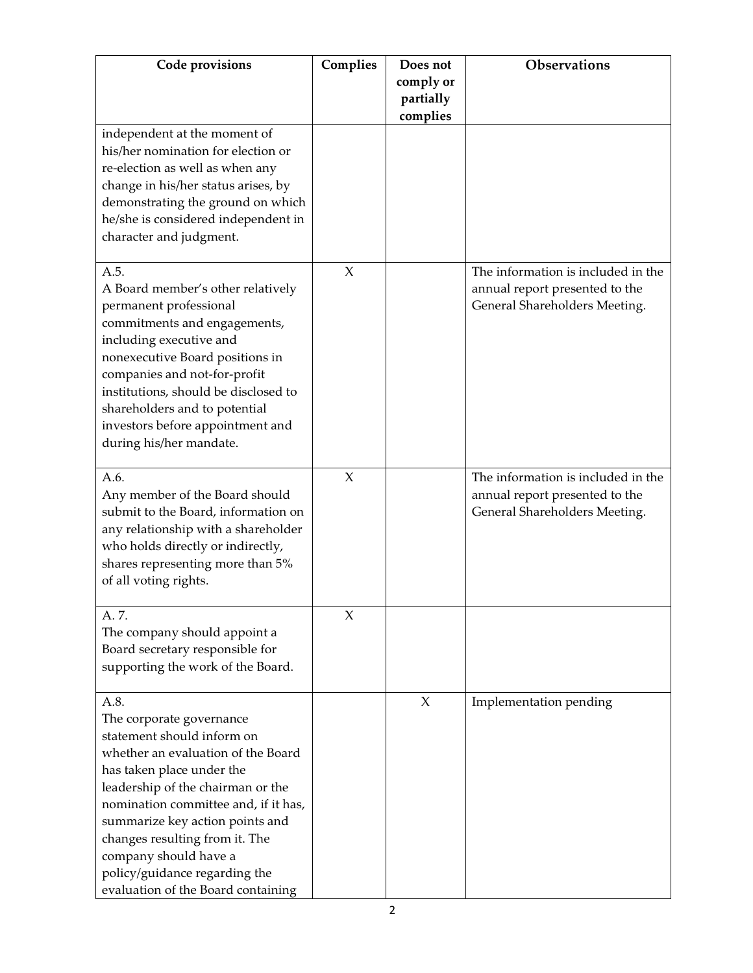| Code provisions                                                       | Complies | Does not  | <b>Observations</b>                |
|-----------------------------------------------------------------------|----------|-----------|------------------------------------|
|                                                                       |          | comply or |                                    |
|                                                                       |          | partially |                                    |
|                                                                       |          | complies  |                                    |
| independent at the moment of<br>his/her nomination for election or    |          |           |                                    |
| re-election as well as when any                                       |          |           |                                    |
| change in his/her status arises, by                                   |          |           |                                    |
| demonstrating the ground on which                                     |          |           |                                    |
| he/she is considered independent in                                   |          |           |                                    |
| character and judgment.                                               |          |           |                                    |
| A.5.                                                                  | $\chi$   |           | The information is included in the |
| A Board member's other relatively                                     |          |           | annual report presented to the     |
| permanent professional                                                |          |           | General Shareholders Meeting.      |
| commitments and engagements,                                          |          |           |                                    |
| including executive and                                               |          |           |                                    |
| nonexecutive Board positions in                                       |          |           |                                    |
| companies and not-for-profit                                          |          |           |                                    |
| institutions, should be disclosed to                                  |          |           |                                    |
| shareholders and to potential<br>investors before appointment and     |          |           |                                    |
| during his/her mandate.                                               |          |           |                                    |
|                                                                       |          |           |                                    |
| A.6.                                                                  | $\chi$   |           | The information is included in the |
| Any member of the Board should                                        |          |           | annual report presented to the     |
| submit to the Board, information on                                   |          |           | General Shareholders Meeting.      |
| any relationship with a shareholder                                   |          |           |                                    |
| who holds directly or indirectly,<br>shares representing more than 5% |          |           |                                    |
| of all voting rights.                                                 |          |           |                                    |
|                                                                       |          |           |                                    |
| A.7.                                                                  | X        |           |                                    |
| The company should appoint a<br>Board secretary responsible for       |          |           |                                    |
| supporting the work of the Board.                                     |          |           |                                    |
|                                                                       |          |           |                                    |
| A.8.                                                                  |          | $\chi$    | Implementation pending             |
| The corporate governance                                              |          |           |                                    |
| statement should inform on<br>whether an evaluation of the Board      |          |           |                                    |
| has taken place under the                                             |          |           |                                    |
| leadership of the chairman or the                                     |          |           |                                    |
| nomination committee and, if it has,                                  |          |           |                                    |
| summarize key action points and                                       |          |           |                                    |
| changes resulting from it. The                                        |          |           |                                    |
| company should have a                                                 |          |           |                                    |
| policy/guidance regarding the                                         |          |           |                                    |
| evaluation of the Board containing                                    |          |           |                                    |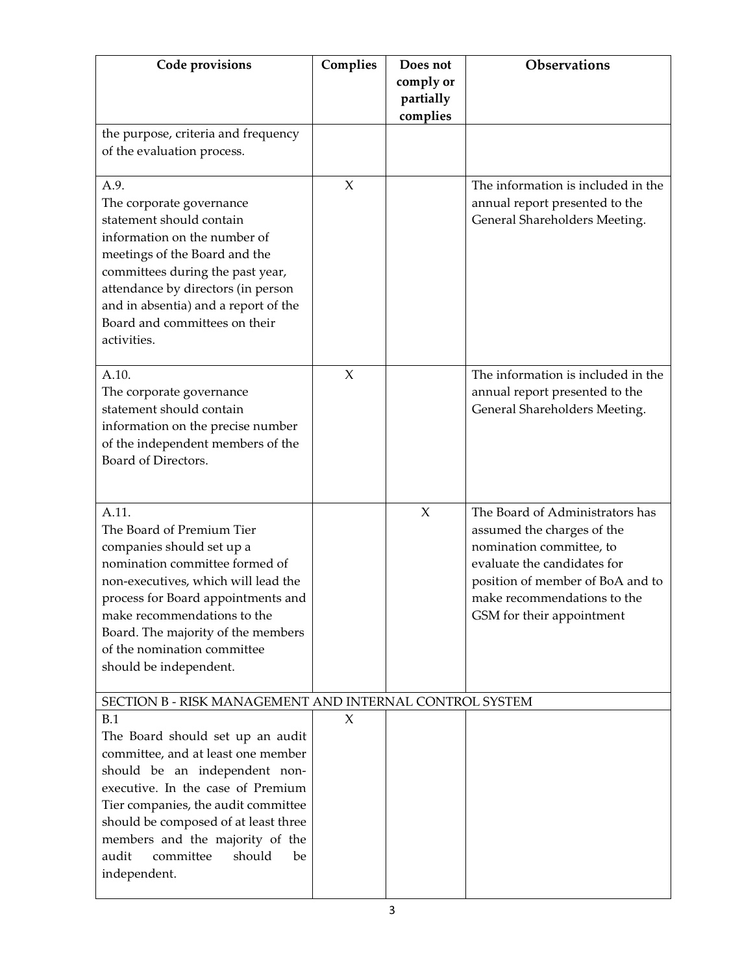| Code provisions                                                                                                                                                                                                                                                                                                             | Complies | Does not<br>comply or | Observations                                                                                                                                                                                                             |
|-----------------------------------------------------------------------------------------------------------------------------------------------------------------------------------------------------------------------------------------------------------------------------------------------------------------------------|----------|-----------------------|--------------------------------------------------------------------------------------------------------------------------------------------------------------------------------------------------------------------------|
|                                                                                                                                                                                                                                                                                                                             |          | partially<br>complies |                                                                                                                                                                                                                          |
| the purpose, criteria and frequency<br>of the evaluation process.                                                                                                                                                                                                                                                           |          |                       |                                                                                                                                                                                                                          |
| A.9.<br>The corporate governance<br>statement should contain<br>information on the number of<br>meetings of the Board and the<br>committees during the past year,<br>attendance by directors (in person<br>and in absentia) and a report of the<br>Board and committees on their<br>activities.                             | X        |                       | The information is included in the<br>annual report presented to the<br>General Shareholders Meeting.                                                                                                                    |
| A.10.<br>The corporate governance<br>statement should contain<br>information on the precise number<br>of the independent members of the<br>Board of Directors.                                                                                                                                                              | $\chi$   |                       | The information is included in the<br>annual report presented to the<br>General Shareholders Meeting.                                                                                                                    |
| A.11.<br>The Board of Premium Tier<br>companies should set up a<br>nomination committee formed of<br>non-executives, which will lead the<br>process for Board appointments and<br>make recommendations to the<br>Board. The majority of the members<br>of the nomination committee<br>should be independent.                |          | $\chi$                | The Board of Administrators has<br>assumed the charges of the<br>nomination committee, to<br>evaluate the candidates for<br>position of member of BoA and to<br>make recommendations to the<br>GSM for their appointment |
| SECTION B - RISK MANAGEMENT AND INTERNAL CONTROL SYSTEM                                                                                                                                                                                                                                                                     |          |                       |                                                                                                                                                                                                                          |
| B.1<br>The Board should set up an audit<br>committee, and at least one member<br>should be an independent non-<br>executive. In the case of Premium<br>Tier companies, the audit committee<br>should be composed of at least three<br>members and the majority of the<br>audit<br>committee<br>should<br>be<br>independent. | X        |                       |                                                                                                                                                                                                                          |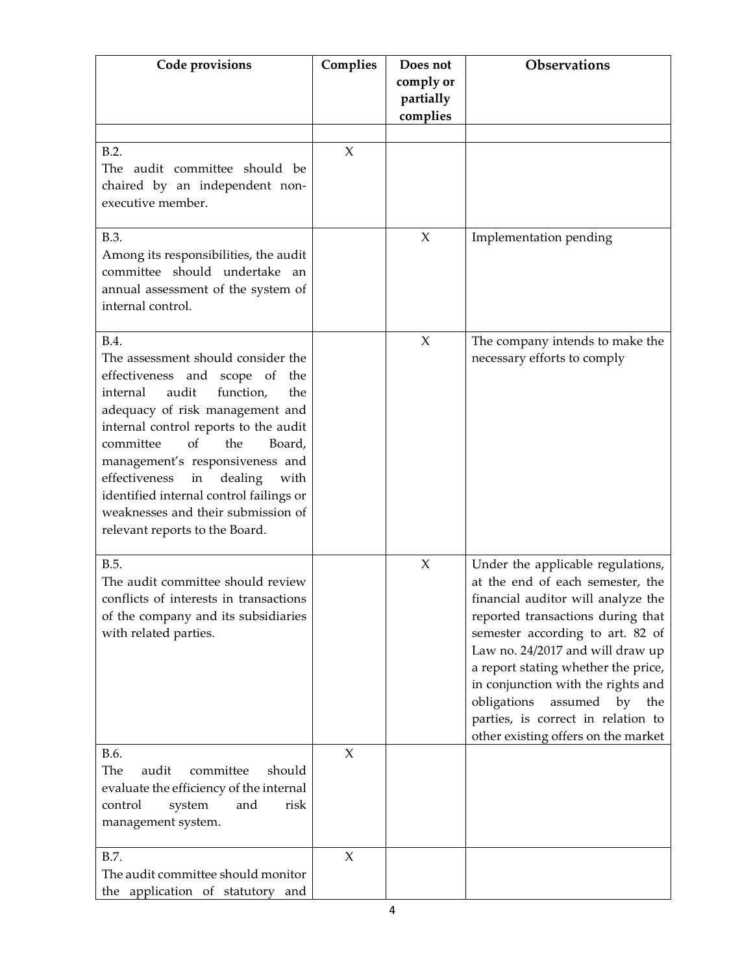| Code provisions                                                             | Complies | Does not               | <b>Observations</b>                                                   |
|-----------------------------------------------------------------------------|----------|------------------------|-----------------------------------------------------------------------|
|                                                                             |          | comply or<br>partially |                                                                       |
|                                                                             |          | complies               |                                                                       |
|                                                                             |          |                        |                                                                       |
| B.2.                                                                        | $\chi$   |                        |                                                                       |
| The audit committee should be<br>chaired by an independent non-             |          |                        |                                                                       |
| executive member.                                                           |          |                        |                                                                       |
|                                                                             |          |                        |                                                                       |
| B.3.                                                                        |          | $\chi$                 | Implementation pending                                                |
| Among its responsibilities, the audit<br>committee should undertake an      |          |                        |                                                                       |
| annual assessment of the system of                                          |          |                        |                                                                       |
| internal control.                                                           |          |                        |                                                                       |
|                                                                             |          |                        |                                                                       |
| B.4.                                                                        |          | $\chi$                 | The company intends to make the                                       |
| The assessment should consider the<br>effectiveness and scope of the        |          |                        | necessary efforts to comply                                           |
| function,<br>internal<br>audit<br>the                                       |          |                        |                                                                       |
| adequacy of risk management and                                             |          |                        |                                                                       |
| internal control reports to the audit                                       |          |                        |                                                                       |
| of<br>committee<br>the<br>Board,<br>management's responsiveness and         |          |                        |                                                                       |
| in<br>effectiveness<br>dealing<br>with                                      |          |                        |                                                                       |
| identified internal control failings or                                     |          |                        |                                                                       |
| weaknesses and their submission of                                          |          |                        |                                                                       |
| relevant reports to the Board.                                              |          |                        |                                                                       |
| B.5.                                                                        |          | $\chi$                 | Under the applicable regulations,                                     |
| The audit committee should review                                           |          |                        | at the end of each semester, the                                      |
| conflicts of interests in transactions                                      |          |                        | financial auditor will analyze the                                    |
| of the company and its subsidiaries<br>with related parties.                |          |                        | reported transactions during that<br>semester according to art. 82 of |
|                                                                             |          |                        | Law no. 24/2017 and will draw up                                      |
|                                                                             |          |                        | a report stating whether the price,                                   |
|                                                                             |          |                        | in conjunction with the rights and                                    |
|                                                                             |          |                        | obligations<br>assumed by the<br>parties, is correct in relation to   |
|                                                                             |          |                        | other existing offers on the market                                   |
| B.6.                                                                        | X        |                        |                                                                       |
| The<br>audit<br>committee<br>should                                         |          |                        |                                                                       |
| evaluate the efficiency of the internal<br>control<br>system<br>and<br>risk |          |                        |                                                                       |
| management system.                                                          |          |                        |                                                                       |
|                                                                             |          |                        |                                                                       |
| B.7.                                                                        | $\chi$   |                        |                                                                       |
| The audit committee should monitor<br>the application of statutory and      |          |                        |                                                                       |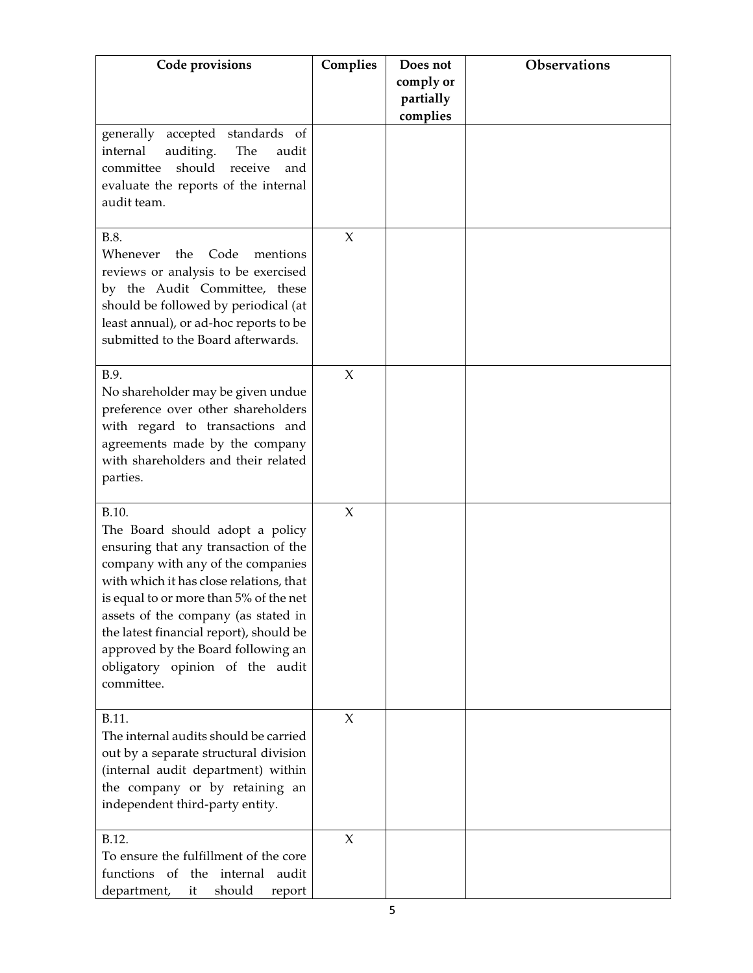| Code provisions                                                                                                                                                                                                                                                                                                                                                                     | Complies            | Does not<br>comply or<br>partially | Observations |
|-------------------------------------------------------------------------------------------------------------------------------------------------------------------------------------------------------------------------------------------------------------------------------------------------------------------------------------------------------------------------------------|---------------------|------------------------------------|--------------|
| accepted standards of<br>generally<br>internal<br>auditing.<br>The<br>audit<br>should receive<br>committee<br>and<br>evaluate the reports of the internal<br>audit team.                                                                                                                                                                                                            |                     | complies                           |              |
| B.8.<br>Whenever<br>the<br>Code<br>mentions<br>reviews or analysis to be exercised<br>by the Audit Committee, these<br>should be followed by periodical (at<br>least annual), or ad-hoc reports to be<br>submitted to the Board afterwards.                                                                                                                                         | X                   |                                    |              |
| B.9.<br>No shareholder may be given undue<br>preference over other shareholders<br>with regard to transactions and<br>agreements made by the company<br>with shareholders and their related<br>parties.                                                                                                                                                                             | $\boldsymbol{\chi}$ |                                    |              |
| B.10.<br>The Board should adopt a policy<br>ensuring that any transaction of the<br>company with any of the companies<br>with which it has close relations, that<br>is equal to or more than 5% of the net<br>assets of the company (as stated in<br>the latest financial report), should be<br>approved by the Board following an<br>obligatory opinion of the audit<br>committee. | X                   |                                    |              |
| B.11.<br>The internal audits should be carried<br>out by a separate structural division<br>(internal audit department) within<br>the company or by retaining an<br>independent third-party entity.                                                                                                                                                                                  | $\chi$              |                                    |              |
| B.12.<br>To ensure the fulfillment of the core<br>functions of the internal<br>audit<br>department,<br>should<br>it<br>report                                                                                                                                                                                                                                                       | $\chi$              |                                    |              |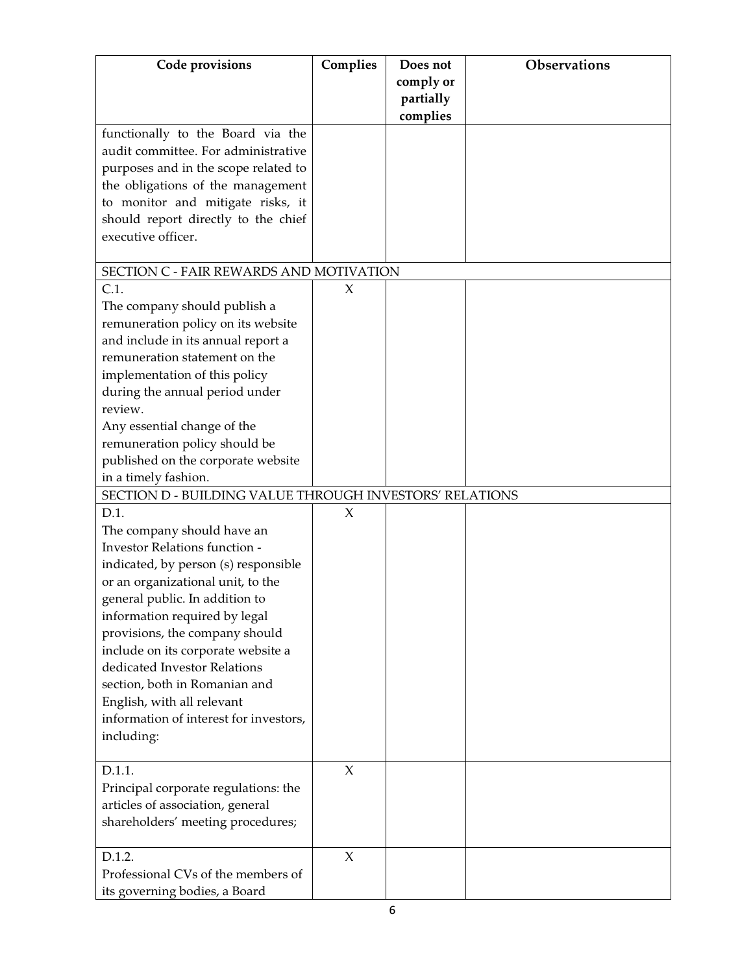| Code provisions                                                     | Complies | Does not              | Observations |
|---------------------------------------------------------------------|----------|-----------------------|--------------|
|                                                                     |          | comply or             |              |
|                                                                     |          | partially<br>complies |              |
| functionally to the Board via the                                   |          |                       |              |
| audit committee. For administrative                                 |          |                       |              |
| purposes and in the scope related to                                |          |                       |              |
| the obligations of the management                                   |          |                       |              |
| to monitor and mitigate risks, it                                   |          |                       |              |
| should report directly to the chief                                 |          |                       |              |
| executive officer.                                                  |          |                       |              |
| SECTION C - FAIR REWARDS AND MOTIVATION                             |          |                       |              |
| C.1.                                                                | X        |                       |              |
| The company should publish a                                        |          |                       |              |
| remuneration policy on its website                                  |          |                       |              |
| and include in its annual report a                                  |          |                       |              |
| remuneration statement on the                                       |          |                       |              |
| implementation of this policy                                       |          |                       |              |
| during the annual period under                                      |          |                       |              |
| review.                                                             |          |                       |              |
| Any essential change of the                                         |          |                       |              |
| remuneration policy should be<br>published on the corporate website |          |                       |              |
| in a timely fashion.                                                |          |                       |              |
| SECTION D - BUILDING VALUE THROUGH INVESTORS' RELATIONS             |          |                       |              |
| D.1.                                                                | X        |                       |              |
| The company should have an                                          |          |                       |              |
| <b>Investor Relations function -</b>                                |          |                       |              |
| indicated, by person (s) responsible                                |          |                       |              |
| or an organizational unit, to the                                   |          |                       |              |
| general public. In addition to                                      |          |                       |              |
| information required by legal                                       |          |                       |              |
| provisions, the company should                                      |          |                       |              |
| include on its corporate website a                                  |          |                       |              |
| dedicated Investor Relations                                        |          |                       |              |
| section, both in Romanian and<br>English, with all relevant         |          |                       |              |
| information of interest for investors,                              |          |                       |              |
| including:                                                          |          |                       |              |
|                                                                     |          |                       |              |
| D.1.1.                                                              | X        |                       |              |
| Principal corporate regulations: the                                |          |                       |              |
| articles of association, general                                    |          |                       |              |
| shareholders' meeting procedures;                                   |          |                       |              |
| D.1.2.                                                              | $\chi$   |                       |              |
| Professional CVs of the members of                                  |          |                       |              |
| its governing bodies, a Board                                       |          |                       |              |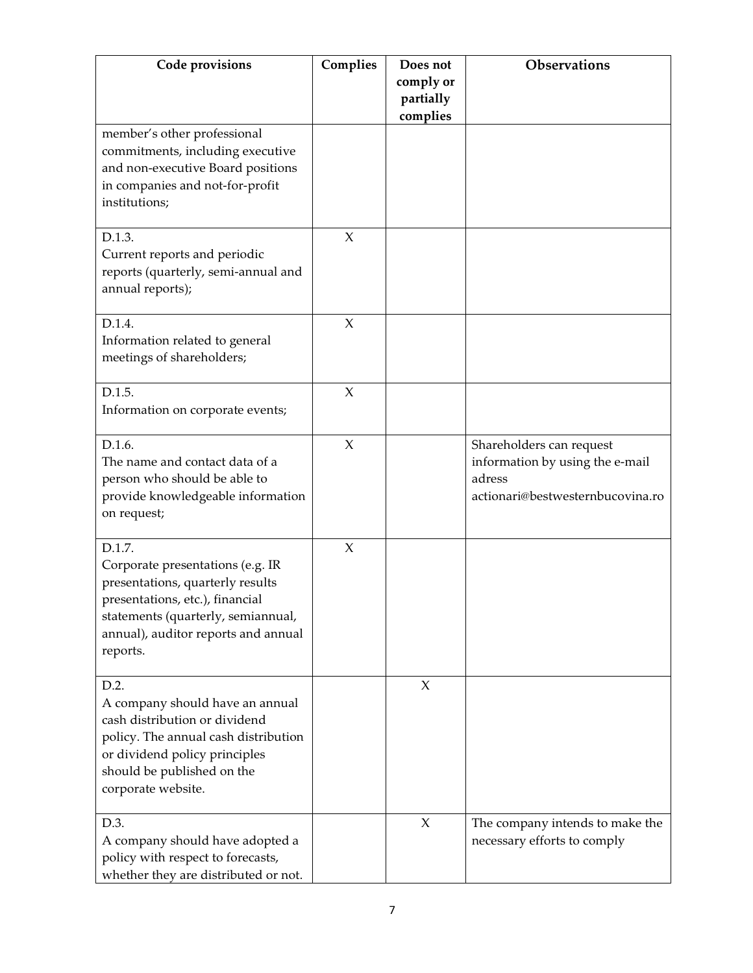| Code provisions                                                                                                                                                                                            | Complies | Does not<br>comply or<br>partially<br>complies | <b>Observations</b>                                                                                       |
|------------------------------------------------------------------------------------------------------------------------------------------------------------------------------------------------------------|----------|------------------------------------------------|-----------------------------------------------------------------------------------------------------------|
| member's other professional<br>commitments, including executive<br>and non-executive Board positions<br>in companies and not-for-profit<br>institutions;                                                   |          |                                                |                                                                                                           |
| D.1.3.<br>Current reports and periodic<br>reports (quarterly, semi-annual and<br>annual reports);                                                                                                          | X        |                                                |                                                                                                           |
| D.1.4.<br>Information related to general<br>meetings of shareholders;                                                                                                                                      | $\chi$   |                                                |                                                                                                           |
| D.1.5.<br>Information on corporate events;                                                                                                                                                                 | X        |                                                |                                                                                                           |
| D.1.6.<br>The name and contact data of a<br>person who should be able to<br>provide knowledgeable information<br>on request;                                                                               | $\chi$   |                                                | Shareholders can request<br>information by using the e-mail<br>adress<br>actionari@bestwesternbucovina.ro |
| D.1.7.<br>Corporate presentations (e.g. IR<br>presentations, quarterly results<br>presentations, etc.), financial<br>statements (quarterly, semiannual,<br>annual), auditor reports and annual<br>reports. | X        |                                                |                                                                                                           |
| D.2.<br>A company should have an annual<br>cash distribution or dividend<br>policy. The annual cash distribution<br>or dividend policy principles<br>should be published on the<br>corporate website.      |          | $\chi$                                         |                                                                                                           |
| D.3.<br>A company should have adopted a<br>policy with respect to forecasts,<br>whether they are distributed or not.                                                                                       |          | $\chi$                                         | The company intends to make the<br>necessary efforts to comply                                            |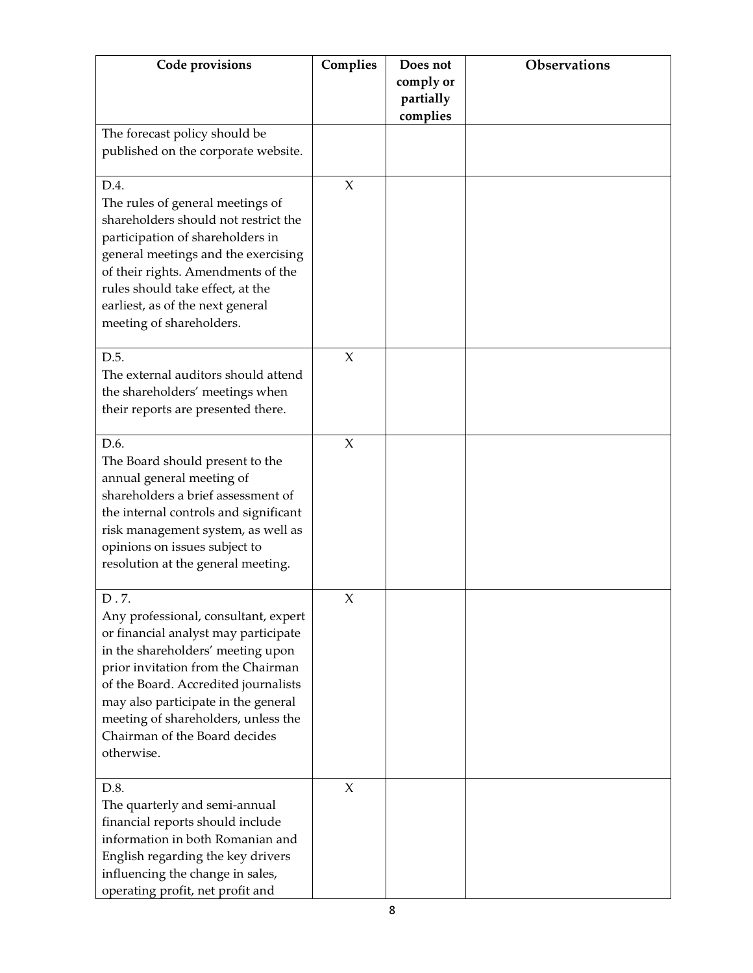| Code provisions                                                                                                                                                                                                                                                                                                                      | Complies            | Does not<br>comply or<br>partially<br>complies | Observations |
|--------------------------------------------------------------------------------------------------------------------------------------------------------------------------------------------------------------------------------------------------------------------------------------------------------------------------------------|---------------------|------------------------------------------------|--------------|
| The forecast policy should be<br>published on the corporate website.                                                                                                                                                                                                                                                                 |                     |                                                |              |
| D.4.<br>The rules of general meetings of<br>shareholders should not restrict the<br>participation of shareholders in<br>general meetings and the exercising<br>of their rights. Amendments of the<br>rules should take effect, at the<br>earliest, as of the next general<br>meeting of shareholders.                                | $\chi$              |                                                |              |
| D.5.<br>The external auditors should attend<br>the shareholders' meetings when<br>their reports are presented there.                                                                                                                                                                                                                 | X                   |                                                |              |
| D.6.<br>The Board should present to the<br>annual general meeting of<br>shareholders a brief assessment of<br>the internal controls and significant<br>risk management system, as well as<br>opinions on issues subject to<br>resolution at the general meeting.                                                                     | $\chi$              |                                                |              |
| D.7.<br>Any professional, consultant, expert<br>or financial analyst may participate<br>in the shareholders' meeting upon<br>prior invitation from the Chairman<br>of the Board. Accredited journalists<br>may also participate in the general<br>meeting of shareholders, unless the<br>Chairman of the Board decides<br>otherwise. | Х                   |                                                |              |
| D.8.<br>The quarterly and semi-annual<br>financial reports should include<br>information in both Romanian and<br>English regarding the key drivers<br>influencing the change in sales,<br>operating profit, net profit and                                                                                                           | $\boldsymbol{\chi}$ |                                                |              |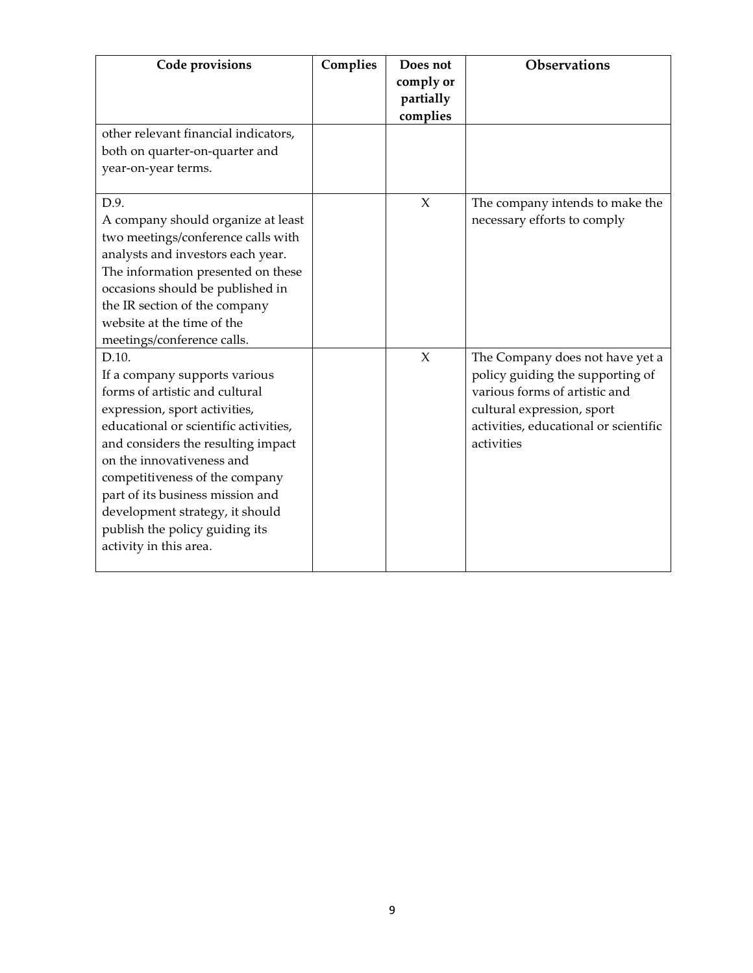| Code provisions                                                    | Complies | Does not  | Observations                          |
|--------------------------------------------------------------------|----------|-----------|---------------------------------------|
|                                                                    |          | comply or |                                       |
|                                                                    |          | partially |                                       |
| other relevant financial indicators,                               |          | complies  |                                       |
| both on quarter-on-quarter and                                     |          |           |                                       |
| year-on-year terms.                                                |          |           |                                       |
|                                                                    |          |           |                                       |
| D.9.                                                               |          | $\chi$    | The company intends to make the       |
| A company should organize at least                                 |          |           | necessary efforts to comply           |
| two meetings/conference calls with                                 |          |           |                                       |
| analysts and investors each year.                                  |          |           |                                       |
| The information presented on these                                 |          |           |                                       |
| occasions should be published in                                   |          |           |                                       |
| the IR section of the company                                      |          |           |                                       |
| website at the time of the                                         |          |           |                                       |
| meetings/conference calls.                                         |          |           |                                       |
| D.10.                                                              |          | $\chi$    | The Company does not have yet a       |
| If a company supports various                                      |          |           | policy guiding the supporting of      |
| forms of artistic and cultural                                     |          |           | various forms of artistic and         |
| expression, sport activities,                                      |          |           | cultural expression, sport            |
| educational or scientific activities,                              |          |           | activities, educational or scientific |
| and considers the resulting impact<br>on the innovativeness and    |          |           | activities                            |
|                                                                    |          |           |                                       |
| competitiveness of the company<br>part of its business mission and |          |           |                                       |
| development strategy, it should                                    |          |           |                                       |
| publish the policy guiding its                                     |          |           |                                       |
| activity in this area.                                             |          |           |                                       |
|                                                                    |          |           |                                       |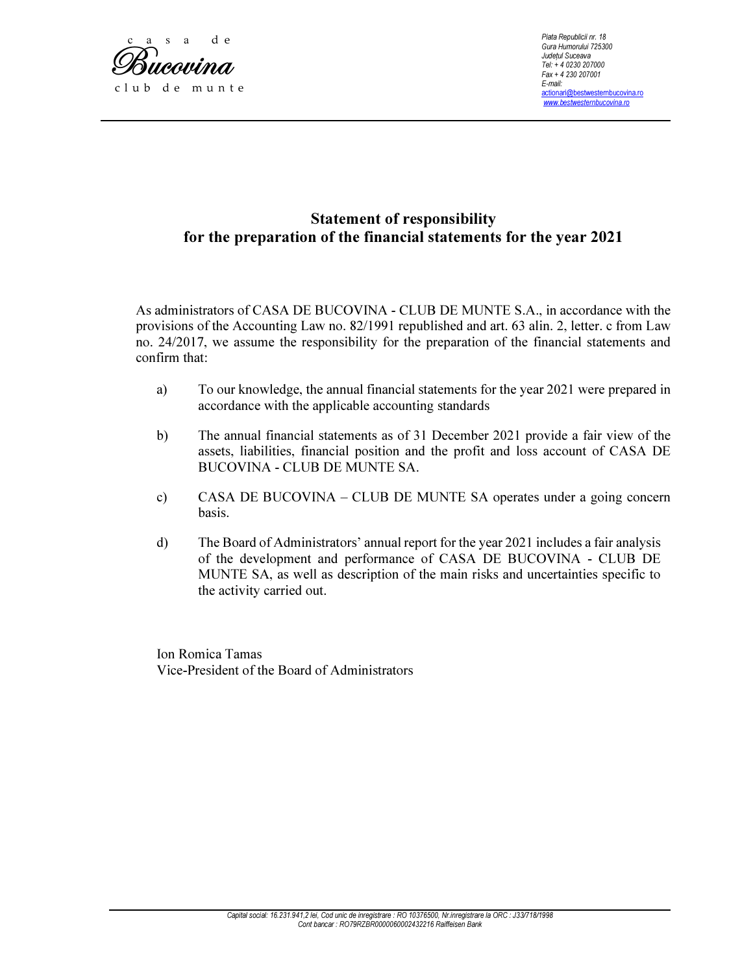

Piata Republicii nr. 18 Gura Humorului 725300 Județul Suceava Tel: + 4 0230 207000 Fax + 4 230 207001 E-mail: actionari@bestwesternbucovina.ro www.bestwesternbucovina.ro

#### Statement of responsibility for the preparation of the financial statements for the year 2021

As administrators of CASA DE BUCOVINA - CLUB DE MUNTE S.A., in accordance with the provisions of the Accounting Law no. 82/1991 republished and art. 63 alin. 2, letter. c from Law no. 24/2017, we assume the responsibility for the preparation of the financial statements and confirm that:

- a) To our knowledge, the annual financial statements for the year 2021 were prepared in accordance with the applicable accounting standards
- b) The annual financial statements as of 31 December 2021 provide a fair view of the assets, liabilities, financial position and the profit and loss account of CASA DE BUCOVINA - CLUB DE MUNTE SA.
- c) CASA DE BUCOVINA CLUB DE MUNTE SA operates under a going concern basis.
- d) The Board of Administrators' annual report for the year 2021 includes a fair analysis of the development and performance of CASA DE BUCOVINA - CLUB DE MUNTE SA, as well as description of the main risks and uncertainties specific to the activity carried out.

Ion Romica Tamas Vice-President of the Board of Administrators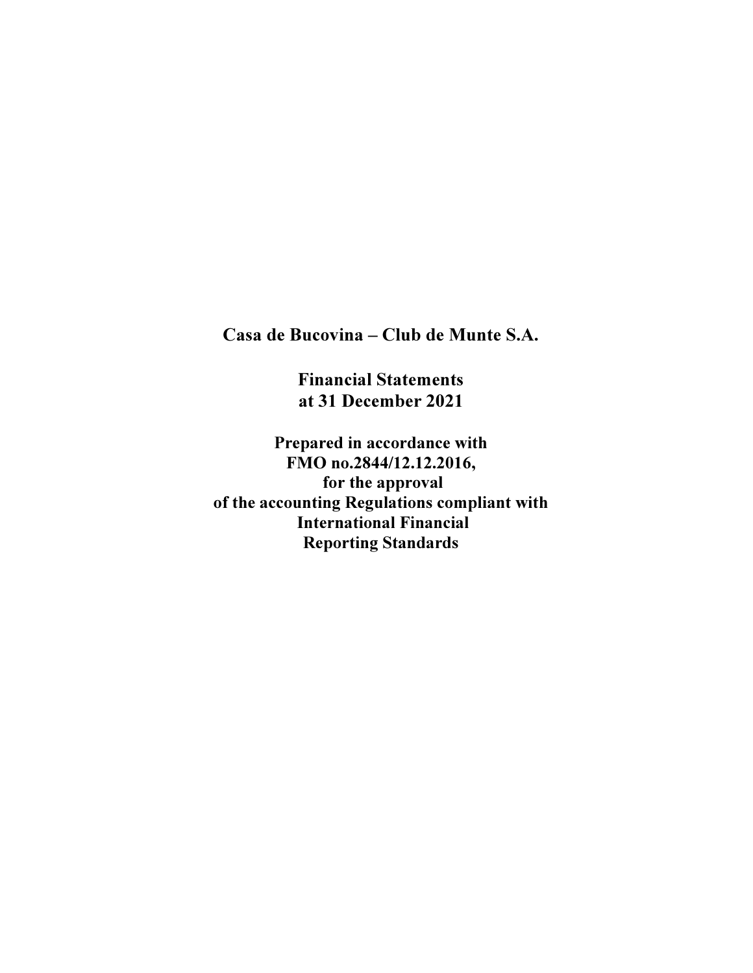Casa de Bucovina – Club de Munte S.A.

Financial Statements at 31 December 2021

Prepared in accordance with FMO no.2844/12.12.2016, for the approval of the accounting Regulations compliant with International Financial Reporting Standards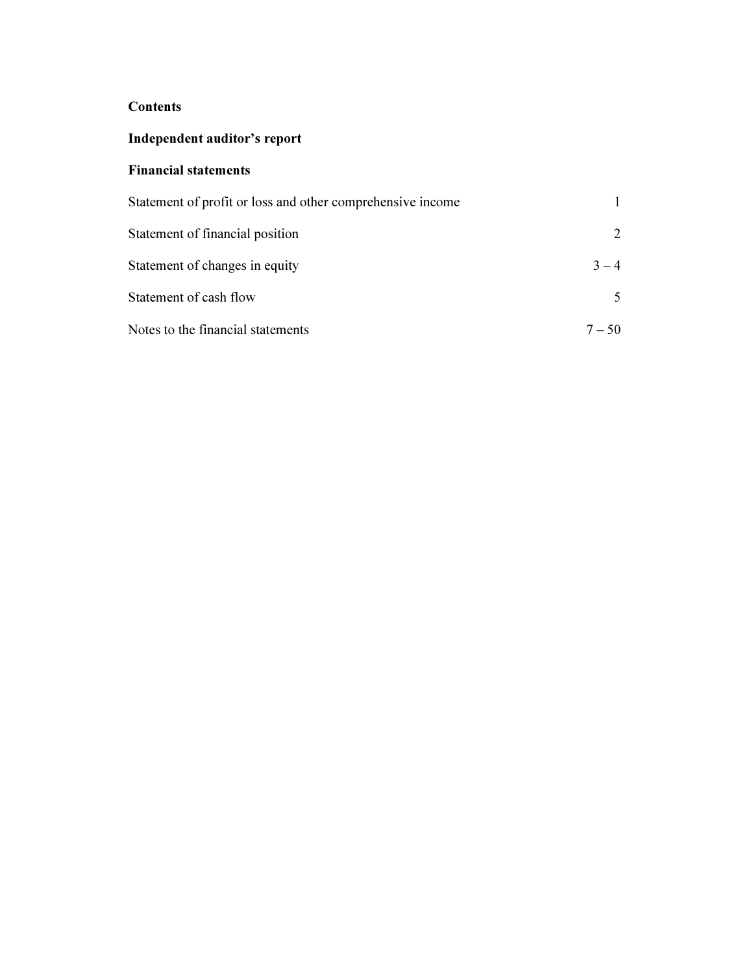#### **Contents**

#### Independent auditor's report

#### Financial statements

| Statement of profit or loss and other comprehensive income |          |
|------------------------------------------------------------|----------|
| Statement of financial position                            |          |
| Statement of changes in equity                             | $3 - 4$  |
| Statement of cash flow                                     |          |
| Notes to the financial statements                          | $7 - 50$ |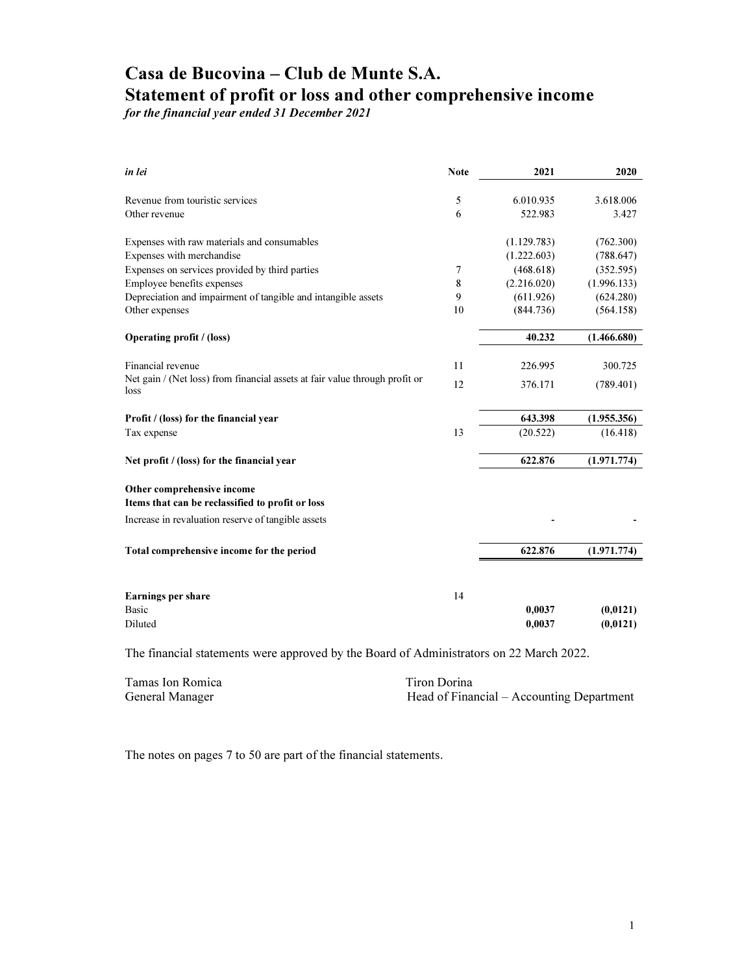## Casa de Bucovina – Club de Munte S.A. Statement of profit or loss and other comprehensive income

for the financial year ended 31 December 2021

| in lei                                                                                  | <b>Note</b> | 2021        | 2020        |
|-----------------------------------------------------------------------------------------|-------------|-------------|-------------|
| Revenue from touristic services                                                         | 5           | 6.010.935   | 3.618.006   |
| Other revenue                                                                           | 6           | 522.983     | 3.427       |
| Expenses with raw materials and consumables                                             |             | (1.129.783) | (762.300)   |
| Expenses with merchandise                                                               |             | (1.222.603) | (788.647)   |
| Expenses on services provided by third parties                                          | 7           | (468.618)   | (352.595)   |
| Employee benefits expenses                                                              | 8           | (2.216.020) | (1.996.133) |
| Depreciation and impairment of tangible and intangible assets                           | 9           | (611.926)   | (624.280)   |
| Other expenses                                                                          | 10          | (844.736)   | (564.158)   |
| Operating profit / (loss)                                                               |             | 40.232      | (1.466.680) |
|                                                                                         |             |             |             |
| Financial revenue                                                                       | 11          | 226.995     | 300.725     |
| Net gain / (Net loss) from financial assets at fair value through profit or<br>loss     | 12          | 376.171     | (789.401)   |
| Profit / (loss) for the financial year                                                  |             | 643.398     | (1.955.356) |
| Tax expense                                                                             | 13          | (20.522)    | (16.418)    |
| Net profit / (loss) for the financial year                                              |             | 622.876     | (1.971.774) |
| Other comprehensive income                                                              |             |             |             |
| Items that can be reclassified to profit or loss                                        |             |             |             |
| Increase in revaluation reserve of tangible assets                                      |             |             |             |
| Total comprehensive income for the period                                               |             | 622.876     | (1.971.774) |
| <b>Earnings per share</b>                                                               | 14          |             |             |
| <b>Basic</b>                                                                            |             | 0,0037      | (0, 0121)   |
| Diluted                                                                                 |             | 0,0037      | (0, 0121)   |
| The financial statements were approved by the Board of Administrators on 22 March 2022. |             |             |             |

| Tamas Ion Romica | Tiron Dorina                              |
|------------------|-------------------------------------------|
| General Manager  | Head of Financial – Accounting Department |

The notes on pages 7 to 50 are part of the financial statements.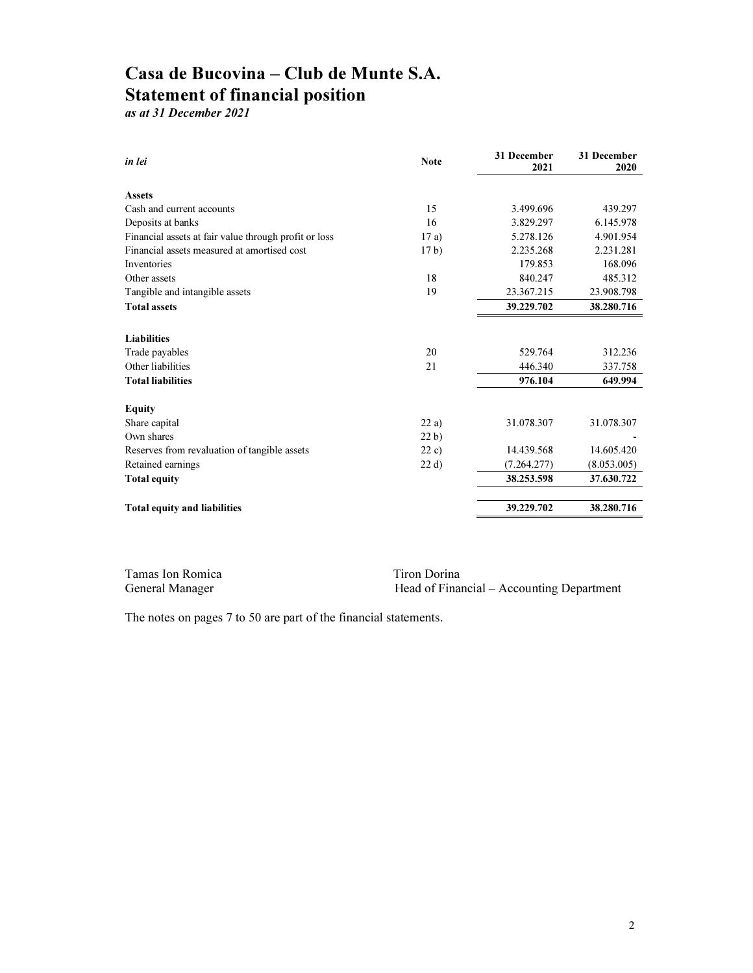## Casa de Bucovina – Club de Munte S.A. Statement of financial position

as at 31 December 2021

| in lei                                                | <b>Note</b>     | 31 December<br>2021 | 31 December<br>2020 |
|-------------------------------------------------------|-----------------|---------------------|---------------------|
| <b>Assets</b>                                         |                 |                     |                     |
| Cash and current accounts                             | 15              | 3.499.696           | 439.297             |
| Deposits at banks                                     | 16              | 3.829.297           | 6.145.978           |
| Financial assets at fair value through profit or loss | 17a)            | 5.278.126           | 4.901.954           |
| Financial assets measured at amortised cost           | 17 <sub>b</sub> | 2.235.268           | 2.231.281           |
| <b>Inventories</b>                                    |                 | 179.853             | 168.096             |
| Other assets                                          | 18              | 840.247             | 485.312             |
| Tangible and intangible assets                        | 19              | 23.367.215          | 23.908.798          |
| <b>Total assets</b>                                   |                 | 39.229.702          | 38.280.716          |
| <b>Liabilities</b>                                    |                 |                     |                     |
| Trade payables                                        | 20              | 529.764             | 312.236             |
| Other liabilities                                     | 21              | 446.340             | 337.758             |
| <b>Total liabilities</b>                              |                 | 976.104             | 649.994             |
| <b>Equity</b>                                         |                 |                     |                     |
| Share capital                                         | 22a)            | 31.078.307          | 31.078.307          |
| Own shares                                            | 22 <sub>b</sub> |                     |                     |
| Reserves from revaluation of tangible assets          | 22c)            | 14.439.568          | 14.605.420          |
| Retained earnings                                     | 22 d            | (7.264.277)         | (8.053.005)         |
| <b>Total equity</b>                                   |                 | 38.253.598          | 37.630.722          |
| <b>Total equity and liabilities</b>                   |                 | 39.229.702          | 38.280.716          |

Tamas Ion Romica<br>General Manager Fire Head of Finar

Head of Financial – Accounting Department

The notes on pages 7 to 50 are part of the financial statements.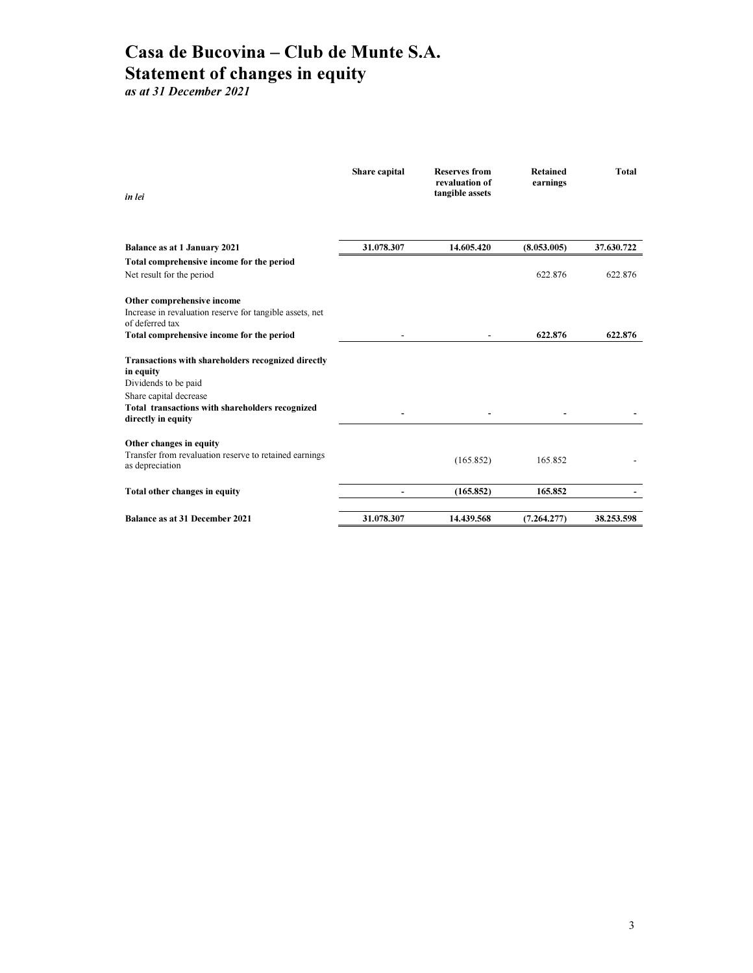## Casa de Bucovina – Club de Munte S.A. Statement of changes in equity

as at 31 December 2021

| in lei                                                                      | Share capital | <b>Reserves from</b><br>revaluation of<br>tangible assets | <b>Retained</b><br>earnings | <b>Total</b> |
|-----------------------------------------------------------------------------|---------------|-----------------------------------------------------------|-----------------------------|--------------|
| <b>Balance as at 1 January 2021</b>                                         | 31.078.307    | 14.605.420                                                | (8.053.005)                 | 37.630.722   |
| Total comprehensive income for the period                                   |               |                                                           |                             |              |
| Net result for the period                                                   |               |                                                           | 622.876                     | 622.876      |
| Other comprehensive income                                                  |               |                                                           |                             |              |
| Increase in revaluation reserve for tangible assets, net<br>of deferred tax |               |                                                           |                             |              |
| Total comprehensive income for the period                                   |               |                                                           | 622.876                     | 622.876      |
| Transactions with shareholders recognized directly<br>in equity             |               |                                                           |                             |              |
| Dividends to be paid                                                        |               |                                                           |                             |              |
| Share capital decrease                                                      |               |                                                           |                             |              |
| Total transactions with shareholders recognized<br>directly in equity       |               |                                                           |                             |              |
| Other changes in equity                                                     |               |                                                           |                             |              |
| Transfer from revaluation reserve to retained earnings<br>as depreciation   |               | (165.852)                                                 | 165.852                     |              |
| Total other changes in equity                                               |               | (165.852)                                                 | 165.852                     |              |
| <b>Balance as at 31 December 2021</b>                                       | 31.078.307    | 14.439.568                                                | (7.264.277)                 | 38.253.598   |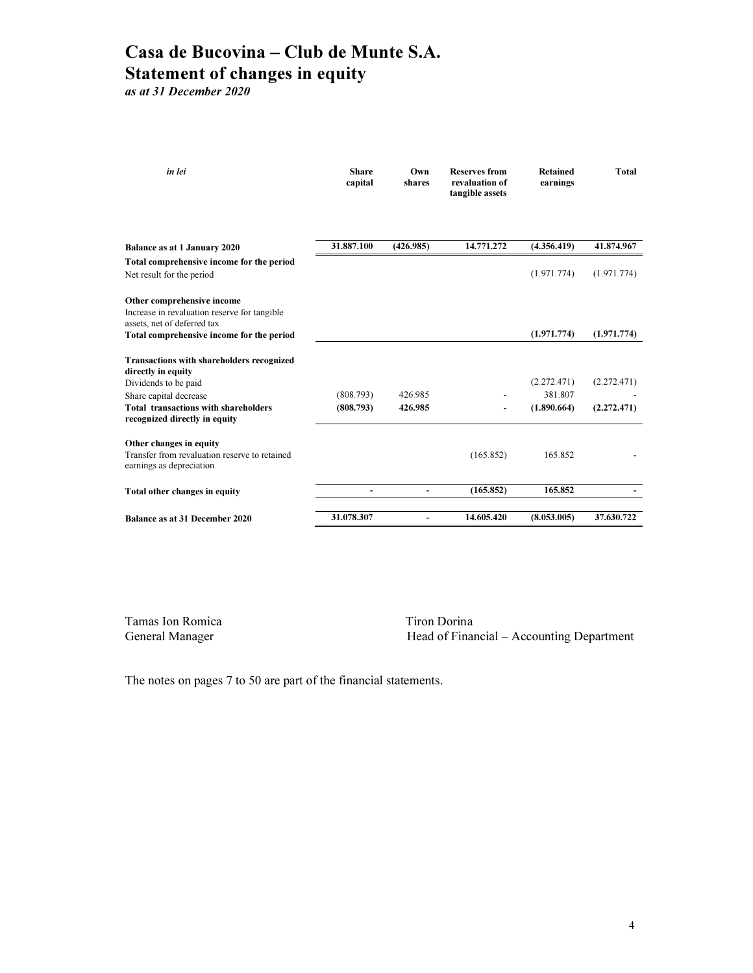## Casa de Bucovina – Club de Munte S.A. Statement of changes in equity

as at 31 December 2020

| in lei                                                                       | <b>Share</b><br>capital | Own<br>shares  | <b>Reserves from</b><br>revaluation of<br>tangible assets | <b>Retained</b><br>earnings | Total       |
|------------------------------------------------------------------------------|-------------------------|----------------|-----------------------------------------------------------|-----------------------------|-------------|
| <b>Balance as at 1 January 2020</b>                                          | 31.887.100              | (426.985)      | 14.771.272                                                | (4.356.419)                 | 41.874.967  |
| Total comprehensive income for the period                                    |                         |                |                                                           |                             |             |
| Net result for the period                                                    |                         |                |                                                           | (1.971.774)                 | (1.971.774) |
| Other comprehensive income                                                   |                         |                |                                                           |                             |             |
| Increase in revaluation reserve for tangible<br>assets, net of deferred tax  |                         |                |                                                           |                             |             |
| Total comprehensive income for the period                                    |                         |                |                                                           | (1.971.774)                 | (1.971.774) |
| <b>Transactions with shareholders recognized</b><br>directly in equity       |                         |                |                                                           |                             |             |
| Dividends to be paid                                                         |                         |                |                                                           | (2.272.471)                 | (2.272.471) |
| Share capital decrease                                                       | (808.793)               | 426.985        |                                                           | 381.807                     |             |
| <b>Total transactions with shareholders</b><br>recognized directly in equity | (808.793)               | 426.985        |                                                           | (1.890.664)                 | (2.272.471) |
| Other changes in equity                                                      |                         |                |                                                           |                             |             |
| Transfer from revaluation reserve to retained<br>earnings as depreciation    |                         |                | (165.852)                                                 | 165.852                     |             |
| Total other changes in equity                                                | ä,                      | $\overline{a}$ | (165.852)                                                 | 165.852                     |             |
| <b>Balance as at 31 December 2020</b>                                        | 31.078.307              | $\overline{a}$ | 14.605.420                                                | (8.053.005)                 | 37.630.722  |

Tamas Ion Romica<br>General Manager Tiron Dorina<br>Head of Finar

Head of Financial – Accounting Department

The notes on pages 7 to 50 are part of the financial statements.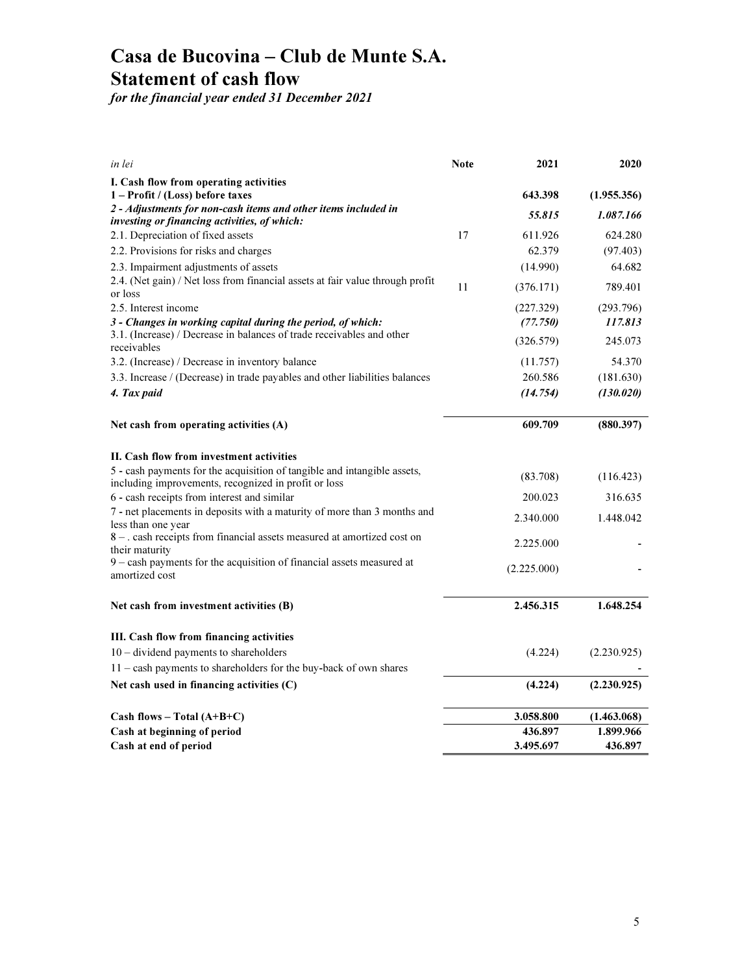## Casa de Bucovina – Club de Munte S.A. Statement of cash flow

for the financial year ended 31 December 2021

| in lei                                                                                                                           | <b>Note</b> | 2021        | 2020        |
|----------------------------------------------------------------------------------------------------------------------------------|-------------|-------------|-------------|
| I. Cash flow from operating activities                                                                                           |             |             |             |
| 1 - Profit / (Loss) before taxes                                                                                                 |             | 643.398     | (1.955.356) |
| 2 - Adjustments for non-cash items and other items included in<br>investing or financing activities, of which:                   |             | 55.815      | 1.087.166   |
| 2.1. Depreciation of fixed assets                                                                                                | 17          | 611.926     | 624.280     |
| 2.2. Provisions for risks and charges                                                                                            |             | 62.379      | (97.403)    |
| 2.3. Impairment adjustments of assets                                                                                            |             | (14.990)    | 64.682      |
| 2.4. (Net gain) / Net loss from financial assets at fair value through profit<br>or loss                                         | 11          | (376.171)   | 789.401     |
| 2.5. Interest income                                                                                                             |             | (227.329)   | (293.796)   |
| 3 - Changes in working capital during the period, of which:                                                                      |             | (77.750)    | 117.813     |
| 3.1. (Increase) / Decrease in balances of trade receivables and other<br>receivables                                             |             | (326.579)   | 245.073     |
| 3.2. (Increase) / Decrease in inventory balance                                                                                  |             | (11.757)    | 54.370      |
| 3.3. Increase / (Decrease) in trade payables and other liabilities balances                                                      |             | 260.586     | (181.630)   |
| 4. Tax paid                                                                                                                      |             | (14.754)    | (130.020)   |
| Net cash from operating activities (A)                                                                                           |             | 609.709     | (880.397)   |
| II. Cash flow from investment activities                                                                                         |             |             |             |
| 5 - cash payments for the acquisition of tangible and intangible assets,<br>including improvements, recognized in profit or loss |             | (83.708)    | (116.423)   |
| 6 - cash receipts from interest and similar                                                                                      |             | 200.023     | 316.635     |
| 7 - net placements in deposits with a maturity of more than 3 months and<br>less than one year                                   |             | 2.340.000   | 1.448.042   |
| 8 - . cash receipts from financial assets measured at amortized cost on<br>their maturity                                        |             | 2.225.000   |             |
| 9 - cash payments for the acquisition of financial assets measured at<br>amortized cost                                          |             | (2.225.000) |             |
| Net cash from investment activities (B)                                                                                          |             | 2.456.315   | 1.648.254   |
| III. Cash flow from financing activities                                                                                         |             |             |             |
| $10 -$ dividend payments to shareholders                                                                                         |             | (4.224)     | (2.230.925) |
| 11 - cash payments to shareholders for the buy-back of own shares                                                                |             |             |             |
| Net cash used in financing activities (C)                                                                                        |             | (4.224)     | (2.230.925) |
| Cash flows – Total $(A+B+C)$                                                                                                     |             | 3.058.800   | (1.463.068) |
| Cash at beginning of period                                                                                                      |             | 436.897     | 1.899.966   |
| Cash at end of period                                                                                                            |             | 3.495.697   | 436.897     |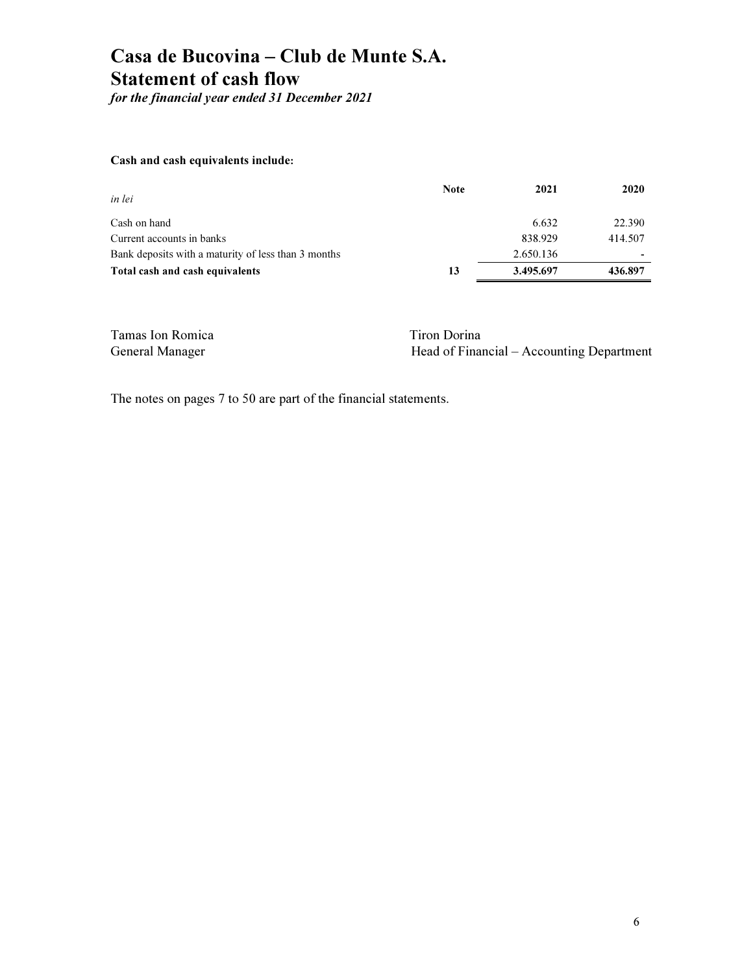## Casa de Bucovina – Club de Munte S.A. Statement of cash flow

for the financial year ended 31 December 2021

#### Cash and cash equivalents include:

| in lei                                              | <b>Note</b> | 2021      | 2020    |
|-----------------------------------------------------|-------------|-----------|---------|
| Cash on hand                                        |             | 6.632     | 22.390  |
| Current accounts in banks                           |             | 838.929   | 414.507 |
| Bank deposits with a maturity of less than 3 months |             | 2.650.136 | -       |
| Total cash and cash equivalents                     | 13          | 3.495.697 | 436.897 |

| Tamas Ion Romica | Tiron Dorina                              |
|------------------|-------------------------------------------|
| General Manager  | Head of Financial – Accounting Department |

The notes on pages 7 to 50 are part of the financial statements.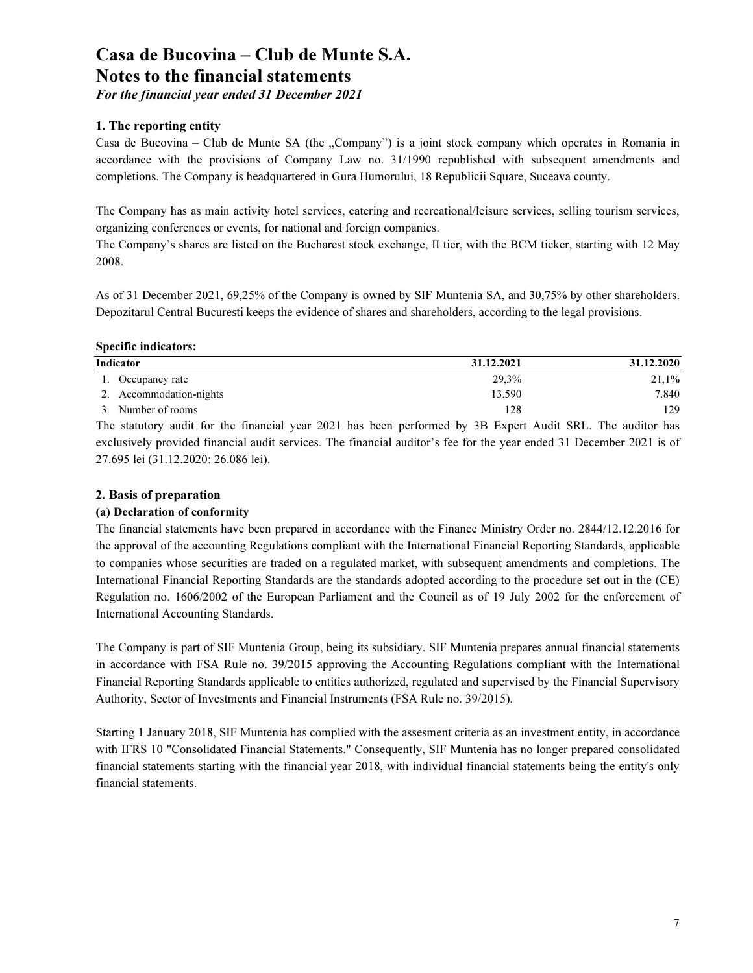For the financial year ended 31 December 2021

#### 1. The reporting entity

Casa de Bucovina – Club de Munte SA (the "Company") is a joint stock company which operates in Romania in accordance with the provisions of Company Law no. 31/1990 republished with subsequent amendments and completions. The Company is headquartered in Gura Humorului, 18 Republicii Square, Suceava county.

The Company has as main activity hotel services, catering and recreational/leisure services, selling tourism services, organizing conferences or events, for national and foreign companies.

The Company's shares are listed on the Bucharest stock exchange, II tier, with the BCM ticker, starting with 12 May 2008.

As of 31 December 2021, 69,25% of the Company is owned by SIF Muntenia SA, and 30,75% by other shareholders. Depozitarul Central Bucuresti keeps the evidence of shares and shareholders, according to the legal provisions.

Specific indicators:

|     | Indicator               | 31.12.2021                  | 31.12.2020 |
|-----|-------------------------|-----------------------------|------------|
|     | 1. Occupancy rate       | 29.3%                       | 21,1%      |
|     | 2. Accommodation-nights | 13.590                      | 7.840      |
|     | 3. Number of rooms      | 128                         | 129        |
| $-$ | .<br>.<br>------        | $\sim$<br>.<br>---<br>- - - | ___<br>___ |

The statutory audit for the financial year 2021 has been performed by 3B Expert Audit SRL. The auditor has exclusively provided financial audit services. The financial auditor's fee for the year ended 31 December 2021 is of 27.695 lei (31.12.2020: 26.086 lei).

#### 2. Basis of preparation

#### (a) Declaration of conformity

The financial statements have been prepared in accordance with the Finance Ministry Order no. 2844/12.12.2016 for the approval of the accounting Regulations compliant with the International Financial Reporting Standards, applicable to companies whose securities are traded on a regulated market, with subsequent amendments and completions. The International Financial Reporting Standards are the standards adopted according to the procedure set out in the (CE) Regulation no. 1606/2002 of the European Parliament and the Council as of 19 July 2002 for the enforcement of International Accounting Standards.

The Company is part of SIF Muntenia Group, being its subsidiary. SIF Muntenia prepares annual financial statements in accordance with FSA Rule no. 39/2015 approving the Accounting Regulations compliant with the International Financial Reporting Standards applicable to entities authorized, regulated and supervised by the Financial Supervisory Authority, Sector of Investments and Financial Instruments (FSA Rule no. 39/2015).

Starting 1 January 2018, SIF Muntenia has complied with the assesment criteria as an investment entity, in accordance with IFRS 10 "Consolidated Financial Statements." Consequently, SIF Muntenia has no longer prepared consolidated financial statements starting with the financial year 2018, with individual financial statements being the entity's only financial statements.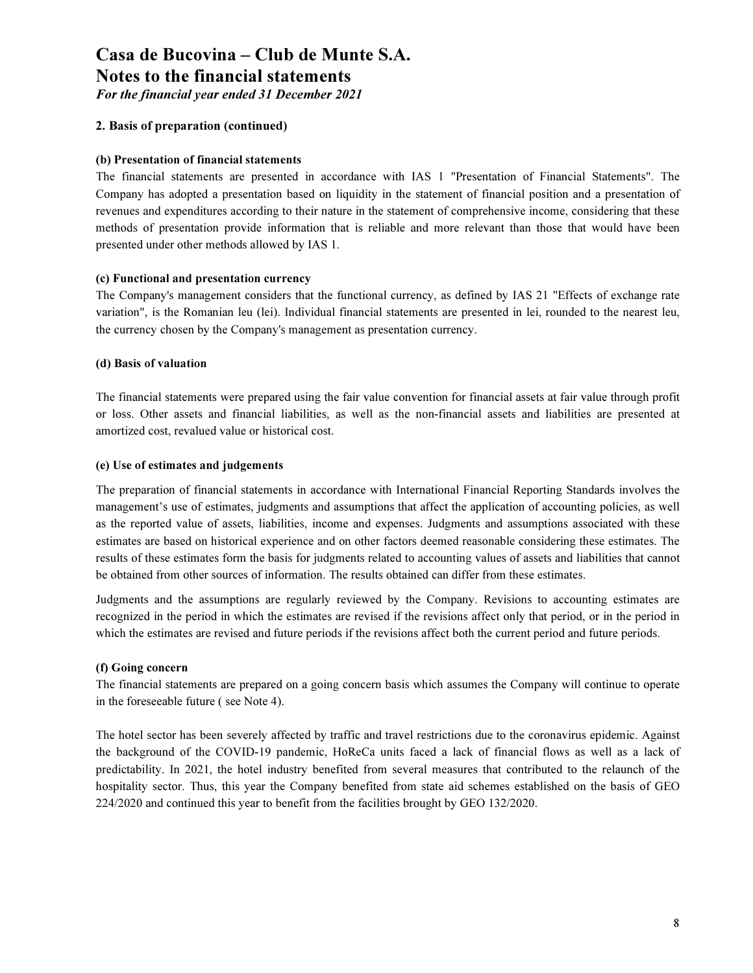For the financial year ended 31 December 2021

#### 2. Basis of preparation (continued)

#### (b) Presentation of financial statements

The financial statements are presented in accordance with IAS 1 "Presentation of Financial Statements". The Company has adopted a presentation based on liquidity in the statement of financial position and a presentation of revenues and expenditures according to their nature in the statement of comprehensive income, considering that these methods of presentation provide information that is reliable and more relevant than those that would have been presented under other methods allowed by IAS 1.

#### (c) Functional and presentation currency

The Company's management considers that the functional currency, as defined by IAS 21 "Effects of exchange rate variation", is the Romanian leu (lei). Individual financial statements are presented in lei, rounded to the nearest leu, the currency chosen by the Company's management as presentation currency.

#### (d) Basis of valuation

The financial statements were prepared using the fair value convention for financial assets at fair value through profit or loss. Other assets and financial liabilities, as well as the non-financial assets and liabilities are presented at amortized cost, revalued value or historical cost.

#### (e) Use of estimates and judgements

The preparation of financial statements in accordance with International Financial Reporting Standards involves the management's use of estimates, judgments and assumptions that affect the application of accounting policies, as well as the reported value of assets, liabilities, income and expenses. Judgments and assumptions associated with these estimates are based on historical experience and on other factors deemed reasonable considering these estimates. The results of these estimates form the basis for judgments related to accounting values of assets and liabilities that cannot be obtained from other sources of information. The results obtained can differ from these estimates.

Judgments and the assumptions are regularly reviewed by the Company. Revisions to accounting estimates are recognized in the period in which the estimates are revised if the revisions affect only that period, or in the period in which the estimates are revised and future periods if the revisions affect both the current period and future periods.

#### (f) Going concern

The financial statements are prepared on a going concern basis which assumes the Company will continue to operate in the foreseeable future ( see Note 4).

The hotel sector has been severely affected by traffic and travel restrictions due to the coronavirus epidemic. Against the background of the COVID-19 pandemic, HoReCa units faced a lack of financial flows as well as a lack of predictability. In 2021, the hotel industry benefited from several measures that contributed to the relaunch of the hospitality sector. Thus, this year the Company benefited from state aid schemes established on the basis of GEO 224/2020 and continued this year to benefit from the facilities brought by GEO 132/2020.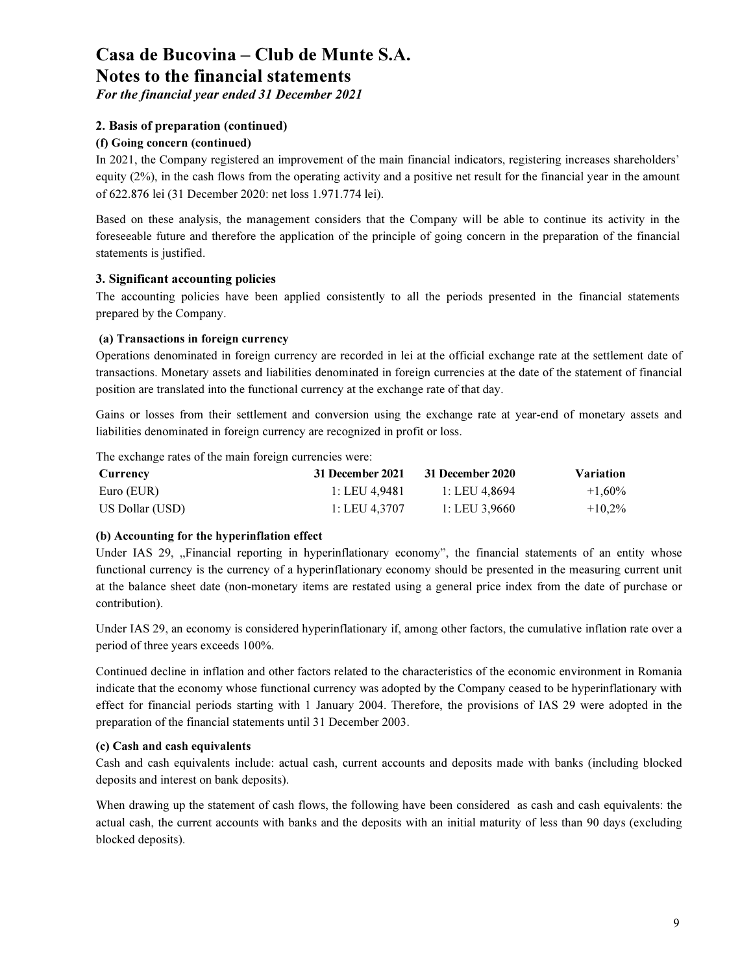For the financial year ended 31 December 2021

#### 2. Basis of preparation (continued)

#### (f) Going concern (continued)

In 2021, the Company registered an improvement of the main financial indicators, registering increases shareholders' equity (2%), in the cash flows from the operating activity and a positive net result for the financial year in the amount of 622.876 lei (31 December 2020: net loss 1.971.774 lei).

Based on these analysis, the management considers that the Company will be able to continue its activity in the foreseeable future and therefore the application of the principle of going concern in the preparation of the financial statements is justified.

#### 3. Significant accounting policies

The accounting policies have been applied consistently to all the periods presented in the financial statements prepared by the Company.

#### (a) Transactions in foreign currency

Operations denominated in foreign currency are recorded in lei at the official exchange rate at the settlement date of transactions. Monetary assets and liabilities denominated in foreign currencies at the date of the statement of financial position are translated into the functional currency at the exchange rate of that day.

Gains or losses from their settlement and conversion using the exchange rate at year-end of monetary assets and liabilities denominated in foreign currency are recognized in profit or loss.

The exchange rates of the main foreign currencies were:

| Currency        | 31 December 2021 | 31 December 2020 | <b>Variation</b> |
|-----------------|------------------|------------------|------------------|
| Euro (EUR)      | 1: LEU 4.9481    | 1: LEU 4.8694    | $+1,60\%$        |
| US Dollar (USD) | 1: LEU 4.3707    | 1: LEU 3.9660    | $+10,2%$         |

#### (b) Accounting for the hyperinflation effect

Under IAS 29, "Financial reporting in hyperinflationary economy", the financial statements of an entity whose functional currency is the currency of a hyperinflationary economy should be presented in the measuring current unit at the balance sheet date (non-monetary items are restated using a general price index from the date of purchase or contribution).

Under IAS 29, an economy is considered hyperinflationary if, among other factors, the cumulative inflation rate over a period of three years exceeds 100%.

Continued decline in inflation and other factors related to the characteristics of the economic environment in Romania indicate that the economy whose functional currency was adopted by the Company ceased to be hyperinflationary with effect for financial periods starting with 1 January 2004. Therefore, the provisions of IAS 29 were adopted in the preparation of the financial statements until 31 December 2003.

#### (c) Cash and cash equivalents

Cash and cash equivalents include: actual cash, current accounts and deposits made with banks (including blocked deposits and interest on bank deposits).

When drawing up the statement of cash flows, the following have been considered as cash and cash equivalents: the actual cash, the current accounts with banks and the deposits with an initial maturity of less than 90 days (excluding blocked deposits).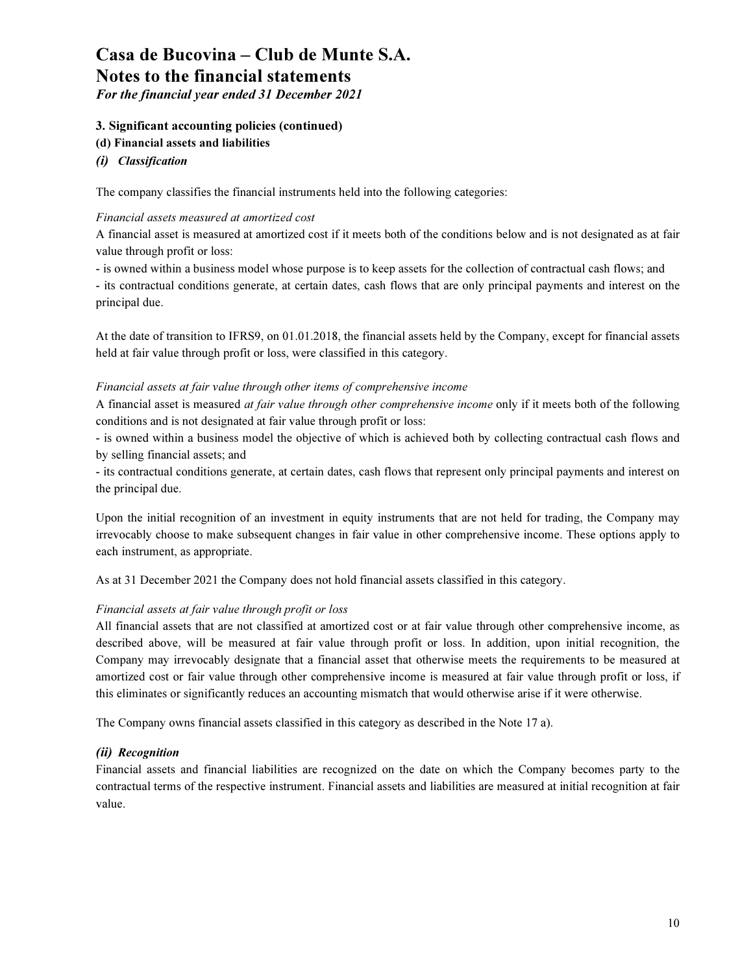For the financial year ended 31 December 2021

#### 3. Significant accounting policies (continued)

- (d) Financial assets and liabilities
- (i) Classification

The company classifies the financial instruments held into the following categories:

#### Financial assets measured at amortized cost

A financial asset is measured at amortized cost if it meets both of the conditions below and is not designated as at fair value through profit or loss:

- is owned within a business model whose purpose is to keep assets for the collection of contractual cash flows; and - its contractual conditions generate, at certain dates, cash flows that are only principal payments and interest on the principal due.

At the date of transition to IFRS9, on 01.01.2018, the financial assets held by the Company, except for financial assets held at fair value through profit or loss, were classified in this category.

#### Financial assets at fair value through other items of comprehensive income

A financial asset is measured at fair value through other comprehensive income only if it meets both of the following conditions and is not designated at fair value through profit or loss:

- is owned within a business model the objective of which is achieved both by collecting contractual cash flows and by selling financial assets; and

- its contractual conditions generate, at certain dates, cash flows that represent only principal payments and interest on the principal due.

Upon the initial recognition of an investment in equity instruments that are not held for trading, the Company may irrevocably choose to make subsequent changes in fair value in other comprehensive income. These options apply to each instrument, as appropriate.

As at 31 December 2021 the Company does not hold financial assets classified in this category.

#### Financial assets at fair value through profit or loss

All financial assets that are not classified at amortized cost or at fair value through other comprehensive income, as described above, will be measured at fair value through profit or loss. In addition, upon initial recognition, the Company may irrevocably designate that a financial asset that otherwise meets the requirements to be measured at amortized cost or fair value through other comprehensive income is measured at fair value through profit or loss, if this eliminates or significantly reduces an accounting mismatch that would otherwise arise if it were otherwise.

The Company owns financial assets classified in this category as described in the Note 17 a).

#### (ii) Recognition

Financial assets and financial liabilities are recognized on the date on which the Company becomes party to the contractual terms of the respective instrument. Financial assets and liabilities are measured at initial recognition at fair value.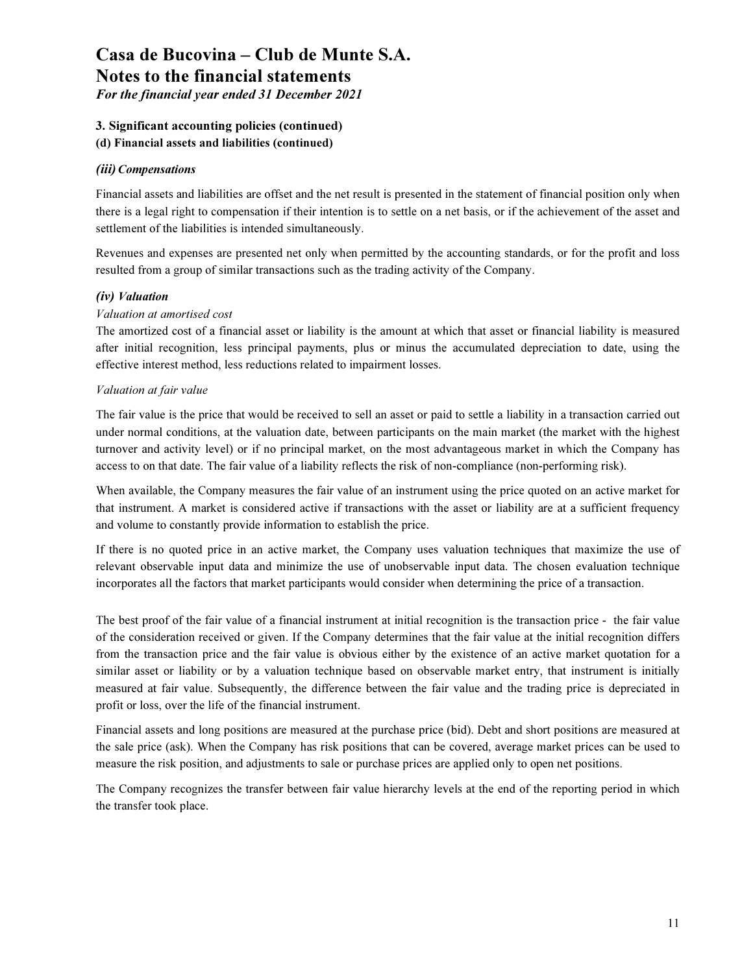For the financial year ended 31 December 2021

#### 3. Significant accounting policies (continued)

#### (d) Financial assets and liabilities (continued)

#### (iii) Compensations

Financial assets and liabilities are offset and the net result is presented in the statement of financial position only when there is a legal right to compensation if their intention is to settle on a net basis, or if the achievement of the asset and settlement of the liabilities is intended simultaneously.

Revenues and expenses are presented net only when permitted by the accounting standards, or for the profit and loss resulted from a group of similar transactions such as the trading activity of the Company.

#### (iv) Valuation

#### Valuation at amortised cost

The amortized cost of a financial asset or liability is the amount at which that asset or financial liability is measured after initial recognition, less principal payments, plus or minus the accumulated depreciation to date, using the effective interest method, less reductions related to impairment losses.

#### Valuation at fair value

The fair value is the price that would be received to sell an asset or paid to settle a liability in a transaction carried out under normal conditions, at the valuation date, between participants on the main market (the market with the highest turnover and activity level) or if no principal market, on the most advantageous market in which the Company has access to on that date. The fair value of a liability reflects the risk of non-compliance (non-performing risk).

When available, the Company measures the fair value of an instrument using the price quoted on an active market for that instrument. A market is considered active if transactions with the asset or liability are at a sufficient frequency and volume to constantly provide information to establish the price.

If there is no quoted price in an active market, the Company uses valuation techniques that maximize the use of relevant observable input data and minimize the use of unobservable input data. The chosen evaluation technique incorporates all the factors that market participants would consider when determining the price of a transaction.

The best proof of the fair value of a financial instrument at initial recognition is the transaction price - the fair value of the consideration received or given. If the Company determines that the fair value at the initial recognition differs from the transaction price and the fair value is obvious either by the existence of an active market quotation for a similar asset or liability or by a valuation technique based on observable market entry, that instrument is initially measured at fair value. Subsequently, the difference between the fair value and the trading price is depreciated in profit or loss, over the life of the financial instrument.

Financial assets and long positions are measured at the purchase price (bid). Debt and short positions are measured at the sale price (ask). When the Company has risk positions that can be covered, average market prices can be used to measure the risk position, and adjustments to sale or purchase prices are applied only to open net positions.

The Company recognizes the transfer between fair value hierarchy levels at the end of the reporting period in which the transfer took place.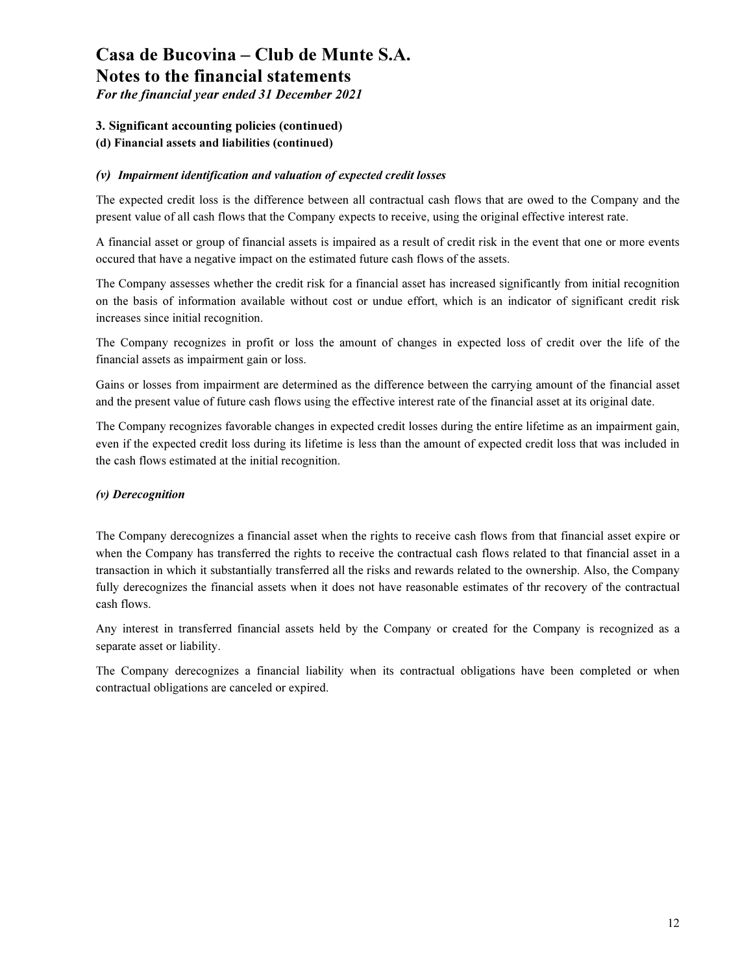For the financial year ended 31 December 2021

#### 3. Significant accounting policies (continued)

#### (d) Financial assets and liabilities (continued)

#### (v) Impairment identification and valuation of expected credit losses

The expected credit loss is the difference between all contractual cash flows that are owed to the Company and the present value of all cash flows that the Company expects to receive, using the original effective interest rate.

A financial asset or group of financial assets is impaired as a result of credit risk in the event that one or more events occured that have a negative impact on the estimated future cash flows of the assets.

The Company assesses whether the credit risk for a financial asset has increased significantly from initial recognition on the basis of information available without cost or undue effort, which is an indicator of significant credit risk increases since initial recognition.

The Company recognizes in profit or loss the amount of changes in expected loss of credit over the life of the financial assets as impairment gain or loss.

Gains or losses from impairment are determined as the difference between the carrying amount of the financial asset and the present value of future cash flows using the effective interest rate of the financial asset at its original date.

The Company recognizes favorable changes in expected credit losses during the entire lifetime as an impairment gain, even if the expected credit loss during its lifetime is less than the amount of expected credit loss that was included in the cash flows estimated at the initial recognition.

#### (v) Derecognition

The Company derecognizes a financial asset when the rights to receive cash flows from that financial asset expire or when the Company has transferred the rights to receive the contractual cash flows related to that financial asset in a transaction in which it substantially transferred all the risks and rewards related to the ownership. Also, the Company fully derecognizes the financial assets when it does not have reasonable estimates of thr recovery of the contractual cash flows.

Any interest in transferred financial assets held by the Company or created for the Company is recognized as a separate asset or liability.

The Company derecognizes a financial liability when its contractual obligations have been completed or when contractual obligations are canceled or expired.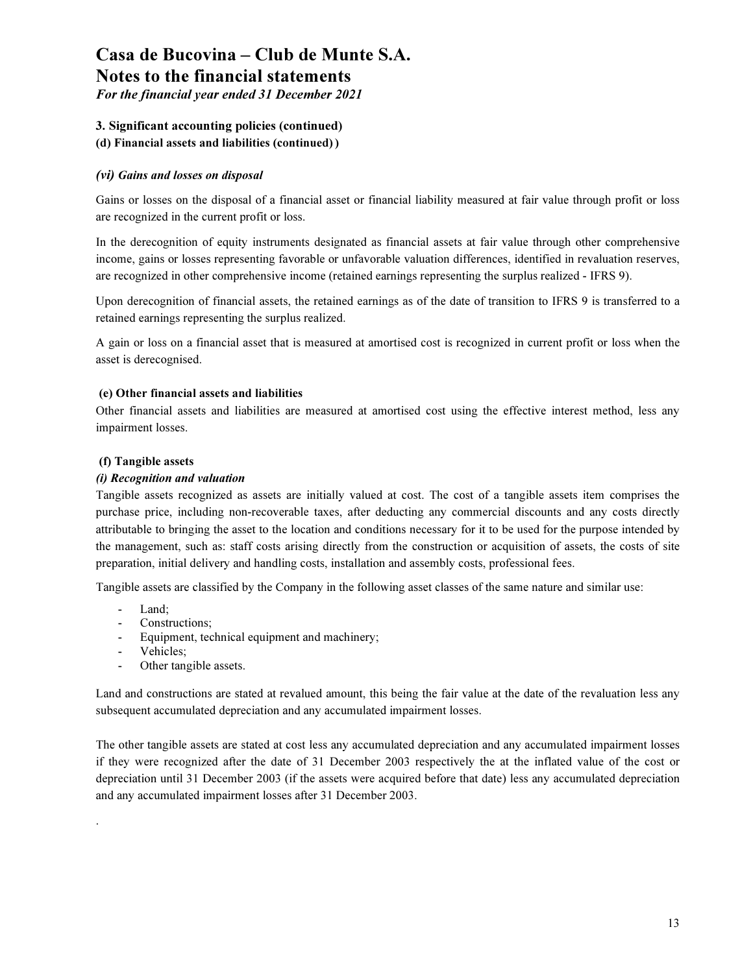For the financial year ended 31 December 2021

#### 3. Significant accounting policies (continued)

(d) Financial assets and liabilities (continued) )

#### (vi) Gains and losses on disposal

Gains or losses on the disposal of a financial asset or financial liability measured at fair value through profit or loss are recognized in the current profit or loss.

In the derecognition of equity instruments designated as financial assets at fair value through other comprehensive income, gains or losses representing favorable or unfavorable valuation differences, identified in revaluation reserves, are recognized in other comprehensive income (retained earnings representing the surplus realized - IFRS 9).

Upon derecognition of financial assets, the retained earnings as of the date of transition to IFRS 9 is transferred to a retained earnings representing the surplus realized.

A gain or loss on a financial asset that is measured at amortised cost is recognized in current profit or loss when the asset is derecognised.

#### (e) Other financial assets and liabilities

Other financial assets and liabilities are measured at amortised cost using the effective interest method, less any impairment losses.

#### (f) Tangible assets

#### (i) Recognition and valuation

Tangible assets recognized as assets are initially valued at cost. The cost of a tangible assets item comprises the purchase price, including non-recoverable taxes, after deducting any commercial discounts and any costs directly attributable to bringing the asset to the location and conditions necessary for it to be used for the purpose intended by the management, such as: staff costs arising directly from the construction or acquisition of assets, the costs of site preparation, initial delivery and handling costs, installation and assembly costs, professional fees.

Tangible assets are classified by the Company in the following asset classes of the same nature and similar use:

- Land;
- Constructions;
- Equipment, technical equipment and machinery;
- Vehicles;

.

Other tangible assets.

Land and constructions are stated at revalued amount, this being the fair value at the date of the revaluation less any subsequent accumulated depreciation and any accumulated impairment losses.

The other tangible assets are stated at cost less any accumulated depreciation and any accumulated impairment losses if they were recognized after the date of 31 December 2003 respectively the at the inflated value of the cost or depreciation until 31 December 2003 (if the assets were acquired before that date) less any accumulated depreciation and any accumulated impairment losses after 31 December 2003.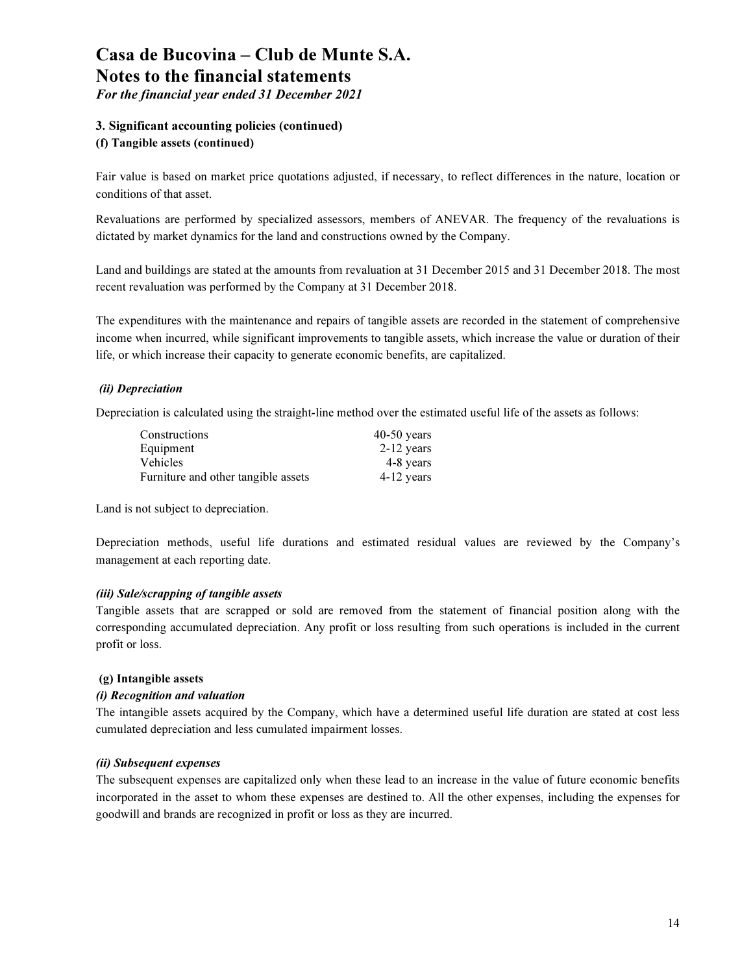For the financial year ended 31 December 2021

#### 3. Significant accounting policies (continued)

#### (f) Tangible assets (continued)

Fair value is based on market price quotations adjusted, if necessary, to reflect differences in the nature, location or conditions of that asset.

Revaluations are performed by specialized assessors, members of ANEVAR. The frequency of the revaluations is dictated by market dynamics for the land and constructions owned by the Company.

Land and buildings are stated at the amounts from revaluation at 31 December 2015 and 31 December 2018. The most recent revaluation was performed by the Company at 31 December 2018.

The expenditures with the maintenance and repairs of tangible assets are recorded in the statement of comprehensive income when incurred, while significant improvements to tangible assets, which increase the value or duration of their life, or which increase their capacity to generate economic benefits, are capitalized.

#### (ii) Depreciation

Depreciation is calculated using the straight-line method over the estimated useful life of the assets as follows:

| Constructions                       | $40-50$ years |
|-------------------------------------|---------------|
| Equipment                           | $2-12$ years  |
| <b>Vehicles</b>                     | 4-8 years     |
| Furniture and other tangible assets | $4-12$ years  |

Land is not subject to depreciation.

Depreciation methods, useful life durations and estimated residual values are reviewed by the Company's management at each reporting date.

#### (iii) Sale/scrapping of tangible assets

Tangible assets that are scrapped or sold are removed from the statement of financial position along with the corresponding accumulated depreciation. Any profit or loss resulting from such operations is included in the current profit or loss.

#### (g) Intangible assets

#### (i) Recognition and valuation

The intangible assets acquired by the Company, which have a determined useful life duration are stated at cost less cumulated depreciation and less cumulated impairment losses.

#### (ii) Subsequent expenses

The subsequent expenses are capitalized only when these lead to an increase in the value of future economic benefits incorporated in the asset to whom these expenses are destined to. All the other expenses, including the expenses for goodwill and brands are recognized in profit or loss as they are incurred.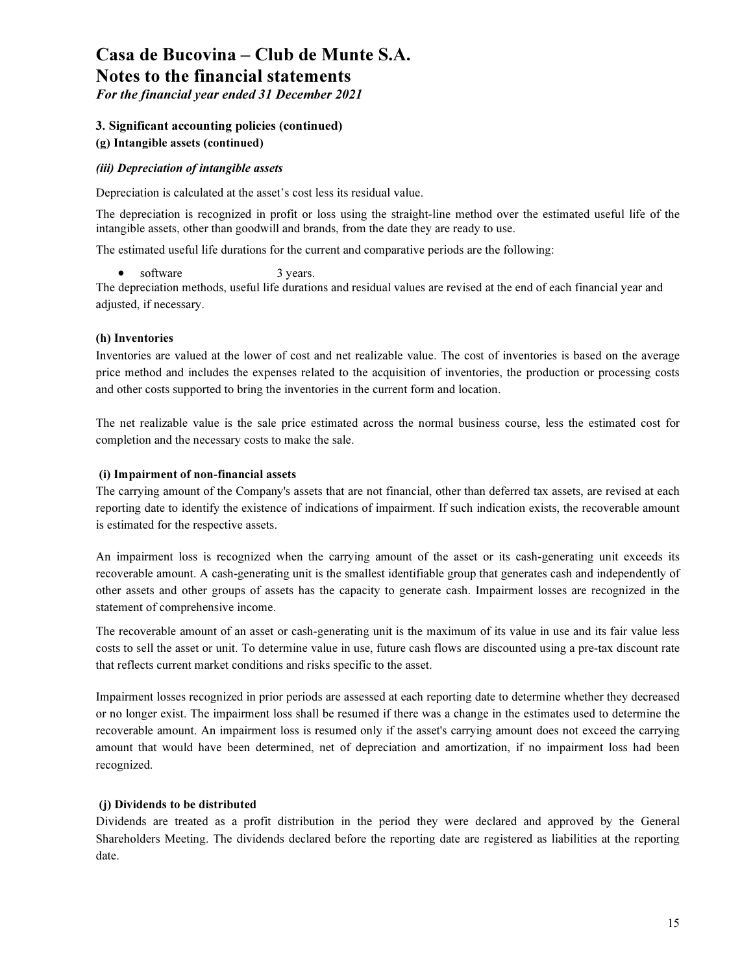For the financial year ended 31 December 2021

#### 3. Significant accounting policies (continued)

(g) Intangible assets (continued)

#### (iii) Depreciation of intangible assets

Depreciation is calculated at the asset's cost less its residual value.

The depreciation is recognized in profit or loss using the straight-line method over the estimated useful life of the intangible assets, other than goodwill and brands, from the date they are ready to use.

The estimated useful life durations for the current and comparative periods are the following:

software 3 years.

The depreciation methods, useful life durations and residual values are revised at the end of each financial year and adjusted, if necessary.

#### (h) Inventories

Inventories are valued at the lower of cost and net realizable value. The cost of inventories is based on the average price method and includes the expenses related to the acquisition of inventories, the production or processing costs and other costs supported to bring the inventories in the current form and location.

The net realizable value is the sale price estimated across the normal business course, less the estimated cost for completion and the necessary costs to make the sale.

#### (i) Impairment of non-financial assets

The carrying amount of the Company's assets that are not financial, other than deferred tax assets, are revised at each reporting date to identify the existence of indications of impairment. If such indication exists, the recoverable amount is estimated for the respective assets.

An impairment loss is recognized when the carrying amount of the asset or its cash-generating unit exceeds its recoverable amount. A cash-generating unit is the smallest identifiable group that generates cash and independently of other assets and other groups of assets has the capacity to generate cash. Impairment losses are recognized in the statement of comprehensive income.

The recoverable amount of an asset or cash-generating unit is the maximum of its value in use and its fair value less costs to sell the asset or unit. To determine value in use, future cash flows are discounted using a pre-tax discount rate that reflects current market conditions and risks specific to the asset.

Impairment losses recognized in prior periods are assessed at each reporting date to determine whether they decreased or no longer exist. The impairment loss shall be resumed if there was a change in the estimates used to determine the recoverable amount. An impairment loss is resumed only if the asset's carrying amount does not exceed the carrying amount that would have been determined, net of depreciation and amortization, if no impairment loss had been recognized.

#### (j) Dividends to be distributed

Dividends are treated as a profit distribution in the period they were declared and approved by the General Shareholders Meeting. The dividends declared before the reporting date are registered as liabilities at the reporting date.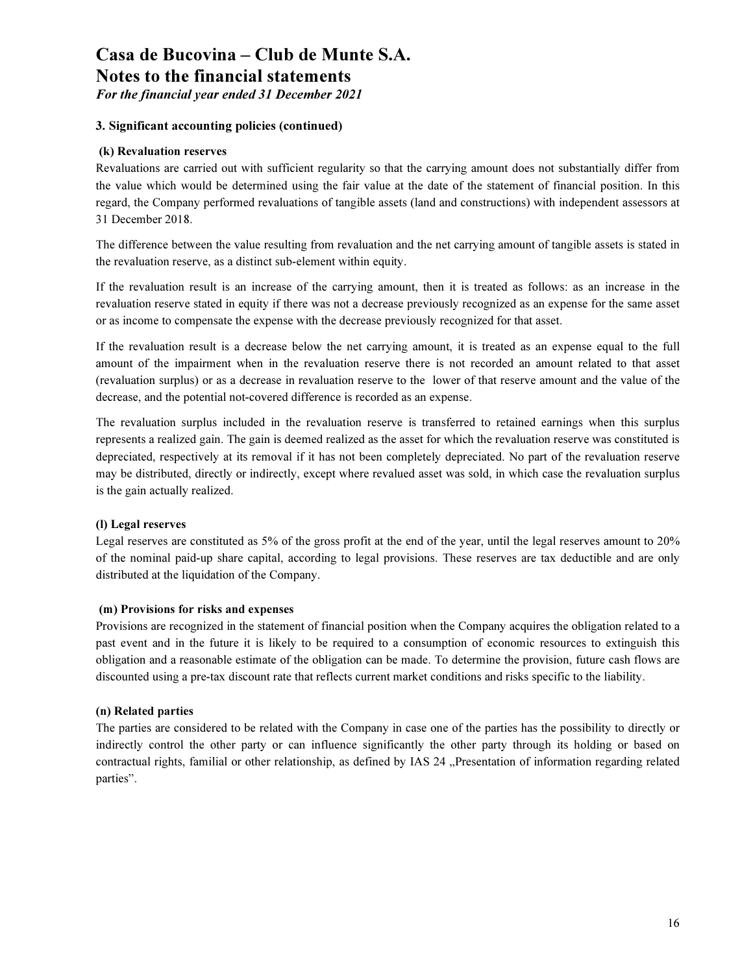For the financial year ended 31 December 2021

#### 3. Significant accounting policies (continued)

#### (k) Revaluation reserves

Revaluations are carried out with sufficient regularity so that the carrying amount does not substantially differ from the value which would be determined using the fair value at the date of the statement of financial position. In this regard, the Company performed revaluations of tangible assets (land and constructions) with independent assessors at 31 December 2018.

The difference between the value resulting from revaluation and the net carrying amount of tangible assets is stated in the revaluation reserve, as a distinct sub-element within equity.

If the revaluation result is an increase of the carrying amount, then it is treated as follows: as an increase in the revaluation reserve stated in equity if there was not a decrease previously recognized as an expense for the same asset or as income to compensate the expense with the decrease previously recognized for that asset.

If the revaluation result is a decrease below the net carrying amount, it is treated as an expense equal to the full amount of the impairment when in the revaluation reserve there is not recorded an amount related to that asset (revaluation surplus) or as a decrease in revaluation reserve to the lower of that reserve amount and the value of the decrease, and the potential not-covered difference is recorded as an expense.

The revaluation surplus included in the revaluation reserve is transferred to retained earnings when this surplus represents a realized gain. The gain is deemed realized as the asset for which the revaluation reserve was constituted is depreciated, respectively at its removal if it has not been completely depreciated. No part of the revaluation reserve may be distributed, directly or indirectly, except where revalued asset was sold, in which case the revaluation surplus is the gain actually realized.

#### (l) Legal reserves

Legal reserves are constituted as 5% of the gross profit at the end of the year, until the legal reserves amount to 20% of the nominal paid-up share capital, according to legal provisions. These reserves are tax deductible and are only distributed at the liquidation of the Company.

#### (m) Provisions for risks and expenses

Provisions are recognized in the statement of financial position when the Company acquires the obligation related to a past event and in the future it is likely to be required to a consumption of economic resources to extinguish this obligation and a reasonable estimate of the obligation can be made. To determine the provision, future cash flows are discounted using a pre-tax discount rate that reflects current market conditions and risks specific to the liability.

#### (n) Related parties

The parties are considered to be related with the Company in case one of the parties has the possibility to directly or indirectly control the other party or can influence significantly the other party through its holding or based on contractual rights, familial or other relationship, as defined by IAS 24, Presentation of information regarding related parties".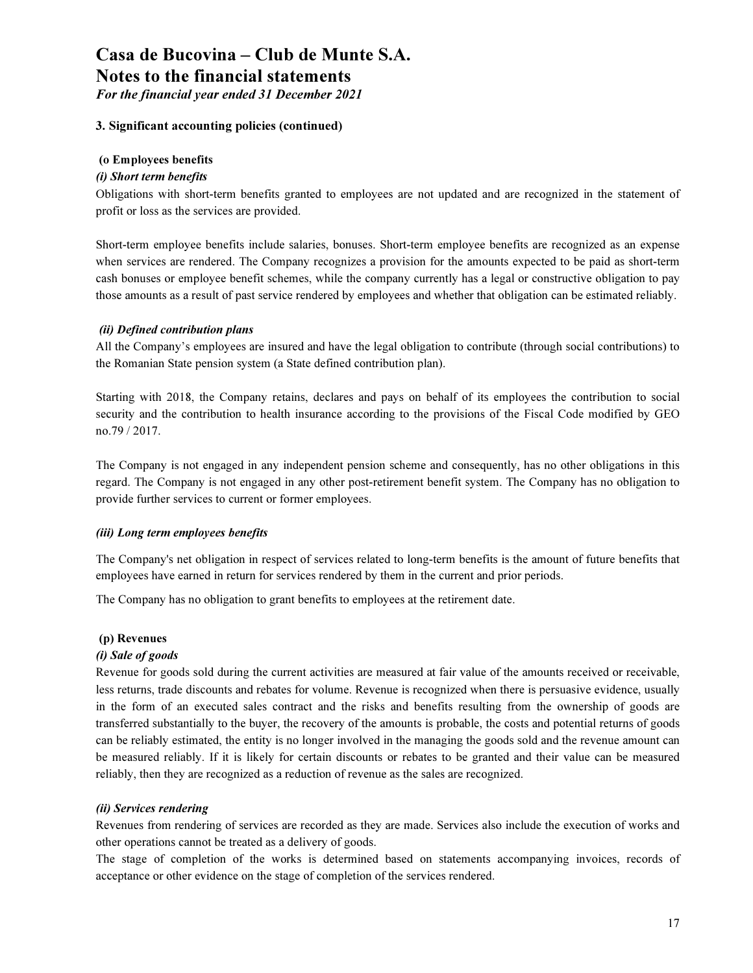For the financial year ended 31 December 2021

#### 3. Significant accounting policies (continued)

#### (o Employees benefits

#### (i) Short term benefits

Obligations with short-term benefits granted to employees are not updated and are recognized in the statement of profit or loss as the services are provided.

Short-term employee benefits include salaries, bonuses. Short-term employee benefits are recognized as an expense when services are rendered. The Company recognizes a provision for the amounts expected to be paid as short-term cash bonuses or employee benefit schemes, while the company currently has a legal or constructive obligation to pay those amounts as a result of past service rendered by employees and whether that obligation can be estimated reliably.

#### (ii) Defined contribution plans

All the Company's employees are insured and have the legal obligation to contribute (through social contributions) to the Romanian State pension system (a State defined contribution plan).

Starting with 2018, the Company retains, declares and pays on behalf of its employees the contribution to social security and the contribution to health insurance according to the provisions of the Fiscal Code modified by GEO no.79 / 2017.

The Company is not engaged in any independent pension scheme and consequently, has no other obligations in this regard. The Company is not engaged in any other post-retirement benefit system. The Company has no obligation to provide further services to current or former employees.

#### (iii) Long term employees benefits

The Company's net obligation in respect of services related to long-term benefits is the amount of future benefits that employees have earned in return for services rendered by them in the current and prior periods.

The Company has no obligation to grant benefits to employees at the retirement date.

#### (p) Revenues

#### (i) Sale of goods

Revenue for goods sold during the current activities are measured at fair value of the amounts received or receivable, less returns, trade discounts and rebates for volume. Revenue is recognized when there is persuasive evidence, usually in the form of an executed sales contract and the risks and benefits resulting from the ownership of goods are transferred substantially to the buyer, the recovery of the amounts is probable, the costs and potential returns of goods can be reliably estimated, the entity is no longer involved in the managing the goods sold and the revenue amount can be measured reliably. If it is likely for certain discounts or rebates to be granted and their value can be measured reliably, then they are recognized as a reduction of revenue as the sales are recognized.

#### (ii) Services rendering

Revenues from rendering of services are recorded as they are made. Services also include the execution of works and other operations cannot be treated as a delivery of goods.

The stage of completion of the works is determined based on statements accompanying invoices, records of acceptance or other evidence on the stage of completion of the services rendered.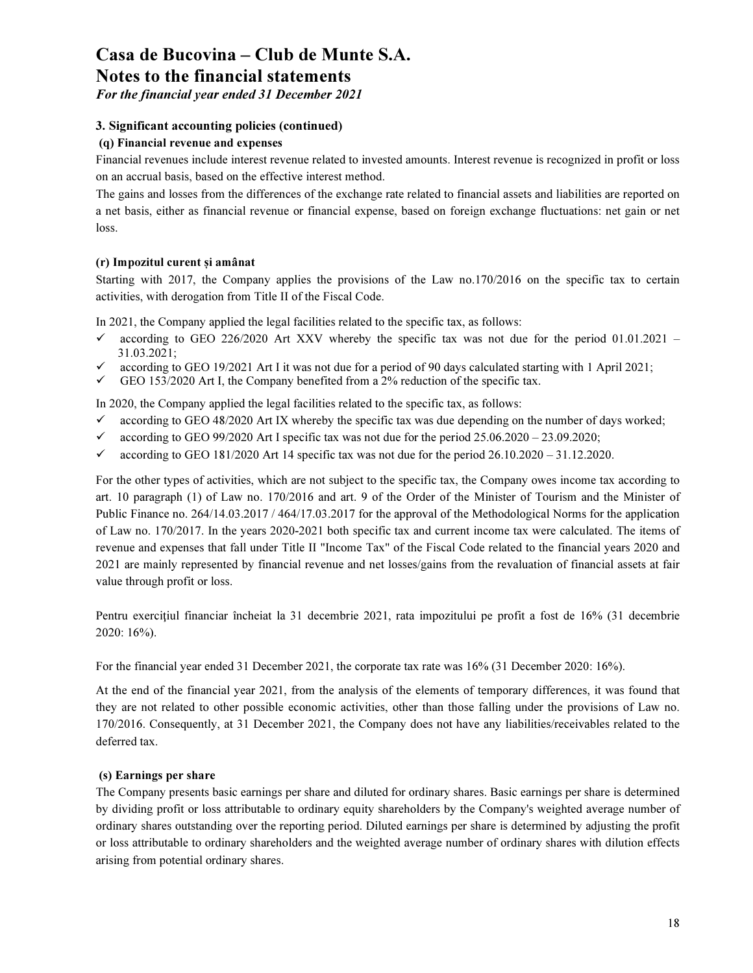For the financial year ended 31 December 2021

#### 3. Significant accounting policies (continued)

#### (q) Financial revenue and expenses

Financial revenues include interest revenue related to invested amounts. Interest revenue is recognized in profit or loss on an accrual basis, based on the effective interest method.

The gains and losses from the differences of the exchange rate related to financial assets and liabilities are reported on a net basis, either as financial revenue or financial expense, based on foreign exchange fluctuations: net gain or net loss.

#### (r) Impozitul curent și amânat

Starting with 2017, the Company applies the provisions of the Law no.170/2016 on the specific tax to certain activities, with derogation from Title II of the Fiscal Code.

In 2021, the Company applied the legal facilities related to the specific tax, as follows:

- $\checkmark$  according to GEO 226/2020 Art XXV whereby the specific tax was not due for the period 01.01.2021 31.03.2021;
- according to GEO 19/2021 Art I it was not due for a period of 90 days calculated starting with 1 April 2021;
- $\checkmark$  GEO 153/2020 Art I, the Company benefited from a 2% reduction of the specific tax.

In 2020, the Company applied the legal facilities related to the specific tax, as follows:

- $\checkmark$  according to GEO 48/2020 Art IX whereby the specific tax was due depending on the number of days worked;
- $\checkmark$  according to GEO 99/2020 Art I specific tax was not due for the period 25.06.2020 23.09.2020;
- $\checkmark$  according to GEO 181/2020 Art 14 specific tax was not due for the period 26.10.2020 31.12.2020.

For the other types of activities, which are not subject to the specific tax, the Company owes income tax according to art. 10 paragraph (1) of Law no. 170/2016 and art. 9 of the Order of the Minister of Tourism and the Minister of Public Finance no. 264/14.03.2017 / 464/17.03.2017 for the approval of the Methodological Norms for the application of Law no. 170/2017. In the years 2020-2021 both specific tax and current income tax were calculated. The items of revenue and expenses that fall under Title II "Income Tax" of the Fiscal Code related to the financial years 2020 and 2021 are mainly represented by financial revenue and net losses/gains from the revaluation of financial assets at fair value through profit or loss.

Pentru exercițiul financiar încheiat la 31 decembrie 2021, rata impozitului pe profit a fost de 16% (31 decembrie 2020: 16%).

For the financial year ended 31 December 2021, the corporate tax rate was  $16\%$  (31 December 2020: 16%).

At the end of the financial year 2021, from the analysis of the elements of temporary differences, it was found that they are not related to other possible economic activities, other than those falling under the provisions of Law no. 170/2016. Consequently, at 31 December 2021, the Company does not have any liabilities/receivables related to the deferred tax.

#### (s) Earnings per share

The Company presents basic earnings per share and diluted for ordinary shares. Basic earnings per share is determined by dividing profit or loss attributable to ordinary equity shareholders by the Company's weighted average number of ordinary shares outstanding over the reporting period. Diluted earnings per share is determined by adjusting the profit or loss attributable to ordinary shareholders and the weighted average number of ordinary shares with dilution effects arising from potential ordinary shares.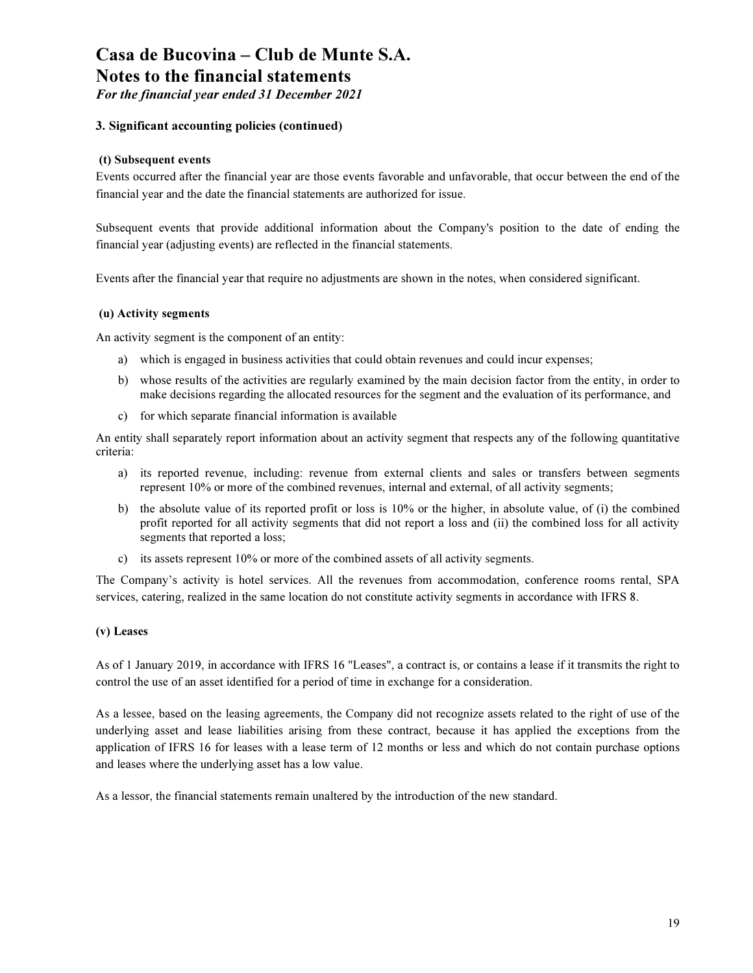For the financial year ended 31 December 2021

#### 3. Significant accounting policies (continued)

#### (t) Subsequent events

Events occurred after the financial year are those events favorable and unfavorable, that occur between the end of the financial year and the date the financial statements are authorized for issue.

Subsequent events that provide additional information about the Company's position to the date of ending the financial year (adjusting events) are reflected in the financial statements.

Events after the financial year that require no adjustments are shown in the notes, when considered significant.

#### (u) Activity segments

An activity segment is the component of an entity:

- a) which is engaged in business activities that could obtain revenues and could incur expenses;
- b) whose results of the activities are regularly examined by the main decision factor from the entity, in order to make decisions regarding the allocated resources for the segment and the evaluation of its performance, and
- c) for which separate financial information is available

An entity shall separately report information about an activity segment that respects any of the following quantitative criteria:

- a) its reported revenue, including: revenue from external clients and sales or transfers between segments represent 10% or more of the combined revenues, internal and external, of all activity segments;
- b) the absolute value of its reported profit or loss is 10% or the higher, in absolute value, of (i) the combined profit reported for all activity segments that did not report a loss and (ii) the combined loss for all activity segments that reported a loss;
- c) its assets represent 10% or more of the combined assets of all activity segments.

The Company's activity is hotel services. All the revenues from accommodation, conference rooms rental, SPA services, catering, realized in the same location do not constitute activity segments in accordance with IFRS 8.

#### (v) Leases

As of 1 January 2019, in accordance with IFRS 16 "Leases", a contract is, or contains a lease if it transmits the right to control the use of an asset identified for a period of time in exchange for a consideration.

As a lessee, based on the leasing agreements, the Company did not recognize assets related to the right of use of the underlying asset and lease liabilities arising from these contract, because it has applied the exceptions from the application of IFRS 16 for leases with a lease term of 12 months or less and which do not contain purchase options and leases where the underlying asset has a low value.

As a lessor, the financial statements remain unaltered by the introduction of the new standard.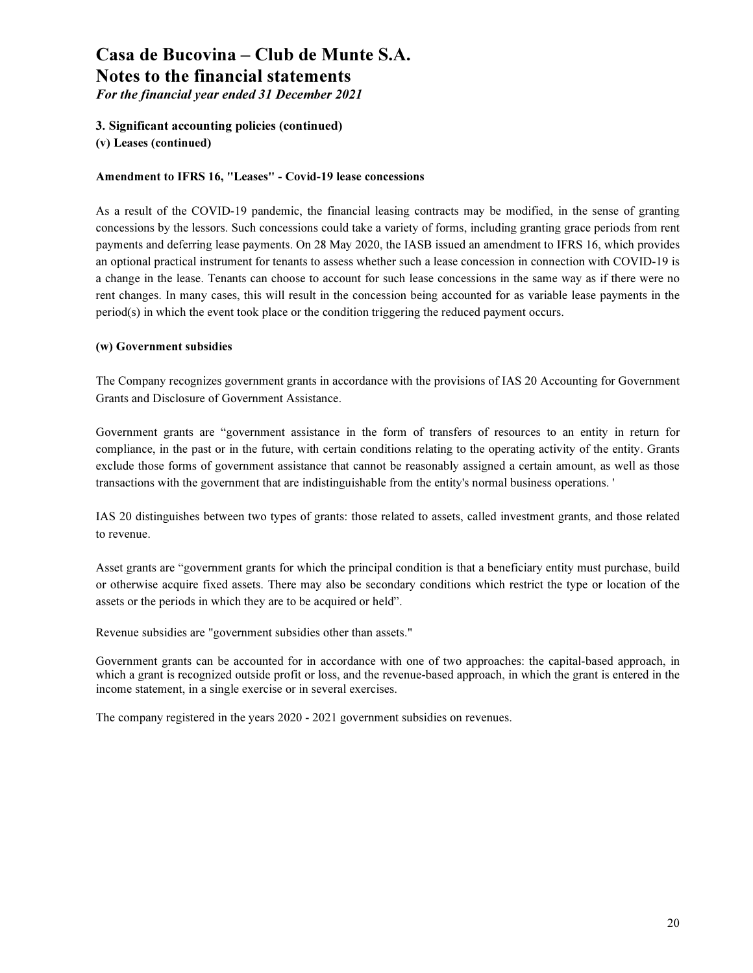For the financial year ended 31 December 2021

#### 3. Significant accounting policies (continued)

(v) Leases (continued)

#### Amendment to IFRS 16, "Leases" - Covid-19 lease concessions

As a result of the COVID-19 pandemic, the financial leasing contracts may be modified, in the sense of granting concessions by the lessors. Such concessions could take a variety of forms, including granting grace periods from rent payments and deferring lease payments. On 28 May 2020, the IASB issued an amendment to IFRS 16, which provides an optional practical instrument for tenants to assess whether such a lease concession in connection with COVID-19 is a change in the lease. Tenants can choose to account for such lease concessions in the same way as if there were no rent changes. In many cases, this will result in the concession being accounted for as variable lease payments in the period(s) in which the event took place or the condition triggering the reduced payment occurs.

#### (w) Government subsidies

The Company recognizes government grants in accordance with the provisions of IAS 20 Accounting for Government Grants and Disclosure of Government Assistance.

Government grants are "government assistance in the form of transfers of resources to an entity in return for compliance, in the past or in the future, with certain conditions relating to the operating activity of the entity. Grants exclude those forms of government assistance that cannot be reasonably assigned a certain amount, as well as those transactions with the government that are indistinguishable from the entity's normal business operations. '

IAS 20 distinguishes between two types of grants: those related to assets, called investment grants, and those related to revenue.

Asset grants are "government grants for which the principal condition is that a beneficiary entity must purchase, build or otherwise acquire fixed assets. There may also be secondary conditions which restrict the type or location of the assets or the periods in which they are to be acquired or held".

Revenue subsidies are "government subsidies other than assets."

Government grants can be accounted for in accordance with one of two approaches: the capital-based approach, in which a grant is recognized outside profit or loss, and the revenue-based approach, in which the grant is entered in the income statement, in a single exercise or in several exercises.

The company registered in the years 2020 - 2021 government subsidies on revenues.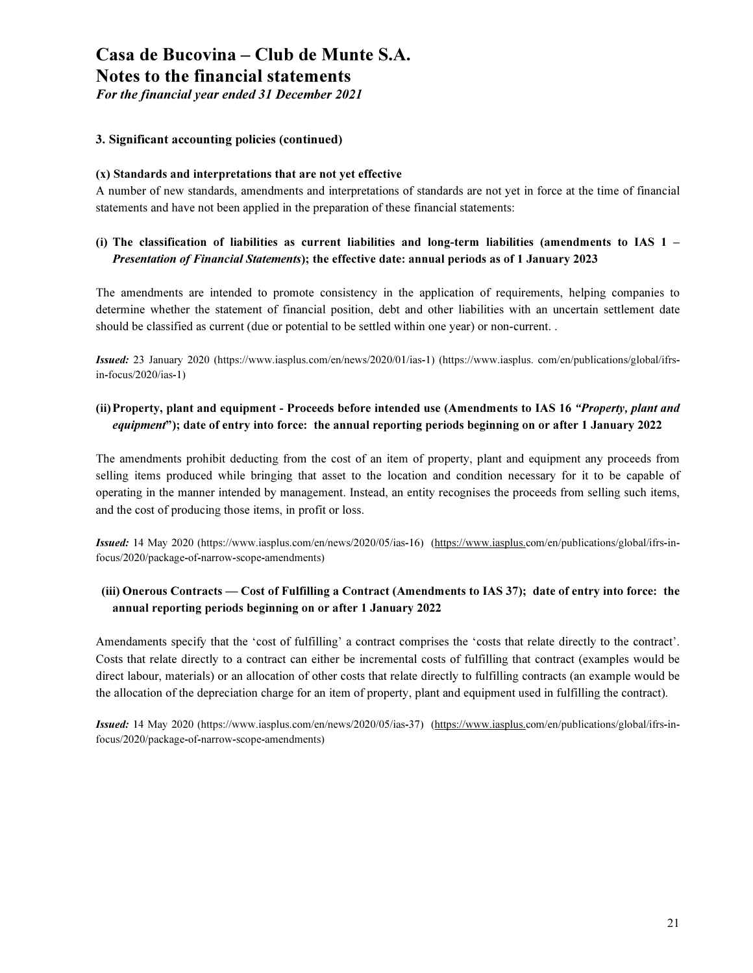For the financial year ended 31 December 2021

#### 3. Significant accounting policies (continued)

#### (x) Standards and interpretations that are not yet effective

A number of new standards, amendments and interpretations of standards are not yet in force at the time of financial statements and have not been applied in the preparation of these financial statements:

#### (i) The classification of liabilities as current liabilities and long-term liabilities (amendments to IAS 1 – Presentation of Financial Statements); the effective date: annual periods as of 1 January 2023

The amendments are intended to promote consistency in the application of requirements, helping companies to determine whether the statement of financial position, debt and other liabilities with an uncertain settlement date should be classified as current (due or potential to be settled within one year) or non-current. .

Issued: 23 January 2020 (https://www.iasplus.com/en/news/2020/01/ias-1) (https://www.iasplus. com/en/publications/global/ifrsin-focus/2020/ias-1)

#### (ii)Property, plant and equipment - Proceeds before intended use (Amendments to IAS 16 "Property, plant and equipment"); date of entry into force: the annual reporting periods beginning on or after 1 January 2022

The amendments prohibit deducting from the cost of an item of property, plant and equipment any proceeds from selling items produced while bringing that asset to the location and condition necessary for it to be capable of operating in the manner intended by management. Instead, an entity recognises the proceeds from selling such items, and the cost of producing those items, in profit or loss.

Issued: 14 May 2020 (https://www.iasplus.com/en/news/2020/05/ias-16) (https://www.iasplus.com/en/publications/global/ifrs-infocus/2020/package-of-narrow-scope-amendments)

#### (iii) Onerous Contracts — Cost of Fulfilling a Contract (Amendments to IAS 37); date of entry into force: the annual reporting periods beginning on or after 1 January 2022

Amendaments specify that the 'cost of fulfilling' a contract comprises the 'costs that relate directly to the contract'. Costs that relate directly to a contract can either be incremental costs of fulfilling that contract (examples would be direct labour, materials) or an allocation of other costs that relate directly to fulfilling contracts (an example would be the allocation of the depreciation charge for an item of property, plant and equipment used in fulfilling the contract).

Issued: 14 May 2020 (https://www.iasplus.com/en/news/2020/05/ias-37) (https://www.iasplus.com/en/publications/global/ifrs-infocus/2020/package-of-narrow-scope-amendments)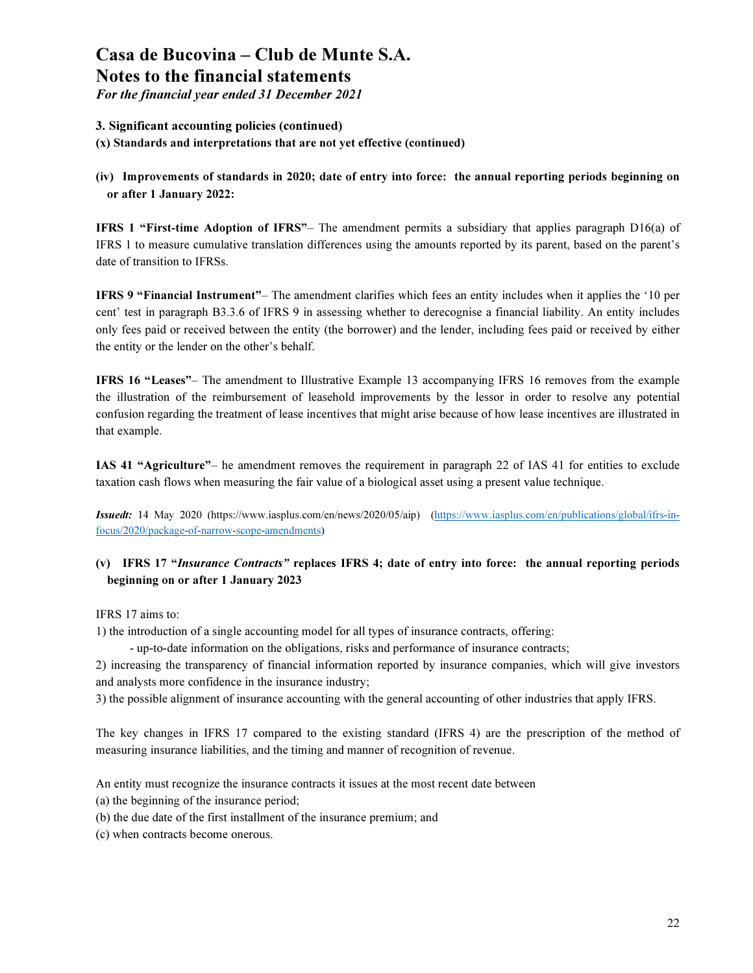For the financial year ended 31 December 2021

#### 3. Significant accounting policies (continued)

(x) Standards and interpretations that are not yet effective (continued)

(iv) Improvements of standards in 2020; date of entry into force: the annual reporting periods beginning on or after 1 January 2022:

IFRS 1 "First-time Adoption of IFRS"– The amendment permits a subsidiary that applies paragraph D16(a) of IFRS 1 to measure cumulative translation differences using the amounts reported by its parent, based on the parent's date of transition to IFRSs.

IFRS 9 "Financial Instrument"– The amendment clarifies which fees an entity includes when it applies the '10 per cent' test in paragraph B3.3.6 of IFRS 9 in assessing whether to derecognise a financial liability. An entity includes only fees paid or received between the entity (the borrower) and the lender, including fees paid or received by either the entity or the lender on the other's behalf.

IFRS 16 "Leases"– The amendment to Illustrative Example 13 accompanying IFRS 16 removes from the example the illustration of the reimbursement of leasehold improvements by the lessor in order to resolve any potential confusion regarding the treatment of lease incentives that might arise because of how lease incentives are illustrated in that example.

IAS 41 "Agriculture"– he amendment removes the requirement in paragraph 22 of IAS 41 for entities to exclude taxation cash flows when measuring the fair value of a biological asset using a present value technique.

Issuedt: 14 May 2020 (https://www.iasplus.com/en/news/2020/05/aip) (https://www.iasplus.com/en/publications/global/ifrs-infocus/2020/package-of-narrow-scope-amendments)

#### (v) IFRS 17 "Insurance Contracts" replaces IFRS 4; date of entry into force: the annual reporting periods beginning on or after 1 January 2023

IFRS 17 aims to:

1) the introduction of a single accounting model for all types of insurance contracts, offering:

- up-to-date information on the obligations, risks and performance of insurance contracts;

2) increasing the transparency of financial information reported by insurance companies, which will give investors and analysts more confidence in the insurance industry;

3) the possible alignment of insurance accounting with the general accounting of other industries that apply IFRS.

The key changes in IFRS 17 compared to the existing standard (IFRS 4) are the prescription of the method of measuring insurance liabilities, and the timing and manner of recognition of revenue.

An entity must recognize the insurance contracts it issues at the most recent date between

(a) the beginning of the insurance period;

- (b) the due date of the first installment of the insurance premium; and
- (c) when contracts become onerous.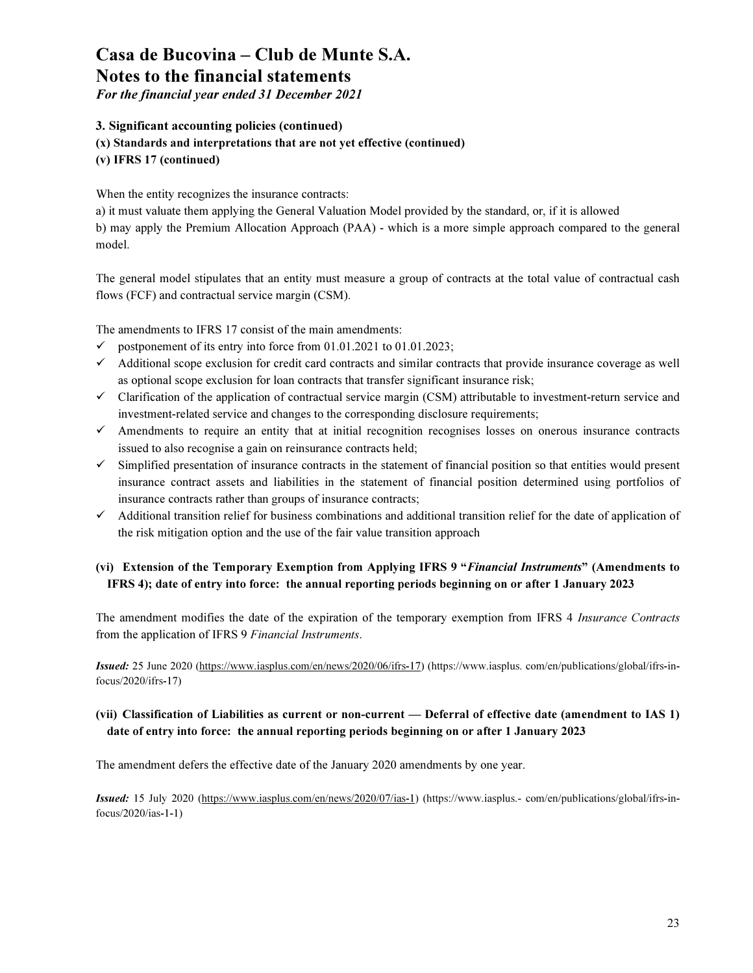For the financial year ended 31 December 2021

#### 3. Significant accounting policies (continued)

(x) Standards and interpretations that are not yet effective (continued)

(v) IFRS 17 (continued)

When the entity recognizes the insurance contracts:

a) it must valuate them applying the General Valuation Model provided by the standard, or, if it is allowed b) may apply the Premium Allocation Approach (PAA) - which is a more simple approach compared to the general model.

The general model stipulates that an entity must measure a group of contracts at the total value of contractual cash flows (FCF) and contractual service margin (CSM).

The amendments to IFRS 17 consist of the main amendments:

- $\checkmark$  postponement of its entry into force from 01.01.2021 to 01.01.2023;
- $\checkmark$  Additional scope exclusion for credit card contracts and similar contracts that provide insurance coverage as well as optional scope exclusion for loan contracts that transfer significant insurance risk;
- $\checkmark$  Clarification of the application of contractual service margin (CSM) attributable to investment-return service and investment-related service and changes to the corresponding disclosure requirements;
- $\checkmark$  Amendments to require an entity that at initial recognition recognises losses on onerous insurance contracts issued to also recognise a gain on reinsurance contracts held;
- $\checkmark$  Simplified presentation of insurance contracts in the statement of financial position so that entities would present insurance contract assets and liabilities in the statement of financial position determined using portfolios of insurance contracts rather than groups of insurance contracts;
- $\checkmark$  Additional transition relief for business combinations and additional transition relief for the date of application of the risk mitigation option and the use of the fair value transition approach

#### (vi) Extension of the Temporary Exemption from Applying IFRS 9 "Financial Instruments" (Amendments to IFRS 4); date of entry into force: the annual reporting periods beginning on or after 1 January 2023

The amendment modifies the date of the expiration of the temporary exemption from IFRS 4 Insurance Contracts from the application of IFRS 9 Financial Instruments.

Issued: 25 June 2020 (https://www.iasplus.com/en/news/2020/06/ifrs-17) (https://www.iasplus. com/en/publications/global/ifrs-infocus/2020/ifrs-17)

#### (vii) Classification of Liabilities as current or non-current — Deferral of effective date (amendment to IAS 1) date of entry into force: the annual reporting periods beginning on or after 1 January 2023

The amendment defers the effective date of the January 2020 amendments by one year.

Issued: 15 July 2020 (https://www.iasplus.com/en/news/2020/07/ias-1) (https://www.iasplus.‐ com/en/publications/global/ifrs-infocus/2020/ias-1-1)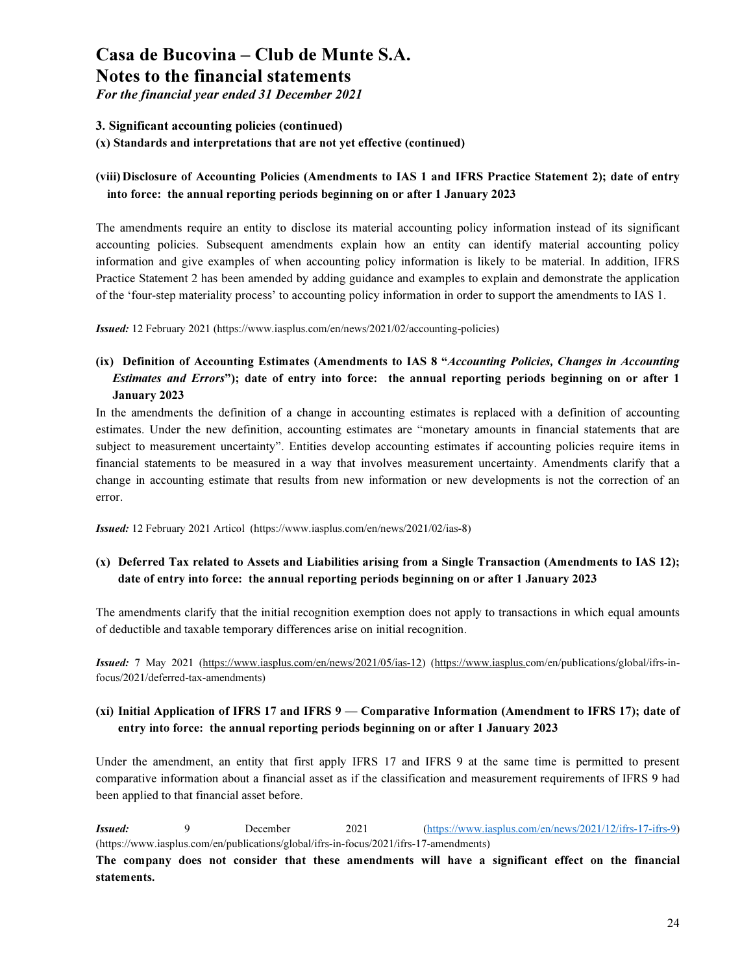For the financial year ended 31 December 2021

#### 3. Significant accounting policies (continued)

(x) Standards and interpretations that are not yet effective (continued)

#### (viii) Disclosure of Accounting Policies (Amendments to IAS 1 and IFRS Practice Statement 2); date of entry into force: the annual reporting periods beginning on or after 1 January 2023

The amendments require an entity to disclose its material accounting policy information instead of its significant accounting policies. Subsequent amendments explain how an entity can identify material accounting policy information and give examples of when accounting policy information is likely to be material. In addition, IFRS Practice Statement 2 has been amended by adding guidance and examples to explain and demonstrate the application of the 'four-step materiality process' to accounting policy information in order to support the amendments to IAS 1.

Issued: 12 February 2021 (https://www.iasplus.com/en/news/2021/02/accounting-policies)

#### (ix) Definition of Accounting Estimates (Amendments to IAS 8 "Accounting Policies, Changes in Accounting Estimates and Errors"); date of entry into force: the annual reporting periods beginning on or after 1 January 2023

In the amendments the definition of a change in accounting estimates is replaced with a definition of accounting estimates. Under the new definition, accounting estimates are "monetary amounts in financial statements that are subject to measurement uncertainty". Entities develop accounting estimates if accounting policies require items in financial statements to be measured in a way that involves measurement uncertainty. Amendments clarify that a change in accounting estimate that results from new information or new developments is not the correction of an error.

Issued: 12 February 2021 Articol (https://www.iasplus.com/en/news/2021/02/ias-8)

#### (x) Deferred Tax related to Assets and Liabilities arising from a Single Transaction (Amendments to IAS 12); date of entry into force: the annual reporting periods beginning on or after 1 January 2023

The amendments clarify that the initial recognition exemption does not apply to transactions in which equal amounts of deductible and taxable temporary differences arise on initial recognition.

Issued: 7 May 2021 (https://www.iasplus.com/en/news/2021/05/ias-12) (https://www.iasplus.com/en/publications/global/ifrs-infocus/2021/deferred-tax-amendments)

#### (xi) Initial Application of IFRS 17 and IFRS 9 — Comparative Information (Amendment to IFRS 17); date of entry into force: the annual reporting periods beginning on or after 1 January 2023

Under the amendment, an entity that first apply IFRS 17 and IFRS 9 at the same time is permitted to present comparative information about a financial asset as if the classification and measurement requirements of IFRS 9 had been applied to that financial asset before.

Issued: 9 December 2021 (https://www.iasplus.com/en/news/2021/12/ifrs-17-ifrs-9) (https://www.iasplus.com/en/publications/global/ifrs-in-focus/2021/ifrs-17-amendments)

The company does not consider that these amendments will have a significant effect on the financial statements.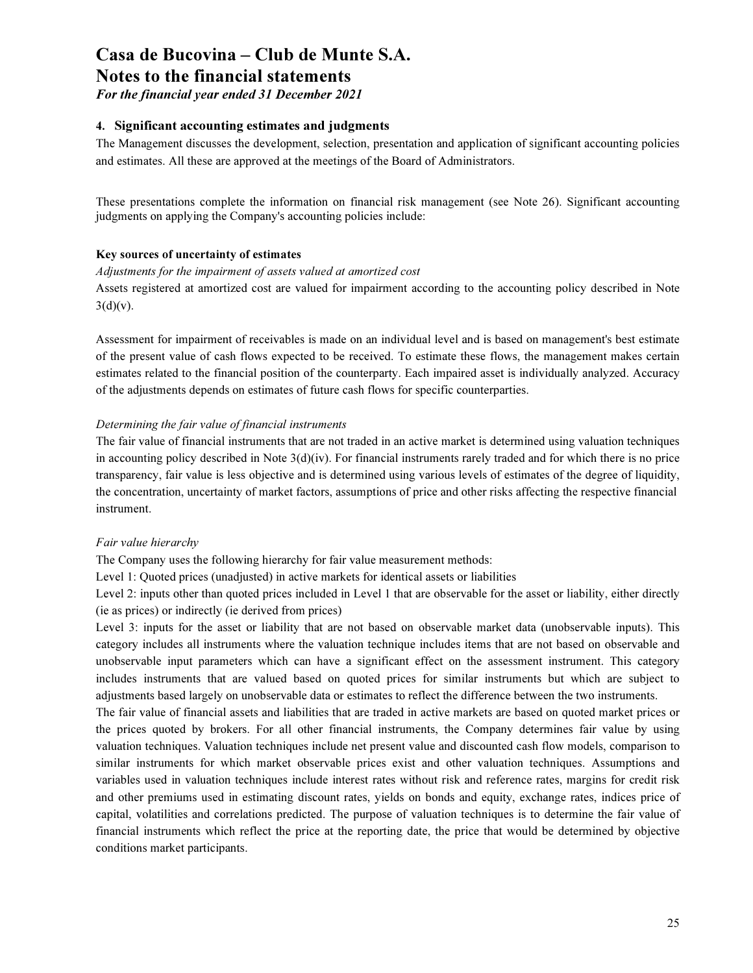For the financial year ended 31 December 2021

#### 4. Significant accounting estimates and judgments

The Management discusses the development, selection, presentation and application of significant accounting policies and estimates. All these are approved at the meetings of the Board of Administrators.

These presentations complete the information on financial risk management (see Note 26). Significant accounting judgments on applying the Company's accounting policies include:

#### Key sources of uncertainty of estimates

#### Adjustments for the impairment of assets valued at amortized cost

Assets registered at amortized cost are valued for impairment according to the accounting policy described in Note  $3(d)(v)$ .

Assessment for impairment of receivables is made on an individual level and is based on management's best estimate of the present value of cash flows expected to be received. To estimate these flows, the management makes certain estimates related to the financial position of the counterparty. Each impaired asset is individually analyzed. Accuracy of the adjustments depends on estimates of future cash flows for specific counterparties.

#### Determining the fair value of financial instruments

The fair value of financial instruments that are not traded in an active market is determined using valuation techniques in accounting policy described in Note  $3(d)(iv)$ . For financial instruments rarely traded and for which there is no price transparency, fair value is less objective and is determined using various levels of estimates of the degree of liquidity, the concentration, uncertainty of market factors, assumptions of price and other risks affecting the respective financial instrument.

#### Fair value hierarchy

The Company uses the following hierarchy for fair value measurement methods:

Level 1: Quoted prices (unadjusted) in active markets for identical assets or liabilities

Level 2: inputs other than quoted prices included in Level 1 that are observable for the asset or liability, either directly (ie as prices) or indirectly (ie derived from prices)

Level 3: inputs for the asset or liability that are not based on observable market data (unobservable inputs). This category includes all instruments where the valuation technique includes items that are not based on observable and unobservable input parameters which can have a significant effect on the assessment instrument. This category includes instruments that are valued based on quoted prices for similar instruments but which are subject to adjustments based largely on unobservable data or estimates to reflect the difference between the two instruments.

The fair value of financial assets and liabilities that are traded in active markets are based on quoted market prices or the prices quoted by brokers. For all other financial instruments, the Company determines fair value by using valuation techniques. Valuation techniques include net present value and discounted cash flow models, comparison to similar instruments for which market observable prices exist and other valuation techniques. Assumptions and variables used in valuation techniques include interest rates without risk and reference rates, margins for credit risk and other premiums used in estimating discount rates, yields on bonds and equity, exchange rates, indices price of capital, volatilities and correlations predicted. The purpose of valuation techniques is to determine the fair value of financial instruments which reflect the price at the reporting date, the price that would be determined by objective conditions market participants.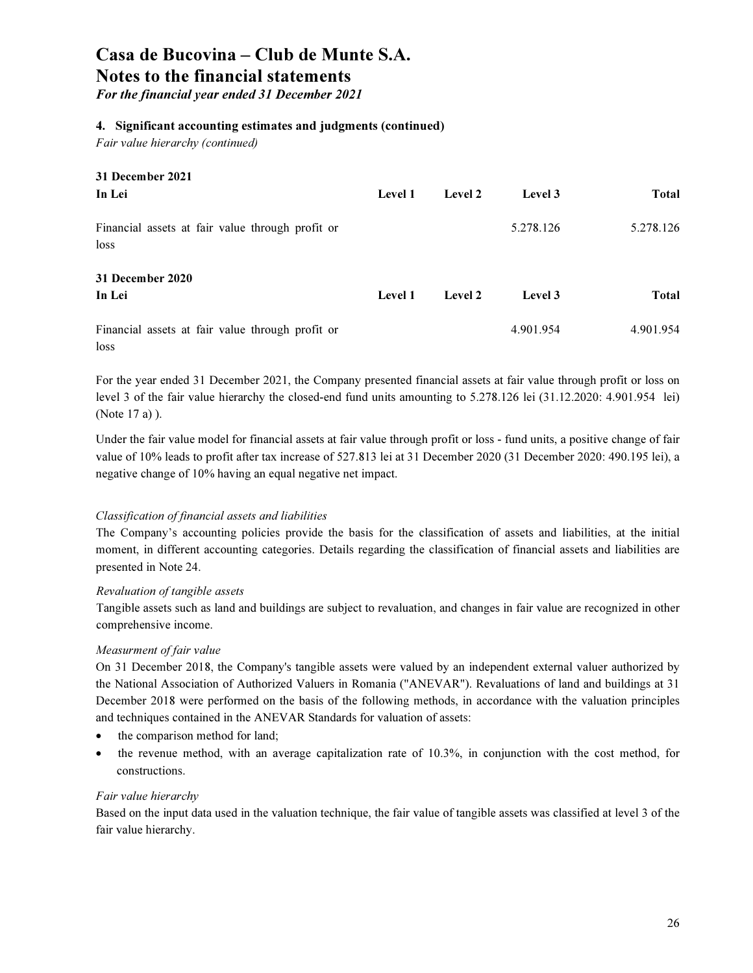For the financial year ended 31 December 2021

#### 4. Significant accounting estimates and judgments (continued)

Fair value hierarchy (continued)

| 31 December 2021                                         |         |                |           |              |
|----------------------------------------------------------|---------|----------------|-----------|--------------|
| In Lei                                                   | Level 1 | <b>Level 2</b> | Level 3   | <b>Total</b> |
| Financial assets at fair value through profit or<br>loss |         |                | 5.278.126 | 5.278.126    |
| 31 December 2020<br>In Lei                               | Level 1 | Level 2        | Level 3   | <b>Total</b> |
| Financial assets at fair value through profit or<br>loss |         |                | 4.901.954 | 4.901.954    |

For the year ended 31 December 2021, the Company presented financial assets at fair value through profit or loss on level 3 of the fair value hierarchy the closed-end fund units amounting to 5.278.126 lei (31.12.2020: 4.901.954 lei) (Note 17 a) ).

Under the fair value model for financial assets at fair value through profit or loss - fund units, a positive change of fair value of 10% leads to profit after tax increase of 527.813 lei at 31 December 2020 (31 December 2020: 490.195 lei), a negative change of 10% having an equal negative net impact.

#### Classification of financial assets and liabilities

The Company's accounting policies provide the basis for the classification of assets and liabilities, at the initial moment, in different accounting categories. Details regarding the classification of financial assets and liabilities are presented in Note 24.

#### Revaluation of tangible assets

Tangible assets such as land and buildings are subject to revaluation, and changes in fair value are recognized in other comprehensive income.

#### Measurment of fair value

On 31 December 2018, the Company's tangible assets were valued by an independent external valuer authorized by the National Association of Authorized Valuers in Romania ("ANEVAR"). Revaluations of land and buildings at 31 December 2018 were performed on the basis of the following methods, in accordance with the valuation principles and techniques contained in the ANEVAR Standards for valuation of assets:

- the comparison method for land;
- $\bullet$  the revenue method, with an average capitalization rate of 10.3%, in conjunction with the cost method, for constructions.

#### Fair value hierarchy

Based on the input data used in the valuation technique, the fair value of tangible assets was classified at level 3 of the fair value hierarchy.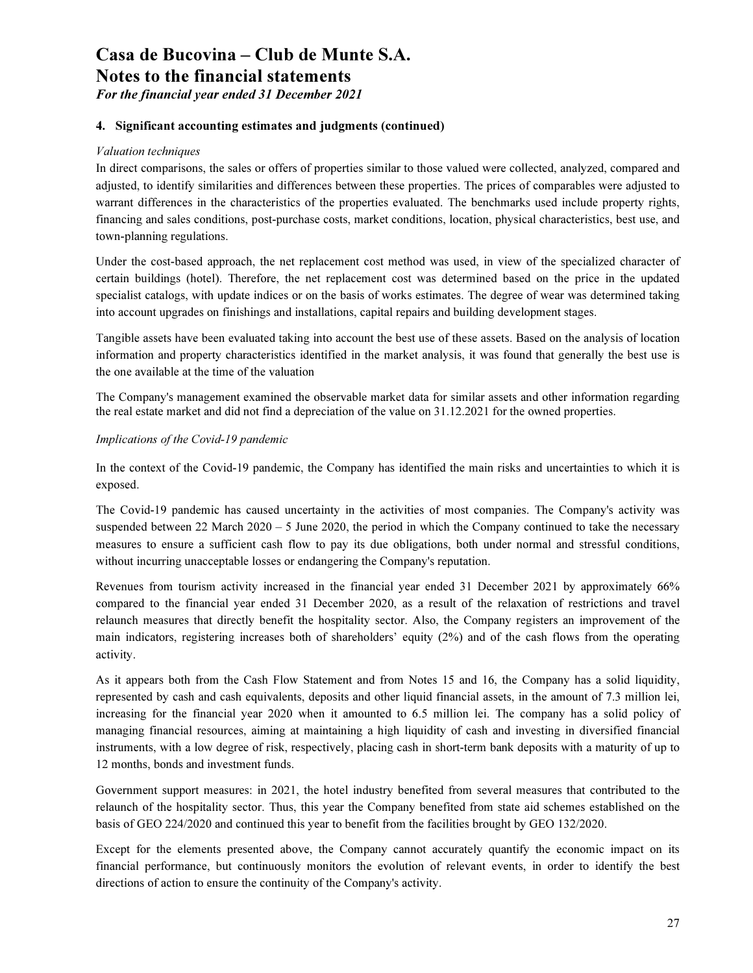For the financial year ended 31 December 2021

#### 4. Significant accounting estimates and judgments (continued)

#### Valuation techniques

In direct comparisons, the sales or offers of properties similar to those valued were collected, analyzed, compared and adjusted, to identify similarities and differences between these properties. The prices of comparables were adjusted to warrant differences in the characteristics of the properties evaluated. The benchmarks used include property rights, financing and sales conditions, post-purchase costs, market conditions, location, physical characteristics, best use, and town-planning regulations.

Under the cost-based approach, the net replacement cost method was used, in view of the specialized character of certain buildings (hotel). Therefore, the net replacement cost was determined based on the price in the updated specialist catalogs, with update indices or on the basis of works estimates. The degree of wear was determined taking into account upgrades on finishings and installations, capital repairs and building development stages.

Tangible assets have been evaluated taking into account the best use of these assets. Based on the analysis of location information and property characteristics identified in the market analysis, it was found that generally the best use is the one available at the time of the valuation

The Company's management examined the observable market data for similar assets and other information regarding the real estate market and did not find a depreciation of the value on 31.12.2021 for the owned properties.

#### Implications of the Covid-19 pandemic

In the context of the Covid-19 pandemic, the Company has identified the main risks and uncertainties to which it is exposed.

The Covid-19 pandemic has caused uncertainty in the activities of most companies. The Company's activity was suspended between 22 March 2020 – 5 June 2020, the period in which the Company continued to take the necessary measures to ensure a sufficient cash flow to pay its due obligations, both under normal and stressful conditions, without incurring unacceptable losses or endangering the Company's reputation.

Revenues from tourism activity increased in the financial year ended 31 December 2021 by approximately 66% compared to the financial year ended 31 December 2020, as a result of the relaxation of restrictions and travel relaunch measures that directly benefit the hospitality sector. Also, the Company registers an improvement of the main indicators, registering increases both of shareholders' equity (2%) and of the cash flows from the operating activity.

As it appears both from the Cash Flow Statement and from Notes 15 and 16, the Company has a solid liquidity, represented by cash and cash equivalents, deposits and other liquid financial assets, in the amount of 7.3 million lei, increasing for the financial year 2020 when it amounted to 6.5 million lei. The company has a solid policy of managing financial resources, aiming at maintaining a high liquidity of cash and investing in diversified financial instruments, with a low degree of risk, respectively, placing cash in short-term bank deposits with a maturity of up to 12 months, bonds and investment funds.

Government support measures: in 2021, the hotel industry benefited from several measures that contributed to the relaunch of the hospitality sector. Thus, this year the Company benefited from state aid schemes established on the basis of GEO 224/2020 and continued this year to benefit from the facilities brought by GEO 132/2020.

Except for the elements presented above, the Company cannot accurately quantify the economic impact on its financial performance, but continuously monitors the evolution of relevant events, in order to identify the best directions of action to ensure the continuity of the Company's activity.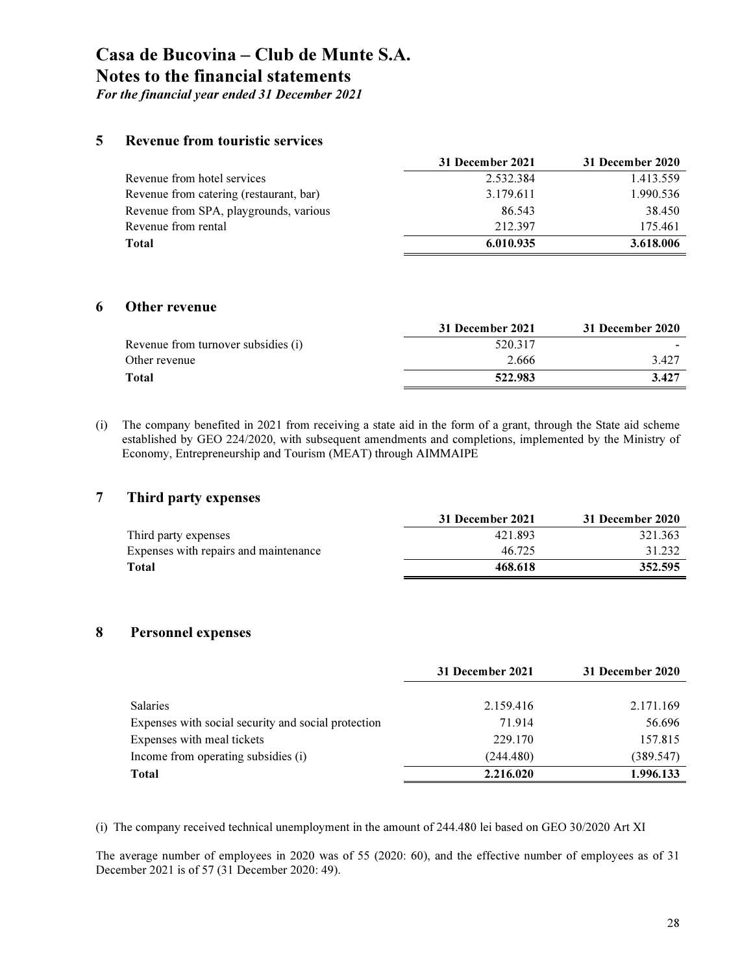For the financial year ended 31 December 2021

#### 5 Revenue from touristic services

|                                         | 31 December 2021 | 31 December 2020 |
|-----------------------------------------|------------------|------------------|
| Revenue from hotel services             | 2.532.384        | 1.413.559        |
| Revenue from catering (restaurant, bar) | 3.179.611        | 1.990.536        |
| Revenue from SPA, playgrounds, various  | 86.543           | 38.450           |
| Revenue from rental                     | 212.397          | 175.461          |
| Total                                   | 6.010.935        | 3.618.006        |

#### 6 Other revenue

|                                     | 31 December 2021 | 31 December 2020 |
|-------------------------------------|------------------|------------------|
| Revenue from turnover subsidies (i) | 520.317          |                  |
| Other revenue                       | 2.666            | 3.427            |
| Total                               | 522.983          | 3.427            |

(i) The company benefited in 2021 from receiving a state aid in the form of a grant, through the State aid scheme established by GEO 224/2020, with subsequent amendments and completions, implemented by the Ministry of Economy, Entrepreneurship and Tourism (MEAT) through AIMMAIPE

#### 7 Third party expenses

|                                       | 31 December 2021 | 31 December 2020 |
|---------------------------------------|------------------|------------------|
| Third party expenses                  | 421.893          | 321.363          |
| Expenses with repairs and maintenance | 46.725           | 31.232           |
| Total                                 | 468.618          | 352.595          |

#### 8 Personnel expenses

|                                                     | 31 December 2021 | 31 December 2020 |
|-----------------------------------------------------|------------------|------------------|
|                                                     |                  |                  |
| <b>Salaries</b>                                     | 2.159.416        | 2.171.169        |
| Expenses with social security and social protection | 71.914           | 56.696           |
| Expenses with meal tickets                          | 229.170          | 157.815          |
| Income from operating subsidies (i)                 | (244.480)        | (389.547)        |
| <b>Total</b>                                        | 2.216.020        | 1.996.133        |

(i) The company received technical unemployment in the amount of 244.480 lei based on GEO 30/2020 Art XI

The average number of employees in 2020 was of 55 (2020: 60), and the effective number of employees as of 31 December 2021 is of 57 (31 December 2020: 49).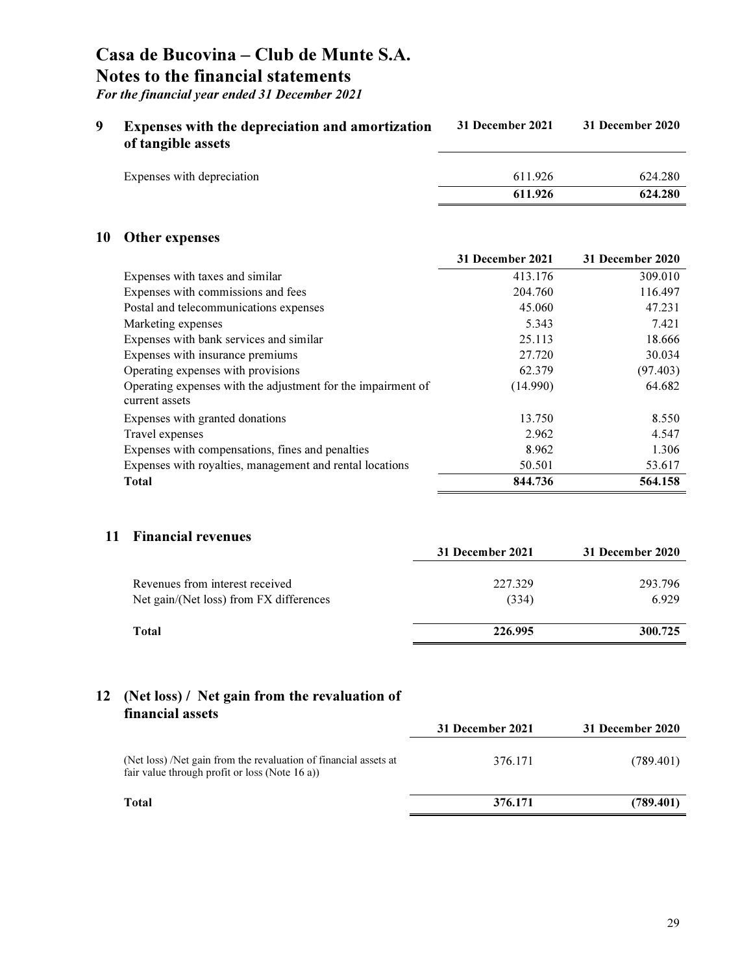# Casa de Bucovina – Club de Munte S.A.

Notes to the financial statements

For the financial year ended 31 December 2021

#### 9 Expenses with the depreciation and amortization of tangible assets 31 December 2021 31 December 2020

|                            | 611.926 | 624.280 |
|----------------------------|---------|---------|
| Expenses with depreciation | 611.926 | 624.280 |
|                            |         |         |

### 10 Other expenses

|                                                                                | 31 December 2021 | 31 December 2020 |
|--------------------------------------------------------------------------------|------------------|------------------|
| Expenses with taxes and similar                                                | 413.176          | 309.010          |
| Expenses with commissions and fees                                             | 204.760          | 116.497          |
| Postal and telecommunications expenses                                         | 45.060           | 47.231           |
| Marketing expenses                                                             | 5.343            | 7.421            |
| Expenses with bank services and similar                                        | 25.113           | 18.666           |
| Expenses with insurance premiums                                               | 27.720           | 30.034           |
| Operating expenses with provisions                                             | 62.379           | (97.403)         |
| Operating expenses with the adjustment for the impairment of<br>current assets | (14.990)         | 64.682           |
| Expenses with granted donations                                                | 13.750           | 8.550            |
| Travel expenses                                                                | 2.962            | 4.547            |
| Expenses with compensations, fines and penalties                               | 8.962            | 1.306            |
| Expenses with royalties, management and rental locations                       | 50.501           | 53.617           |
| <b>Total</b>                                                                   | 844.736          | 564.158          |

#### 11 Financial revenues

|                                         | 31 December 2021 | 31 December 2020 |
|-----------------------------------------|------------------|------------------|
| Revenues from interest received         | 227.329          | 293.796          |
| Net gain/(Net loss) from FX differences | (334)            | 6.929            |
| Total                                   | 226.995          | 300.725          |

#### 12 (Net loss) / Net gain from the revaluation of financial assets

|                                                                                                                    | 31 December 2021 | 31 December 2020 |
|--------------------------------------------------------------------------------------------------------------------|------------------|------------------|
| (Net loss) /Net gain from the revaluation of financial assets at<br>fair value through profit or loss (Note 16 a)) | 376.171          | (789.401)        |
| Total                                                                                                              | 376.171          | (789.401)        |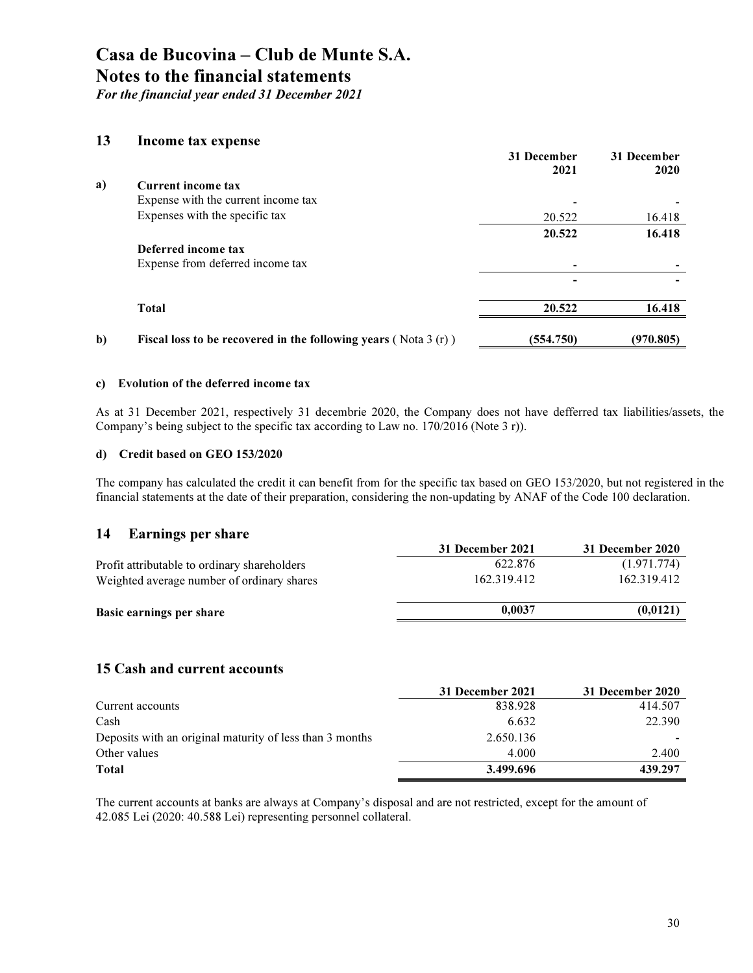For the financial year ended 31 December 2021

#### 13 Income tax expense

|    |                                                                    | 31 December<br>2021 | 31 December<br><b>2020</b> |
|----|--------------------------------------------------------------------|---------------------|----------------------------|
| a) | Current income tax                                                 |                     |                            |
|    | Expense with the current income tax                                |                     |                            |
|    | Expenses with the specific tax                                     | 20.522              | 16.418                     |
|    |                                                                    | 20.522              | 16.418                     |
|    | Deferred income tax                                                |                     |                            |
|    | Expense from deferred income tax                                   |                     |                            |
|    |                                                                    |                     |                            |
|    | Total                                                              | 20.522              | 16.418                     |
| b) | Fiscal loss to be recovered in the following years ( $Nota 3(r)$ ) | (554.750)           | (970.805)                  |

#### c) Evolution of the deferred income tax

As at 31 December 2021, respectively 31 decembrie 2020, the Company does not have defferred tax liabilities/assets, the Company's being subject to the specific tax according to Law no. 170/2016 (Note 3 r)).

#### d) Credit based on GEO 153/2020

The company has calculated the credit it can benefit from for the specific tax based on GEO 153/2020, but not registered in the financial statements at the date of their preparation, considering the non-updating by ANAF of the Code 100 declaration.

#### 14 Earnings per share

|                                              | 31 December 2021 | 31 December 2020 |
|----------------------------------------------|------------------|------------------|
| Profit attributable to ordinary shareholders | 622.876          | (1.971.774)      |
| Weighted average number of ordinary shares   | 162.319.412      | 162.319.412      |
| Basic earnings per share                     | 0.0037           | (0,0121)         |
|                                              |                  |                  |

#### 15 Cash and current accounts

|                                                          | 31 December 2021 | 31 December 2020 |
|----------------------------------------------------------|------------------|------------------|
| Current accounts                                         | 838.928          | 414.507          |
| Cash                                                     | 6.632            | 22.390           |
| Deposits with an original maturity of less than 3 months | 2.650.136        |                  |
| Other values                                             | 4.000            | 2.400            |
| Total                                                    | 3.499.696        | 439.297          |

The current accounts at banks are always at Company's disposal and are not restricted, except for the amount of 42.085 Lei (2020: 40.588 Lei) representing personnel collateral.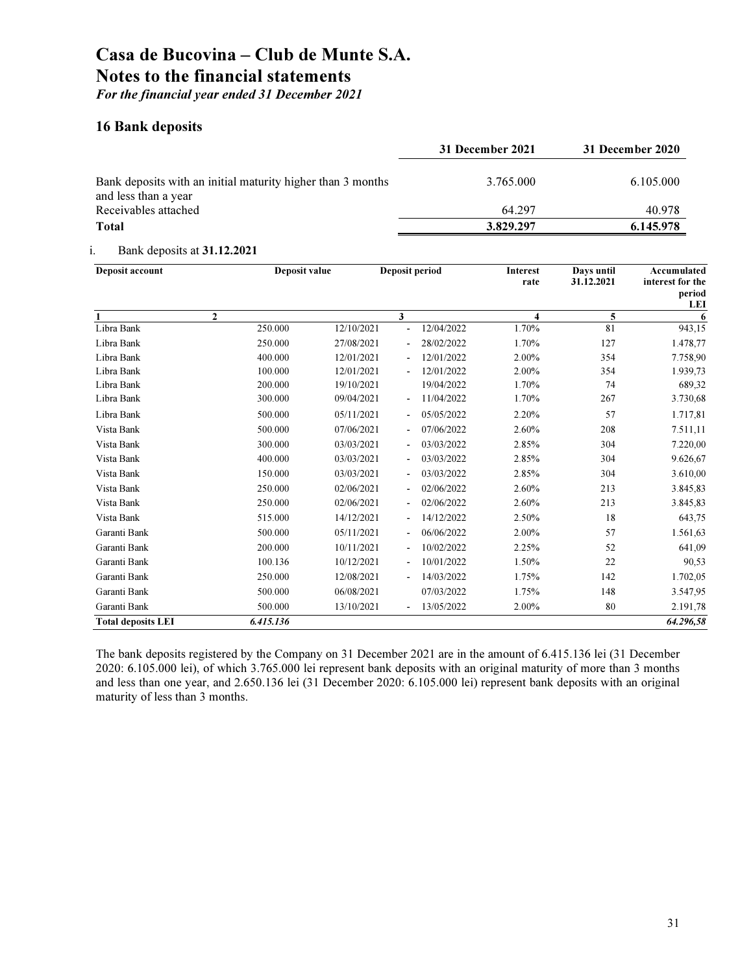For the financial year ended 31 December 2021

#### 16 Bank deposits

|                                                                                     | 31 December 2021 | 31 December 2020 |
|-------------------------------------------------------------------------------------|------------------|------------------|
| Bank deposits with an initial maturity higher than 3 months<br>and less than a year | 3.765.000        | 6.105.000        |
| Receivables attached                                                                | 64.297           | 40.978           |
| Total                                                                               | 3.829.297        | 6.145.978        |

#### i. Bank deposits at 31.12.2021

| Deposit account           |              | Deposit value | Deposit period           |            | <b>Interest</b><br>rate | Days until<br>31.12.2021 | Accumulated<br>interest for the<br>period<br>LEI |
|---------------------------|--------------|---------------|--------------------------|------------|-------------------------|--------------------------|--------------------------------------------------|
| $\mathbf{1}$              | $\mathbf{2}$ |               | 3                        |            | 4                       | 5                        | 6                                                |
| Libra Bank                | 250.000      | 12/10/2021    | $\frac{1}{2}$            | 12/04/2022 | 1.70%                   | 81                       | 943,15                                           |
| Libra Bank                | 250.000      | 27/08/2021    | $\overline{\phantom{a}}$ | 28/02/2022 | 1.70%                   | 127                      | 1.478,77                                         |
| Libra Bank                | 400.000      | 12/01/2021    |                          | 12/01/2022 | 2.00%                   | 354                      | 7.758,90                                         |
| Libra Bank                | 100.000      | 12/01/2021    |                          | 12/01/2022 | 2.00%                   | 354                      | 1.939,73                                         |
| Libra Bank                | 200.000      | 19/10/2021    |                          | 19/04/2022 | 1.70%                   | 74                       | 689,32                                           |
| Libra Bank                | 300.000      | 09/04/2021    | $\blacksquare$           | 11/04/2022 | 1.70%                   | 267                      | 3.730,68                                         |
| Libra Bank                | 500.000      | 05/11/2021    | $\overline{\phantom{a}}$ | 05/05/2022 | 2.20%                   | 57                       | 1.717,81                                         |
| Vista Bank                | 500.000      | 07/06/2021    | $\overline{\phantom{a}}$ | 07/06/2022 | 2.60%                   | 208                      | 7.511,11                                         |
| Vista Bank                | 300.000      | 03/03/2021    | $\blacksquare$           | 03/03/2022 | 2.85%                   | 304                      | 7.220,00                                         |
| Vista Bank                | 400.000      | 03/03/2021    | $\blacksquare$           | 03/03/2022 | 2.85%                   | 304                      | 9.626,67                                         |
| Vista Bank                | 150.000      | 03/03/2021    | $\overline{\phantom{a}}$ | 03/03/2022 | 2.85%                   | 304                      | 3.610,00                                         |
| Vista Bank                | 250.000      | 02/06/2021    | $\blacksquare$           | 02/06/2022 | 2.60%                   | 213                      | 3.845,83                                         |
| Vista Bank                | 250.000      | 02/06/2021    | $\overline{\phantom{a}}$ | 02/06/2022 | 2.60%                   | 213                      | 3.845,83                                         |
| Vista Bank                | 515.000      | 14/12/2021    | $\blacksquare$           | 14/12/2022 | 2.50%                   | 18                       | 643,75                                           |
| Garanti Bank              | 500.000      | 05/11/2021    | $\overline{\phantom{a}}$ | 06/06/2022 | 2.00%                   | 57                       | 1.561,63                                         |
| Garanti Bank              | 200.000      | 10/11/2021    | $\blacksquare$           | 10/02/2022 | 2.25%                   | 52                       | 641,09                                           |
| Garanti Bank              | 100.136      | 10/12/2021    | $\blacksquare$           | 10/01/2022 | 1.50%                   | 22                       | 90,53                                            |
| Garanti Bank              | 250.000      | 12/08/2021    | $\overline{\phantom{a}}$ | 14/03/2022 | 1.75%                   | 142                      | 1.702,05                                         |
| Garanti Bank              | 500.000      | 06/08/2021    |                          | 07/03/2022 | 1.75%                   | 148                      | 3.547,95                                         |
| Garanti Bank              | 500.000      | 13/10/2021    | $\overline{\phantom{a}}$ | 13/05/2022 | 2.00%                   | 80                       | 2.191,78                                         |
| <b>Total deposits LEI</b> | 6.415.136    |               |                          |            |                         |                          | 64.296,58                                        |

The bank deposits registered by the Company on 31 December 2021 are in the amount of 6.415.136 lei (31 December 2020: 6.105.000 lei), of which 3.765.000 lei represent bank deposits with an original maturity of more than 3 months and less than one year, and 2.650.136 lei (31 December 2020: 6.105.000 lei) represent bank deposits with an original maturity of less than 3 months.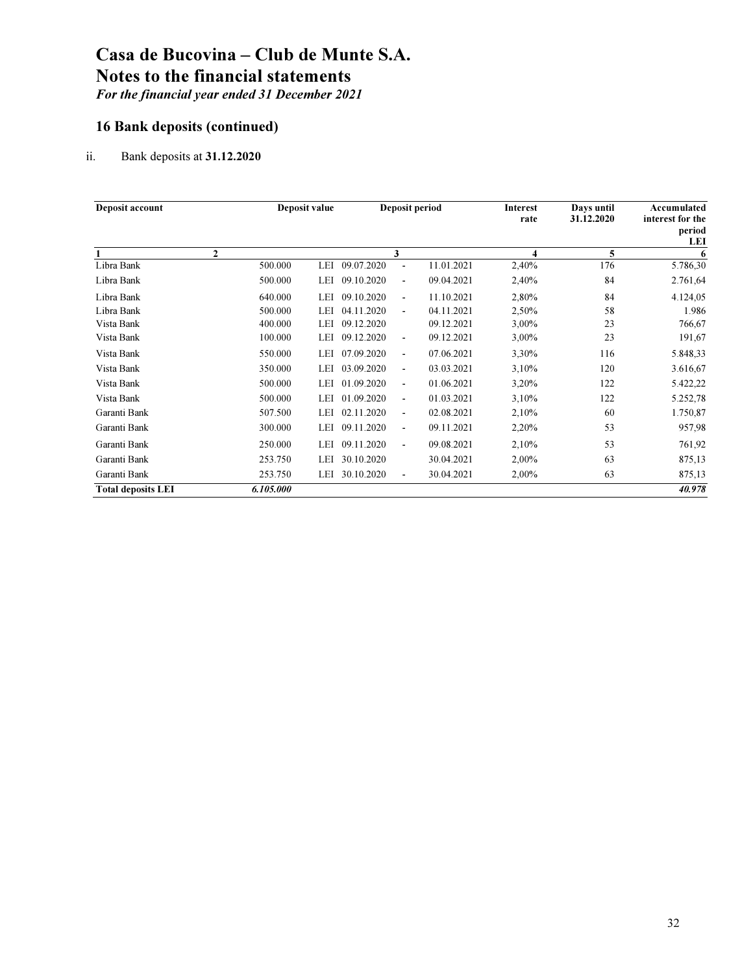For the financial year ended 31 December 2021

### 16 Bank deposits (continued)

#### ii. Bank deposits at 31.12.2020

| Deposit account           |                | Deposit value |            |                          | Deposit period | <b>Interest</b><br>rate | Days until<br>31.12.2020 | Accumulated<br>interest for the<br>period<br><b>LEI</b> |
|---------------------------|----------------|---------------|------------|--------------------------|----------------|-------------------------|--------------------------|---------------------------------------------------------|
|                           | $\overline{2}$ |               |            | 3                        |                | $\overline{\mathbf{4}}$ | 5                        | 6                                                       |
| Libra Bank                | 500.000        | LEI           | 09.07.2020 | $\blacksquare$           | 11.01.2021     | 2,40%                   | 176                      | 5.786,30                                                |
| Libra Bank                | 500.000        | LEI           | 09.10.2020 | $\overline{\phantom{a}}$ | 09.04.2021     | 2,40%                   | 84                       | 2.761,64                                                |
| Libra Bank                | 640.000        | LEI           | 09.10.2020 | $\overline{\phantom{a}}$ | 11.10.2021     | 2,80%                   | 84                       | 4.124,05                                                |
| Libra Bank                | 500.000        | LEI           | 04.11.2020 | $\blacksquare$           | 04.11.2021     | 2,50%                   | 58                       | 1.986                                                   |
| Vista Bank                | 400.000        | LEI           | 09.12.2020 |                          | 09.12.2021     | 3,00%                   | 23                       | 766,67                                                  |
| Vista Bank                | 100.000        | LEI           | 09.12.2020 | $\overline{\phantom{a}}$ | 09.12.2021     | 3,00%                   | 23                       | 191,67                                                  |
| Vista Bank                | 550.000        | LEI           | 07.09.2020 | $\blacksquare$           | 07.06.2021     | 3,30%                   | 116                      | 5.848,33                                                |
| Vista Bank                | 350.000        | LEI           | 03.09.2020 | $\blacksquare$           | 03.03.2021     | 3,10%                   | 120                      | 3.616,67                                                |
| Vista Bank                | 500.000        | LEI           | 01.09.2020 | $\blacksquare$           | 01.06.2021     | 3,20%                   | 122                      | 5.422,22                                                |
| Vista Bank                | 500.000        | LEI           | 01.09.2020 | $\blacksquare$           | 01.03.2021     | 3,10%                   | 122                      | 5.252,78                                                |
| Garanti Bank              | 507.500        | LEI           | 02.11.2020 | $\blacksquare$           | 02.08.2021     | 2,10%                   | 60                       | 1.750,87                                                |
| Garanti Bank              | 300.000        | LEI           | 09.11.2020 | $\blacksquare$           | 09.11.2021     | 2,20%                   | 53                       | 957,98                                                  |
| Garanti Bank              | 250.000        | LEI           | 09.11.2020 | $\sim$                   | 09.08.2021     | 2,10%                   | 53                       | 761,92                                                  |
| Garanti Bank              | 253.750        | LEI           | 30.10.2020 |                          | 30.04.2021     | 2,00%                   | 63                       | 875,13                                                  |
| Garanti Bank              | 253.750        | LEI           | 30.10.2020 | $\blacksquare$           | 30.04.2021     | 2,00%                   | 63                       | 875,13                                                  |
| <b>Total deposits LEI</b> | 6.105.000      |               |            |                          |                |                         |                          | 40.978                                                  |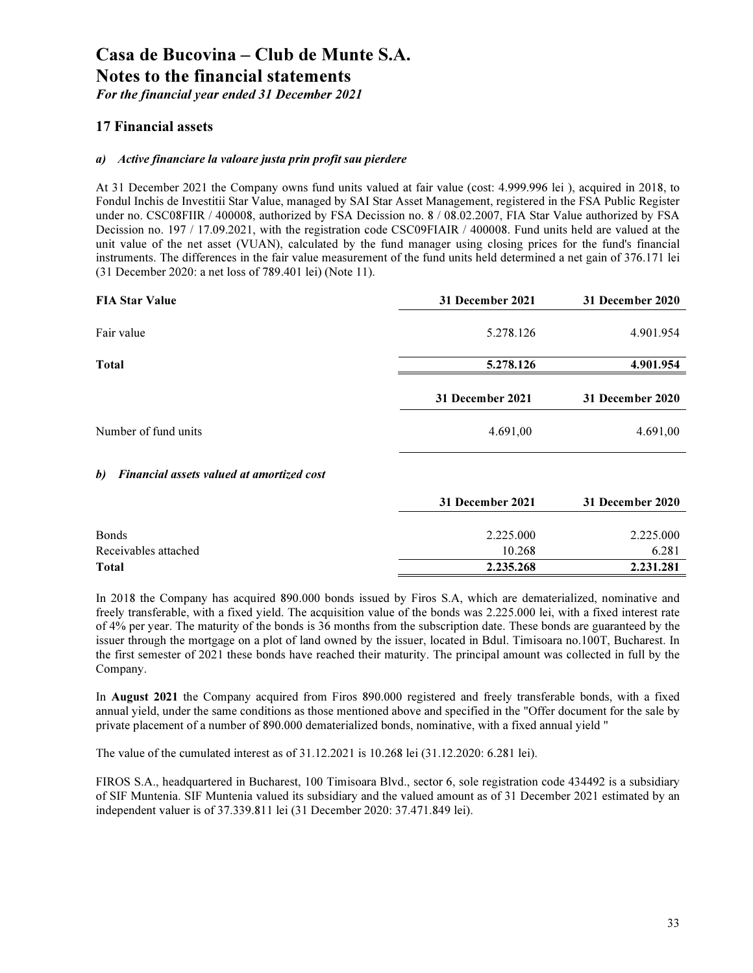For the financial year ended 31 December 2021

#### 17 Financial assets

#### a) Active financiare la valoare justa prin profit sau pierdere

At 31 December 2021 the Company owns fund units valued at fair value (cost: 4.999.996 lei ), acquired in 2018, to Fondul Inchis de Investitii Star Value, managed by SAI Star Asset Management, registered in the FSA Public Register under no. CSC08FIIR / 400008, authorized by FSA Decission no. 8 / 08.02.2007, FIA Star Value authorized by FSA Decission no. 197 / 17.09.2021, with the registration code CSC09FIAIR / 400008. Fund units held are valued at the unit value of the net asset (VUAN), calculated by the fund manager using closing prices for the fund's financial instruments. The differences in the fair value measurement of the fund units held determined a net gain of 376.171 lei (31 December 2020: a net loss of 789.401 lei) (Note 11).

| <b>FIA Star Value</b> | 31 December 2021 | 31 December 2020 |
|-----------------------|------------------|------------------|
| Fair value            | 5.278.126        | 4.901.954        |
| Total                 | 5.278.126        | 4.901.954        |
|                       |                  |                  |
|                       | 31 December 2021 | 31 December 2020 |
| Number of fund units  | 4.691,00         | 4.691,00         |

#### b) Financial assets valued at amortized cost

|                      | 31 December 2021 | 31 December 2020 |
|----------------------|------------------|------------------|
| <b>Bonds</b>         | 2.225.000        | 2.225.000        |
| Receivables attached | 10.268           | 6.281            |
| Total                | 2.235.268        | 2.231.281        |

In 2018 the Company has acquired 890.000 bonds issued by Firos S.A, which are dematerialized, nominative and freely transferable, with a fixed yield. The acquisition value of the bonds was 2.225.000 lei, with a fixed interest rate of 4% per year. The maturity of the bonds is 36 months from the subscription date. These bonds are guaranteed by the issuer through the mortgage on a plot of land owned by the issuer, located in Bdul. Timisoara no.100T, Bucharest. In the first semester of 2021 these bonds have reached their maturity. The principal amount was collected in full by the Company.

In August 2021 the Company acquired from Firos 890.000 registered and freely transferable bonds, with a fixed annual yield, under the same conditions as those mentioned above and specified in the "Offer document for the sale by private placement of a number of 890.000 dematerialized bonds, nominative, with a fixed annual yield "

The value of the cumulated interest as of 31.12.2021 is 10.268 lei (31.12.2020: 6.281 lei).

FIROS S.A., headquartered in Bucharest, 100 Timisoara Blvd., sector 6, sole registration code 434492 is a subsidiary of SIF Muntenia. SIF Muntenia valued its subsidiary and the valued amount as of 31 December 2021 estimated by an independent valuer is of 37.339.811 lei (31 December 2020: 37.471.849 lei).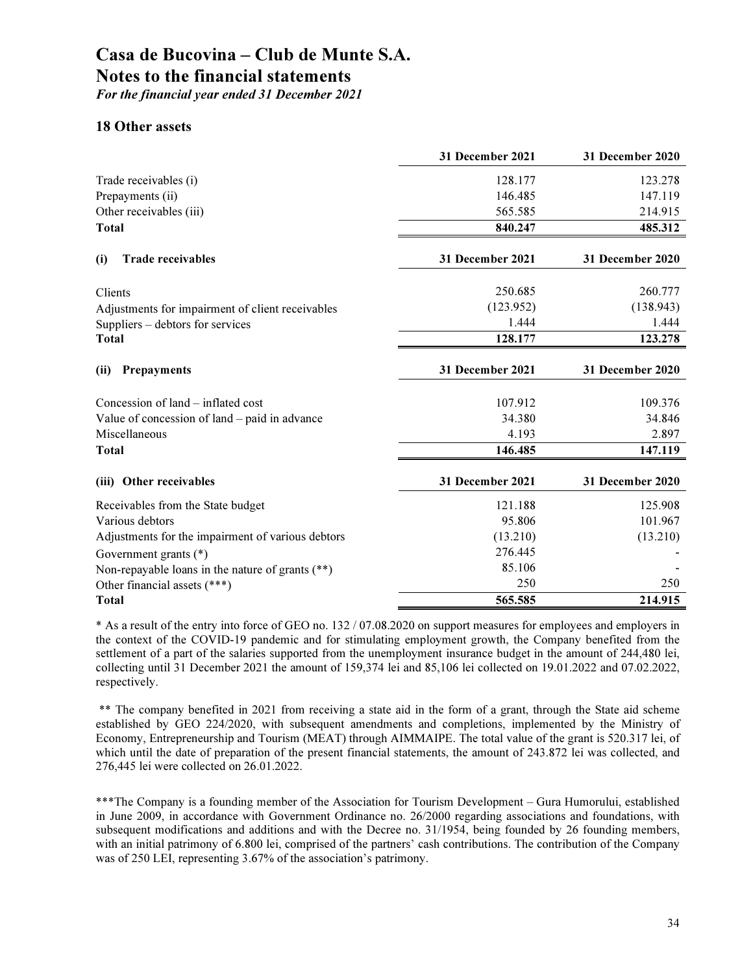For the financial year ended 31 December 2021

#### 18 Other assets

|                                                    | 31 December 2021 | 31 December 2020 |
|----------------------------------------------------|------------------|------------------|
| Trade receivables (i)                              | 128.177          | 123.278          |
| Prepayments (ii)                                   | 146.485          | 147.119          |
| Other receivables (iii)                            | 565.585          | 214.915          |
| <b>Total</b>                                       | 840.247          | 485.312          |
| <b>Trade receivables</b><br>(i)                    | 31 December 2021 | 31 December 2020 |
| Clients                                            | 250.685          | 260.777          |
| Adjustments for impairment of client receivables   | (123.952)        | (138.943)        |
| Suppliers – debtors for services                   | 1.444            | 1.444            |
| <b>Total</b>                                       | 128.177          | 123.278          |
| Prepayments<br>(ii)                                | 31 December 2021 | 31 December 2020 |
| Concession of land – inflated cost                 | 107.912          | 109.376          |
| Value of concession of land – paid in advance      | 34.380           | 34.846           |
| Miscellaneous                                      | 4.193            | 2.897            |
| Total                                              | 146.485          | 147.119          |
| (iii) Other receivables                            | 31 December 2021 | 31 December 2020 |
| Receivables from the State budget                  | 121.188          | 125.908          |
| Various debtors                                    | 95.806           | 101.967          |
| Adjustments for the impairment of various debtors  | (13.210)         | (13.210)         |
| Government grants (*)                              | 276.445          |                  |
| Non-repayable loans in the nature of grants $(**)$ | 85.106           |                  |
| Other financial assets (***)                       | 250              | 250              |
| <b>Total</b>                                       | 565.585          | 214.915          |

\* As a result of the entry into force of GEO no. 132 / 07.08.2020 on support measures for employees and employers in the context of the COVID-19 pandemic and for stimulating employment growth, the Company benefited from the settlement of a part of the salaries supported from the unemployment insurance budget in the amount of 244,480 lei, collecting until 31 December 2021 the amount of 159,374 lei and 85,106 lei collected on 19.01.2022 and 07.02.2022, respectively.

 \*\* The company benefited in 2021 from receiving a state aid in the form of a grant, through the State aid scheme established by GEO 224/2020, with subsequent amendments and completions, implemented by the Ministry of Economy, Entrepreneurship and Tourism (MEAT) through AIMMAIPE. The total value of the grant is 520.317 lei, of which until the date of preparation of the present financial statements, the amount of 243.872 lei was collected, and 276,445 lei were collected on 26.01.2022.

\*\*\*The Company is a founding member of the Association for Tourism Development – Gura Humorului, established in June 2009, in accordance with Government Ordinance no. 26/2000 regarding associations and foundations, with subsequent modifications and additions and with the Decree no. 31/1954, being founded by 26 founding members, with an initial patrimony of 6.800 lei, comprised of the partners' cash contributions. The contribution of the Company was of 250 LEI, representing 3.67% of the association's patrimony.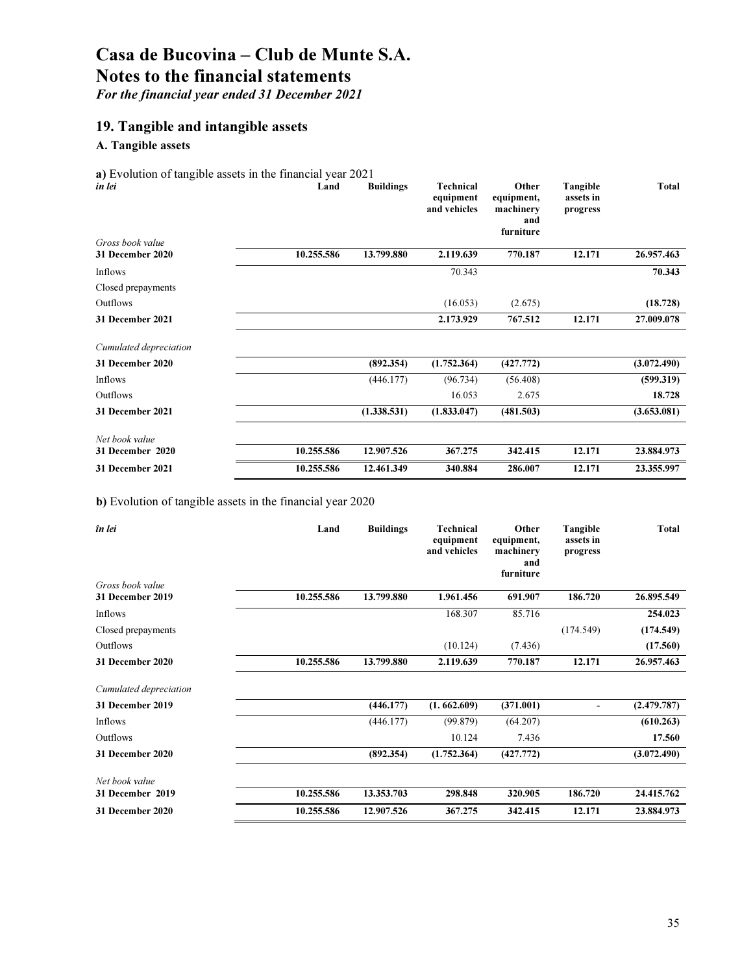For the financial year ended 31 December 2021

#### 19. Tangible and intangible assets

### A. Tangible assets

a) Evolution of tangible assets in the financial year  $2021$ <br>*in lei* Land Buildings in lei Land Buildings Technical

|                                      |            |             | equipment<br>and vehicles | equipment,<br>machinery<br>and<br>furniture | assets in<br>progress |             |
|--------------------------------------|------------|-------------|---------------------------|---------------------------------------------|-----------------------|-------------|
| Gross book value<br>31 December 2020 | 10.255.586 | 13.799.880  | 2.119.639                 | 770.187                                     | 12.171                | 26.957.463  |
| Inflows                              |            |             | 70.343                    |                                             |                       | 70.343      |
| Closed prepayments                   |            |             |                           |                                             |                       |             |
| Outflows                             |            |             | (16.053)                  | (2.675)                                     |                       | (18.728)    |
| 31 December 2021                     |            |             | 2.173.929                 | 767.512                                     | 12.171                | 27.009.078  |
| Cumulated depreciation               |            |             |                           |                                             |                       |             |
| 31 December 2020                     |            | (892.354)   | (1.752.364)               | (427.772)                                   |                       | (3.072.490) |
| Inflows                              |            | (446.177)   | (96.734)                  | (56.408)                                    |                       | (599.319)   |
| Outflows                             |            |             | 16.053                    | 2.675                                       |                       | 18.728      |
| 31 December 2021                     |            | (1.338.531) | (1.833.047)               | (481.503)                                   |                       | (3.653.081) |
| Net book value                       |            |             |                           |                                             |                       |             |
| 31 December 2020                     | 10.255.586 | 12.907.526  | 367,275                   | 342.415                                     | 12.171                | 23.884.973  |
| 31 December 2021                     | 10.255.586 | 12.461.349  | 340.884                   | 286.007                                     | 12.171                | 23.355.997  |

**Other** 

Tangible

Total

b) Evolution of tangible assets in the financial year 2020

| în lei                               | Land       | <b>Buildings</b> | <b>Technical</b><br>equipment<br>and vehicles | Other<br>equipment,<br>machinery<br>and<br>furniture | Tangible<br>assets in<br>progress | Total       |
|--------------------------------------|------------|------------------|-----------------------------------------------|------------------------------------------------------|-----------------------------------|-------------|
| Gross book value<br>31 December 2019 | 10.255.586 | 13.799.880       | 1.961.456                                     | 691.907                                              | 186.720                           | 26.895.549  |
| Inflows                              |            |                  | 168.307                                       | 85.716                                               |                                   | 254.023     |
| Closed prepayments                   |            |                  |                                               |                                                      | (174.549)                         | (174.549)   |
| Outflows                             |            |                  | (10.124)                                      | (7.436)                                              |                                   | (17.560)    |
| 31 December 2020                     | 10.255.586 | 13.799.880       | 2.119.639                                     | 770.187                                              | 12.171                            | 26.957.463  |
| Cumulated depreciation               |            |                  |                                               |                                                      |                                   |             |
| 31 December 2019                     |            | (446.177)        | (1.662.609)                                   | (371.001)                                            | -                                 | (2.479.787) |
| Inflows                              |            | (446.177)        | (99.879)                                      | (64.207)                                             |                                   | (610.263)   |
| Outflows                             |            |                  | 10.124                                        | 7.436                                                |                                   | 17.560      |
| 31 December 2020                     |            | (892.354)        | (1.752.364)                                   | (427.772)                                            |                                   | (3.072.490) |
| Net book value                       |            |                  |                                               |                                                      |                                   |             |
| 31 December 2019                     | 10.255.586 | 13.353.703       | 298.848                                       | 320.905                                              | 186.720                           | 24.415.762  |
| 31 December 2020                     | 10.255.586 | 12.907.526       | 367,275                                       | 342.415                                              | 12.171                            | 23.884.973  |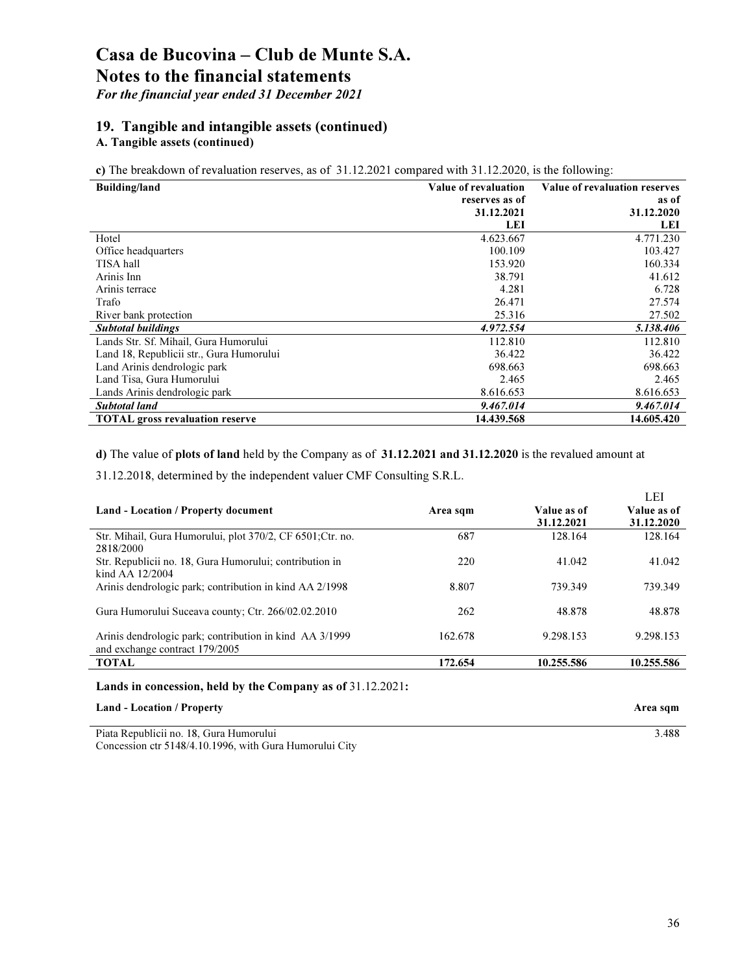For the financial year ended 31 December 2021

#### 19. Tangible and intangible assets (continued)

A. Tangible assets (continued)

c) The breakdown of revaluation reserves, as of 31.12.2021 compared with 31.12.2020, is the following:

| <b>Building/land</b>                     | Value of revaluation | Value of revaluation reserves |
|------------------------------------------|----------------------|-------------------------------|
|                                          | reserves as of       | as of                         |
|                                          | 31.12.2021           | 31.12.2020                    |
|                                          | LEI                  | LEI                           |
| Hotel                                    | 4.623.667            | 4.771.230                     |
| Office headquarters                      | 100.109              | 103.427                       |
| TISA hall                                | 153.920              | 160.334                       |
| Arinis Inn                               | 38.791               | 41.612                        |
| Arinis terrace                           | 4.281                | 6.728                         |
| Trafo                                    | 26.471               | 27.574                        |
| River bank protection                    | 25.316               | 27.502                        |
| <b>Subtotal buildings</b>                | 4.972.554            | 5.138.406                     |
| Lands Str. Sf. Mihail, Gura Humorului    | 112.810              | 112.810                       |
| Land 18, Republicii str., Gura Humorului | 36.422               | 36.422                        |
| Land Arinis dendrologic park             | 698.663              | 698.663                       |
| Land Tisa, Gura Humorului                | 2.465                | 2.465                         |
| Lands Arinis dendrologic park            | 8.616.653            | 8.616.653                     |
| <b>Subtotal land</b>                     | 9.467.014            | 9.467.014                     |
| <b>TOTAL</b> gross revaluation reserve   | 14.439.568           | 14.605.420                    |

d) The value of plots of land held by the Company as of 31.12.2021 and 31.12.2020 is the revalued amount at

31.12.2018, determined by the independent valuer CMF Consulting S.R.L.

|                                                                                           |          |             | LEI         |
|-------------------------------------------------------------------------------------------|----------|-------------|-------------|
| <b>Land - Location / Property document</b>                                                | Area sqm | Value as of | Value as of |
|                                                                                           |          | 31.12.2021  | 31.12.2020  |
| Str. Mihail, Gura Humorului, plot 370/2, CF 6501; Ctr. no.<br>2818/2000                   | 687      | 128.164     | 128.164     |
| Str. Republicii no. 18, Gura Humorului; contribution in<br>kind AA $12/2004$              | 220      | 41.042      | 41.042      |
| Arinis dendrologic park; contribution in kind AA 2/1998                                   | 8.807    | 739.349     | 739.349     |
| Gura Humorului Suceava county; Ctr. 266/02.02.2010                                        | 262      | 48.878      | 48.878      |
| Arinis dendrologic park; contribution in kind AA 3/1999<br>and exchange contract 179/2005 | 162.678  | 9.298.153   | 9.298.153   |
| <b>TOTAL</b>                                                                              | 172.654  | 10.255.586  | 10.255.586  |
| Lands in concession, held by the Company as of 31.12.2021:                                |          |             |             |
| <b>Land - Location / Property</b>                                                         |          |             | Area sqm    |

Piata Republicii no. 18, Gura Humorului Concession ctr 5148/4.10.1996, with Gura Humorului City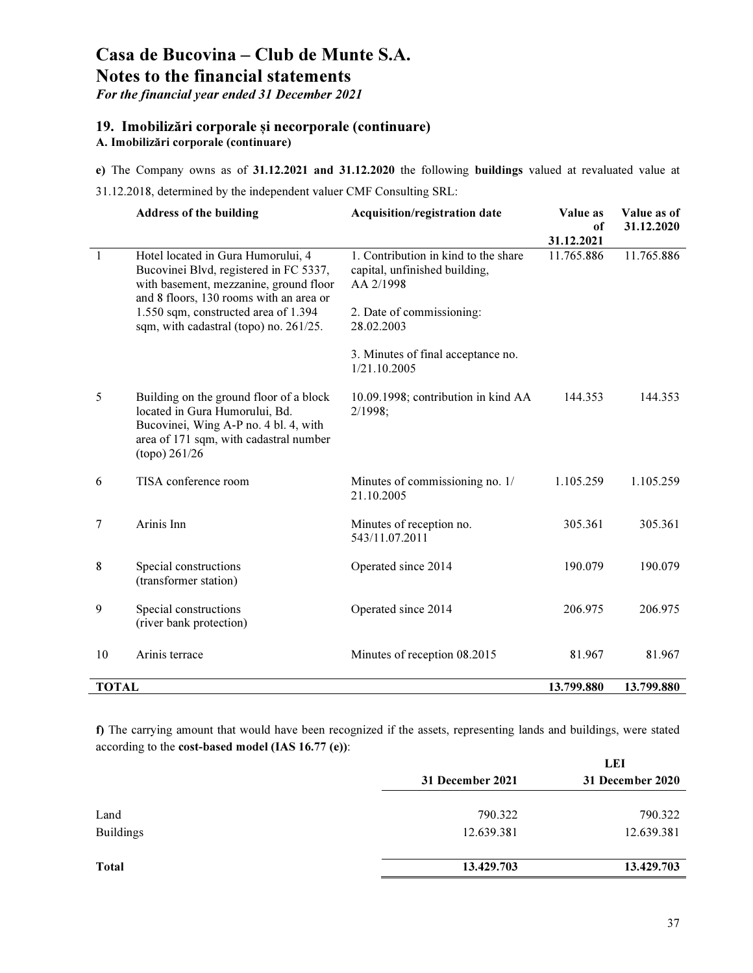For the financial year ended 31 December 2021

#### 19. Imobilizări corporale și necorporale (continuare)

A. Imobilizări corporale (continuare)

e) The Company owns as of 31.12.2021 and 31.12.2020 the following buildings valued at revaluated value at

31.12.2018, determined by the independent valuer CMF Consulting SRL:

|                      | <b>Address of the building</b>                                                                                                                                                                                                                      | <b>Acquisition/registration date</b>                                                                                          | Value as         | Value as of |
|----------------------|-----------------------------------------------------------------------------------------------------------------------------------------------------------------------------------------------------------------------------------------------------|-------------------------------------------------------------------------------------------------------------------------------|------------------|-------------|
|                      |                                                                                                                                                                                                                                                     |                                                                                                                               | of<br>31.12.2021 | 31.12.2020  |
| $\overline{1}$       | Hotel located in Gura Humorului, 4<br>Bucovinei Blvd, registered in FC 5337,<br>with basement, mezzanine, ground floor<br>and 8 floors, 130 rooms with an area or<br>1.550 sqm, constructed area of 1.394<br>sqm, with cadastral (topo) no. 261/25. | 1. Contribution in kind to the share<br>capital, unfinished building,<br>AA 2/1998<br>2. Date of commissioning:<br>28.02.2003 | 11.765.886       | 11.765.886  |
|                      |                                                                                                                                                                                                                                                     | 3. Minutes of final acceptance no.<br>1/21.10.2005                                                                            |                  |             |
| 5<br>(topo) 261/26   | Building on the ground floor of a block<br>located in Gura Humorului, Bd.<br>Bucovinei, Wing A-P no. 4 bl. 4, with<br>area of 171 sqm, with cadastral number                                                                                        | 10.09.1998; contribution in kind AA<br>2/1998;                                                                                | 144.353          | 144.353     |
| 6                    | TISA conference room                                                                                                                                                                                                                                | Minutes of commissioning no. 1/<br>21.10.2005                                                                                 | 1.105.259        | 1.105.259   |
| Arinis Inn<br>7      |                                                                                                                                                                                                                                                     | Minutes of reception no.<br>543/11.07.2011                                                                                    | 305.361          | 305.361     |
| 8                    | Special constructions<br>(transformer station)                                                                                                                                                                                                      | Operated since 2014                                                                                                           | 190.079          | 190.079     |
| 9                    | Special constructions<br>(river bank protection)                                                                                                                                                                                                    | Operated since 2014                                                                                                           | 206.975          | 206.975     |
| Arinis terrace<br>10 |                                                                                                                                                                                                                                                     | Minutes of reception 08.2015                                                                                                  | 81.967           | 81.967      |
| <b>TOTAL</b>         |                                                                                                                                                                                                                                                     |                                                                                                                               | 13.799.880       | 13.799.880  |

f) The carrying amount that would have been recognized if the assets, representing lands and buildings, were stated according to the cost-based model (IAS 16.77 (e)):

|                  |                  | <b>LEI</b>       |
|------------------|------------------|------------------|
|                  | 31 December 2021 | 31 December 2020 |
|                  |                  |                  |
| Land             | 790.322          | 790.322          |
| <b>Buildings</b> | 12.639.381       | 12.639.381       |
| Total            | 13.429.703       | 13.429.703       |
|                  |                  |                  |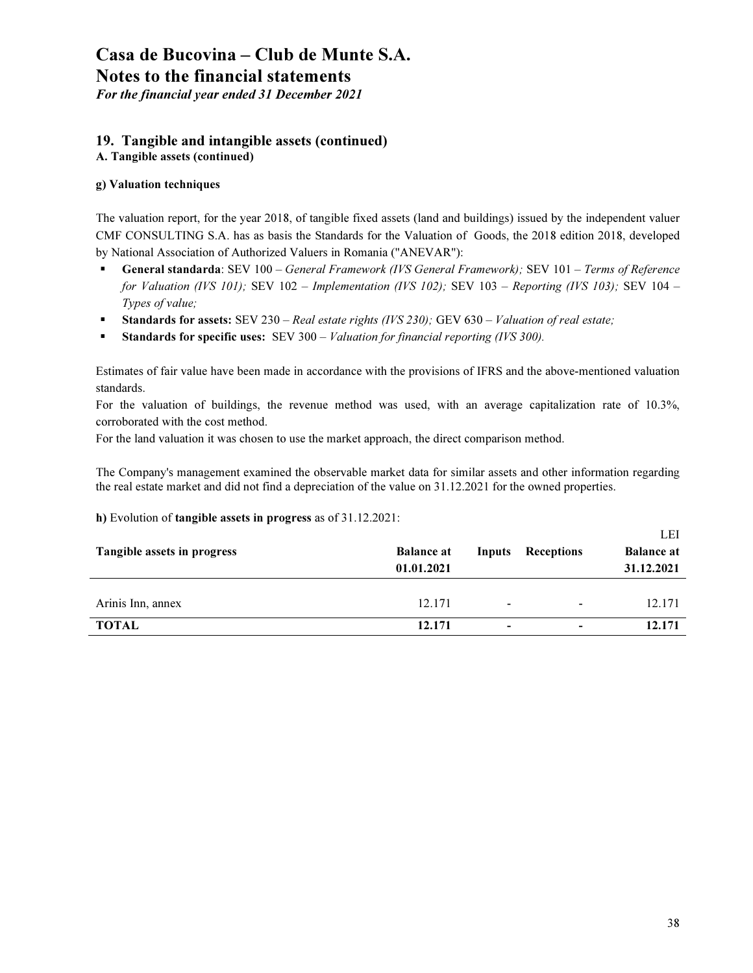For the financial year ended 31 December 2021

#### 19. Tangible and intangible assets (continued)

A. Tangible assets (continued)

#### g) Valuation techniques

The valuation report, for the year 2018, of tangible fixed assets (land and buildings) issued by the independent valuer CMF CONSULTING S.A. has as basis the Standards for the Valuation of Goods, the 2018 edition 2018, developed by National Association of Authorized Valuers in Romania ("ANEVAR"):

- General standarda: SEV 100 General Framework (IVS General Framework); SEV 101 Terms of Reference for Valuation (IVS 101); SEV 102 – Implementation (IVS 102); SEV 103 – Reporting (IVS 103); SEV 104 – Types of value;
- Standards for assets: SEV 230 Real estate rights (IVS 230); GEV 630 Valuation of real estate;
- Standards for specific uses: SEV 300 Valuation for financial reporting (IVS 300).

Estimates of fair value have been made in accordance with the provisions of IFRS and the above-mentioned valuation standards.

For the valuation of buildings, the revenue method was used, with an average capitalization rate of 10.3%, corroborated with the cost method.

For the land valuation it was chosen to use the market approach, the direct comparison method.

The Company's management examined the observable market data for similar assets and other information regarding the real estate market and did not find a depreciation of the value on 31.12.2021 for the owned properties.

#### h) Evolution of tangible assets in progress as of 31.12.2021:

| Tangible assets in progress | <b>Balance at</b><br>01.01.2021 | Inputs                   | <b>Receptions</b>        | LEI<br><b>Balance at</b><br>31.12.2021 |
|-----------------------------|---------------------------------|--------------------------|--------------------------|----------------------------------------|
| Arinis Inn, annex           | 12.171                          | $\overline{\phantom{a}}$ | $\overline{\phantom{a}}$ | 12.171                                 |
| <b>TOTAL</b>                | 12.171                          | $\overline{\phantom{a}}$ | $\,$                     | 12.171                                 |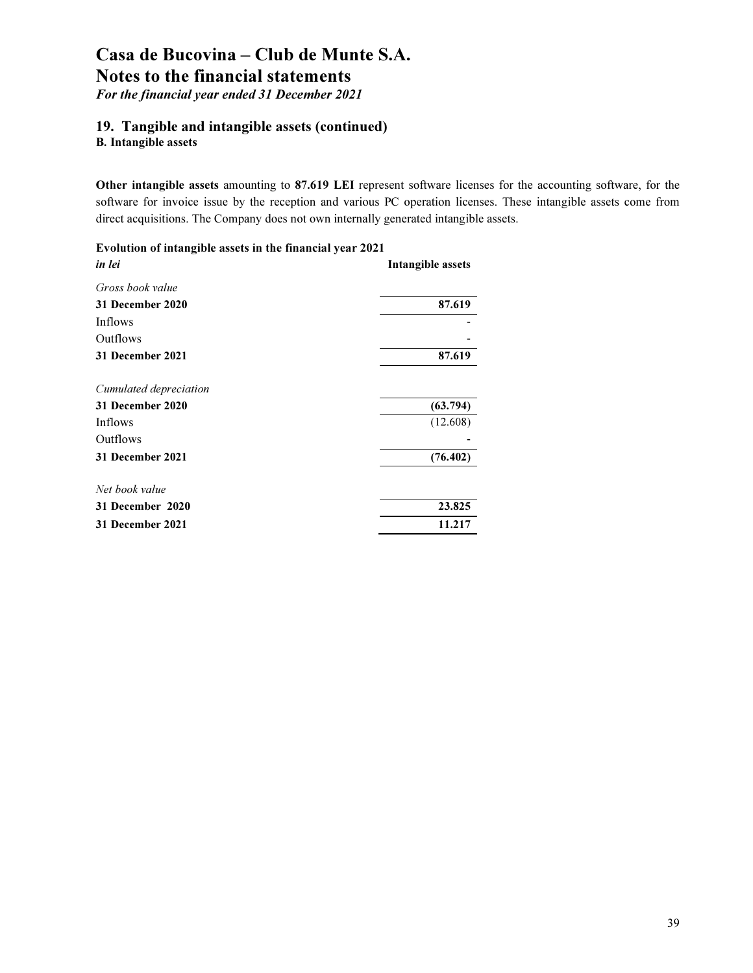For the financial year ended 31 December 2021

#### 19. Tangible and intangible assets (continued)

B. Intangible assets

Other intangible assets amounting to 87.619 LEI represent software licenses for the accounting software, for the software for invoice issue by the reception and various PC operation licenses. These intangible assets come from direct acquisitions. The Company does not own internally generated intangible assets.

#### Evolution of intangible assets in the financial year 2021

| in lei                 | <b>Intangible assets</b> |
|------------------------|--------------------------|
| Gross book value       |                          |
| 31 December 2020       | 87.619                   |
| Inflows                |                          |
| Outflows               |                          |
| 31 December 2021       | 87.619                   |
| Cumulated depreciation |                          |
| 31 December 2020       | (63.794)                 |
| Inflows                | (12.608)                 |
| Outflows               |                          |
| 31 December 2021       | (76.402)                 |
| Net book value         |                          |
| 31 December 2020       | 23.825                   |
| 31 December 2021       | 11.217                   |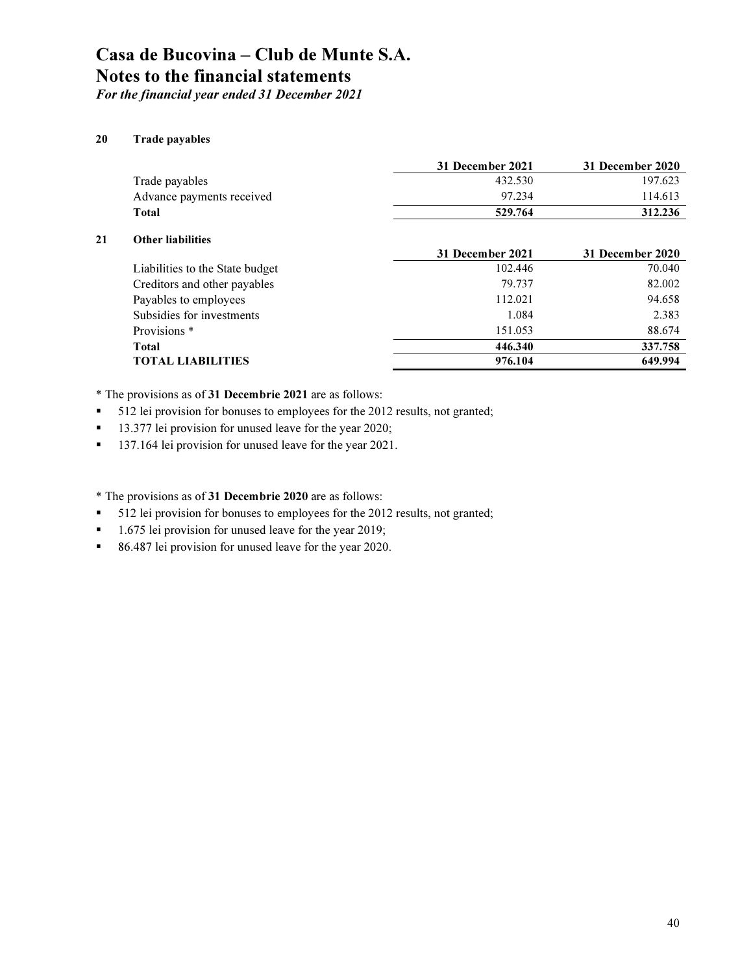For the financial year ended 31 December 2021

#### 20 Trade payables

|                           | 31 December 2021 | 31 December 2020 |
|---------------------------|------------------|------------------|
| Trade payables            | 432.530          | 197.623          |
| Advance payments received | 97.234           | 114.613          |
| Total                     | 529.764          | 312.236          |

#### 21 Other liabilities

|                                 | 31 December 2021 | 31 December 2020 |
|---------------------------------|------------------|------------------|
| Liabilities to the State budget | 102.446          | 70.040           |
| Creditors and other payables    | 79.737           | 82.002           |
| Payables to employees           | 112.021          | 94.658           |
| Subsidies for investments       | 1.084            | 2.383            |
| Provisions <sup>*</sup>         | 151.053          | 88.674           |
| Total                           | 446.340          | 337.758          |
| <b>TOTAL LIABILITIES</b>        | 976.104          | 649.994          |
|                                 |                  |                  |

\* The provisions as of 31 Decembrie 2021 are as follows:

- 512 lei provision for bonuses to employees for the 2012 results, not granted;
- 13.377 lei provision for unused leave for the year 2020;
- **137.164 lei provision for unused leave for the year 2021.**

\* The provisions as of 31 Decembrie 2020 are as follows:

- 512 lei provision for bonuses to employees for the 2012 results, not granted;
- 1.675 lei provision for unused leave for the year 2019;
- 86.487 lei provision for unused leave for the year 2020.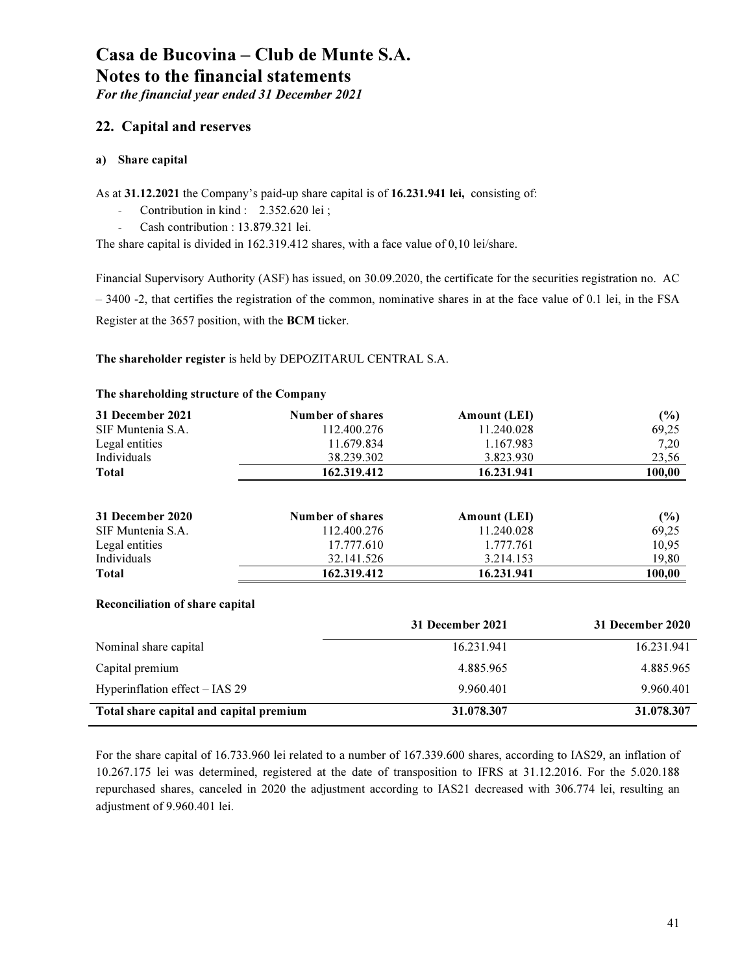For the financial year ended 31 December 2021

#### 22. Capital and reserves

#### a) Share capital

As at 31.12.2021 the Company's paid-up share capital is of 16.231.941 lei, consisting of:

- Contribution in kind : 2.352.620 lei ;
- Cash contribution : 13.879.321 lei.

The share capital is divided in 162.319.412 shares, with a face value of 0,10 lei/share.

Financial Supervisory Authority (ASF) has issued, on 30.09.2020, the certificate for the securities registration no. AC  $-3400$  -2, that certifies the registration of the common, nominative shares in at the face value of 0.1 lei, in the FSA Register at the 3657 position, with the BCM ticker.

#### The shareholder register is held by DEPOZITARUL CENTRAL S.A.

| 31 December 2021                        | Number of shares | <b>Amount (LEI)</b> | $(\%)$           |
|-----------------------------------------|------------------|---------------------|------------------|
| SIF Muntenia S.A.                       | 112.400.276      | 11.240.028          | 69,25            |
| Legal entities                          | 11.679.834       | 1.167.983           | 7,20             |
| Individuals                             | 38.239.302       | 3.823.930           | 23,56            |
| Total                                   | 162.319.412      | 16.231.941          | 100,00           |
|                                         |                  |                     |                  |
| 31 December 2020                        | Number of shares | <b>Amount (LEI)</b> | $(\%)$           |
| SIF Muntenia S.A.                       | 112.400.276      | 11.240.028          | 69,25            |
| Legal entities                          | 17.777.610       | 1.777.761           | 10,95            |
| Individuals                             | 32.141.526       | 3.214.153           | 19,80            |
| <b>Total</b>                            | 162.319.412      | 16.231.941          | 100,00           |
| Reconciliation of share capital         |                  |                     |                  |
|                                         |                  | 31 December 2021    | 31 December 2020 |
| Nominal share capital                   |                  | 16.231.941          | 16.231.941       |
| Capital premium                         |                  | 4.885.965           | 4.885.965        |
| Hyperinflation effect - IAS 29          |                  | 9.960.401           | 9.960.401        |
| Total share capital and capital premium |                  | 31.078.307          | 31.078.307       |

#### The shareholding structure of the Company

For the share capital of 16.733.960 lei related to a number of 167.339.600 shares, according to IAS29, an inflation of 10.267.175 lei was determined, registered at the date of transposition to IFRS at 31.12.2016. For the 5.020.188 repurchased shares, canceled in 2020 the adjustment according to IAS21 decreased with 306.774 lei, resulting an adjustment of 9.960.401 lei.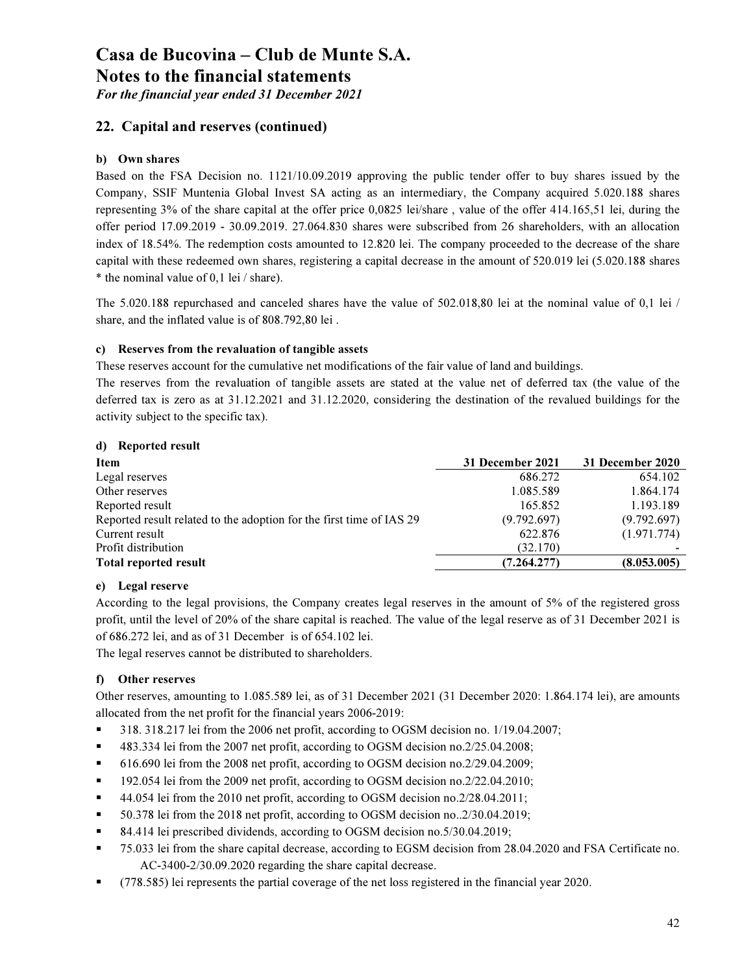For the financial year ended 31 December 2021

#### 22. Capital and reserves (continued)

#### b) Own shares

Based on the FSA Decision no. 1121/10.09.2019 approving the public tender offer to buy shares issued by the Company, SSIF Muntenia Global Invest SA acting as an intermediary, the Company acquired 5.020.188 shares representing 3% of the share capital at the offer price 0,0825 lei/share , value of the offer 414.165,51 lei, during the offer period 17.09.2019 - 30.09.2019. 27.064.830 shares were subscribed from 26 shareholders, with an allocation index of 18.54%. The redemption costs amounted to 12.820 lei. The company proceeded to the decrease of the share capital with these redeemed own shares, registering a capital decrease in the amount of 520.019 lei (5.020.188 shares \* the nominal value of 0,1 lei / share).

The 5.020.188 repurchased and canceled shares have the value of 502.018,80 lei at the nominal value of 0,1 lei / share, and the inflated value is of 808.792,80 lei .

#### c) Reserves from the revaluation of tangible assets

These reserves account for the cumulative net modifications of the fair value of land and buildings.

The reserves from the revaluation of tangible assets are stated at the value net of deferred tax (the value of the deferred tax is zero as at 31.12.2021 and 31.12.2020, considering the destination of the revalued buildings for the activity subject to the specific tax).

#### d) Reported result

| 31 December 2021 | 31 December 2020 |
|------------------|------------------|
| 686.272          | 654.102          |
| 1.085.589        | 1.864.174        |
| 165.852          | 1.193.189        |
| (9.792.697)      | (9.792.697)      |
| 622.876          | (1.971.774)      |
| (32.170)         |                  |
| (7.264.277)      | (8.053.005)      |
|                  |                  |

#### e) Legal reserve

According to the legal provisions, the Company creates legal reserves in the amount of 5% of the registered gross profit, until the level of 20% of the share capital is reached. The value of the legal reserve as of 31 December 2021 is of 686.272 lei, and as of 31 December is of 654.102 lei.

The legal reserves cannot be distributed to shareholders.

#### f) Other reserves

Other reserves, amounting to 1.085.589 lei, as of 31 December 2021 (31 December 2020: 1.864.174 lei), are amounts allocated from the net profit for the financial years 2006-2019:

- <sup>318.</sup> 318. 318.217 lei from the 2006 net profit, according to OGSM decision no. 1/19.04.2007;
- 483.334 lei from the 2007 net profit, according to OGSM decision no.2/25.04.2008;
- 616.690 lei from the 2008 net profit, according to OGSM decision no.2/29.04.2009;
- 192.054 lei from the 2009 net profit, according to OGSM decision no.2/22.04.2010;
- <sup>44.054</sup> lei from the 2010 net profit, according to OGSM decision no.2/28.04.2011;
- 50.378 lei from the 2018 net profit, according to OGSM decision no..2/30.04.2019;
- 84.414 lei prescribed dividends, according to OGSM decision no.5/30.04.2019;
- 75.033 lei from the share capital decrease, according to EGSM decision from 28.04.2020 and FSA Certificate no. AC-3400-2/30.09.2020 regarding the share capital decrease.
- (778.585) lei represents the partial coverage of the net loss registered in the financial year 2020.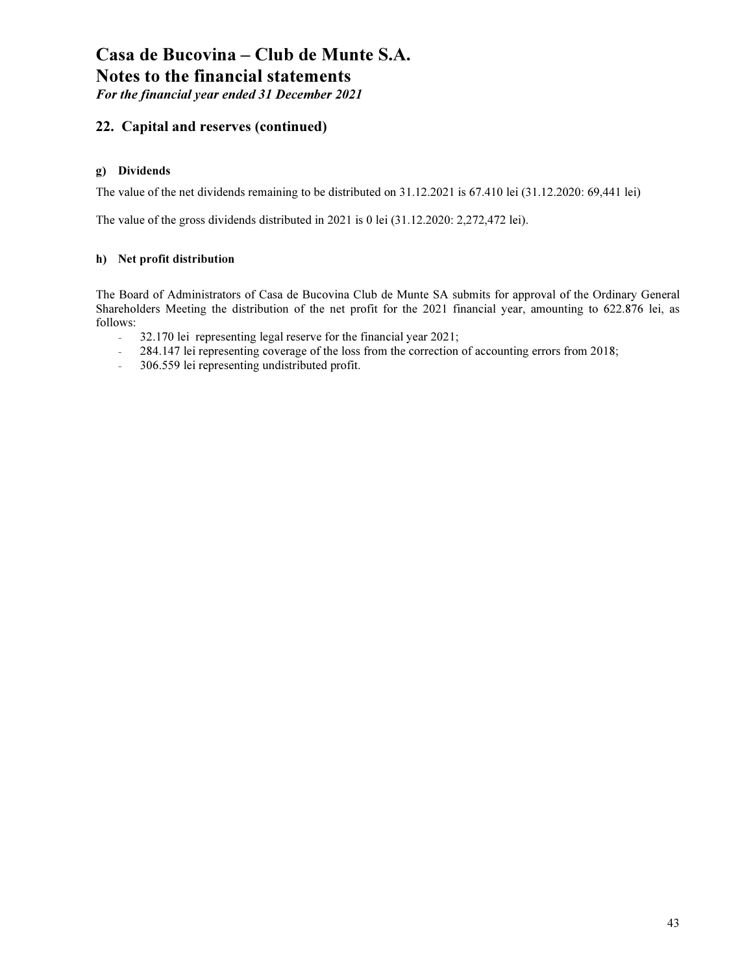For the financial year ended 31 December 2021

# 22. Capital and reserves (continued)

## g) Dividends

The value of the net dividends remaining to be distributed on 31.12.2021 is 67.410 lei (31.12.2020: 69,441 lei)

The value of the gross dividends distributed in 2021 is 0 lei (31.12.2020: 2,272,472 lei).

## h) Net profit distribution

The Board of Administrators of Casa de Bucovina Club de Munte SA submits for approval of the Ordinary General Shareholders Meeting the distribution of the net profit for the 2021 financial year, amounting to 622.876 lei, as follows:

- 32.170 lei representing legal reserve for the financial year 2021;
- 284.147 lei representing coverage of the loss from the correction of accounting errors from 2018;
- 306.559 lei representing undistributed profit.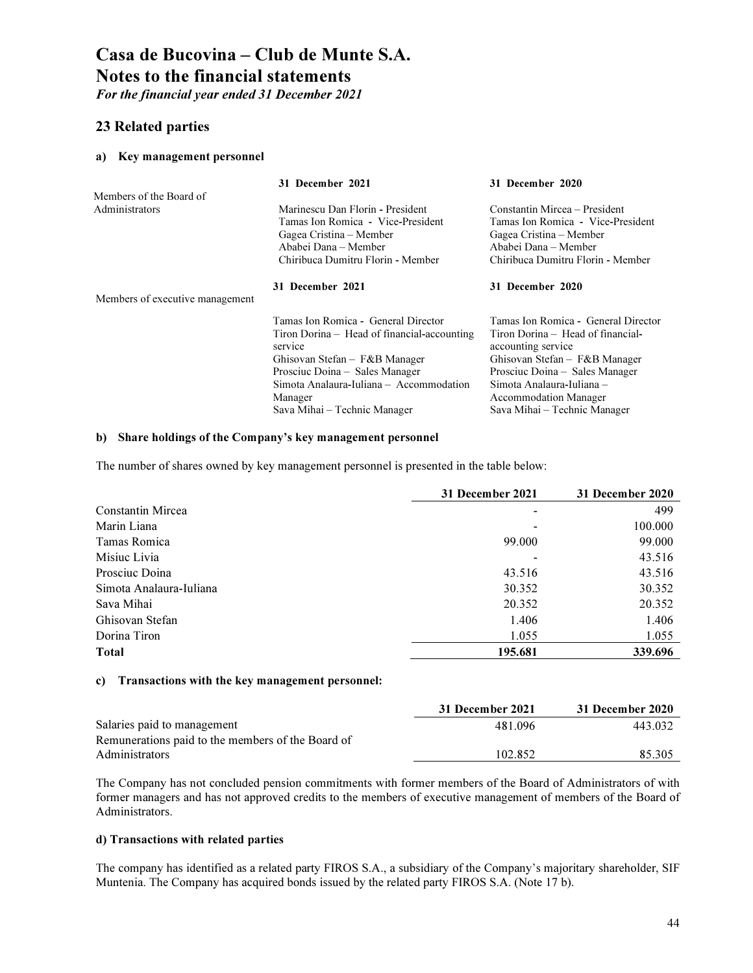For the financial year ended 31 December 2021

# 23 Related parties

### a) Key management personnel

|                                 | 31 December 2021                                                                                                                                                                                                                                       | 31 December 2020                                                                                                                                                                                                                                               |
|---------------------------------|--------------------------------------------------------------------------------------------------------------------------------------------------------------------------------------------------------------------------------------------------------|----------------------------------------------------------------------------------------------------------------------------------------------------------------------------------------------------------------------------------------------------------------|
| Members of the Board of         |                                                                                                                                                                                                                                                        |                                                                                                                                                                                                                                                                |
| Administrators                  | Marinescu Dan Florin - President<br>Tamas Ion Romica - Vice-President<br>Gagea Cristina – Member<br>Ababei Dana – Member<br>Chiribuca Dumitru Florin - Member                                                                                          | Constantin Mircea – President<br>Tamas Ion Romica - Vice-President<br>Gagea Cristina – Member<br>Ababei Dana – Member<br>Chiribuca Dumitru Florin - Member                                                                                                     |
|                                 | 31 December 2021                                                                                                                                                                                                                                       | 31 December 2020                                                                                                                                                                                                                                               |
| Members of executive management |                                                                                                                                                                                                                                                        |                                                                                                                                                                                                                                                                |
|                                 | Tamas Ion Romica - General Director<br>Tiron Dorina – Head of financial-accounting<br>service<br>Ghisovan Stefan - F&B Manager<br>Prosciuc Doina – Sales Manager<br>Simota Analaura-Iuliana – Accommodation<br>Manager<br>Sava Mihai – Technic Manager | Tamas Ion Romica - General Director<br>Tiron Dorina – Head of financial-<br>accounting service<br>Ghisovan Stefan - F&B Manager<br>Prosciuc Doina – Sales Manager<br>Simota Analaura-Iuliana -<br><b>Accommodation Manager</b><br>Sava Mihai - Technic Manager |

#### b) Share holdings of the Company's key management personnel

The number of shares owned by key management personnel is presented in the table below:

|                         | 31 December 2021 | 31 December 2020 |
|-------------------------|------------------|------------------|
| Constantin Mircea       | -                | 499              |
| Marin Liana             | -                | 100.000          |
| Tamas Romica            | 99.000           | 99.000           |
| Misiuc Livia            |                  | 43.516           |
| Prosciuc Doina          | 43.516           | 43.516           |
| Simota Analaura-Iuliana | 30.352           | 30.352           |
| Sava Mihai              | 20.352           | 20.352           |
| Ghisovan Stefan         | 1.406            | 1.406            |
| Dorina Tiron            | 1.055            | 1.055            |
| <b>Total</b>            | 195.681          | 339.696          |

### c) Transactions with the key management personnel:

|                                                   | 31 December 2021 | 31 December 2020 |
|---------------------------------------------------|------------------|------------------|
| Salaries paid to management                       | 481.096          | 443.032          |
| Remunerations paid to the members of the Board of |                  |                  |
| <b>Administrators</b>                             | 102.852          | 85.305           |

The Company has not concluded pension commitments with former members of the Board of Administrators of with former managers and has not approved credits to the members of executive management of members of the Board of Administrators.

### d) Transactions with related parties

The company has identified as a related party FIROS S.A., a subsidiary of the Company's majoritary shareholder, SIF Muntenia. The Company has acquired bonds issued by the related party FIROS S.A. (Note 17 b).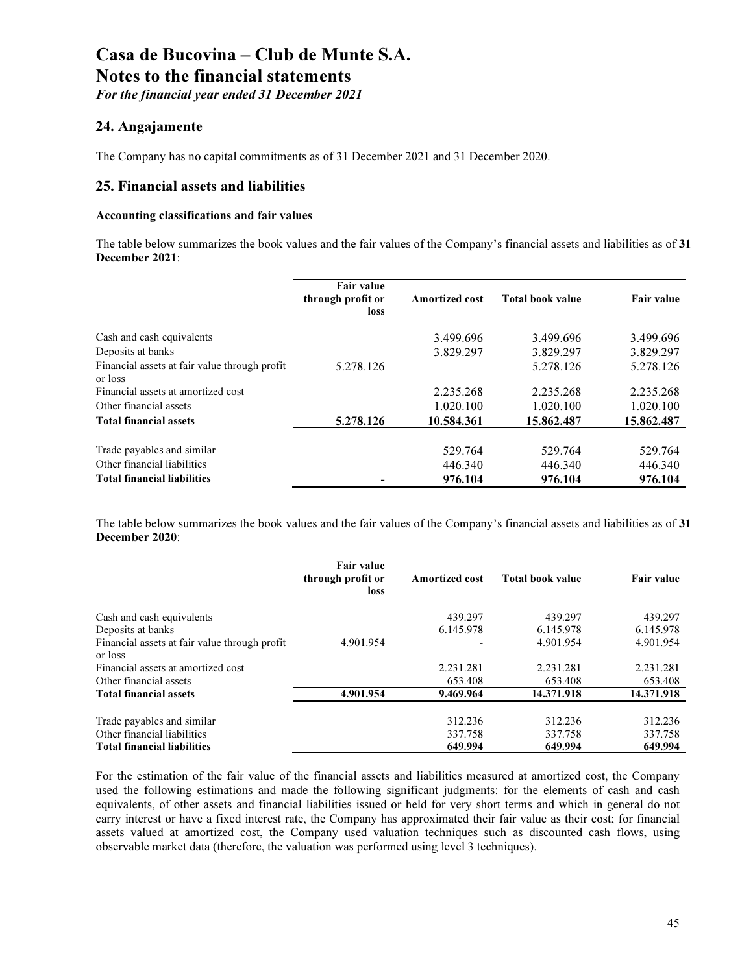For the financial year ended 31 December 2021

# 24. Angajamente

The Company has no capital commitments as of 31 December 2021 and 31 December 2020.

# 25. Financial assets and liabilities

### Accounting classifications and fair values

The table below summarizes the book values and the fair values of the Company's financial assets and liabilities as of 31 December 2021:

|                                                          | <b>Fair value</b><br>through profit or<br>loss | Amortized cost | <b>Total book value</b> | <b>Fair value</b> |
|----------------------------------------------------------|------------------------------------------------|----------------|-------------------------|-------------------|
| Cash and cash equivalents                                |                                                | 3.499.696      | 3.499.696               | 3.499.696         |
| Deposits at banks                                        |                                                | 3.829.297      | 3.829.297               | 3.829.297         |
| Financial assets at fair value through profit<br>or loss | 5.278.126                                      |                | 5.278.126               | 5.278.126         |
| Financial assets at amortized cost                       |                                                | 2.235.268      | 2.235.268               | 2.235.268         |
| Other financial assets                                   |                                                | 1.020.100      | 1.020.100               | 1.020.100         |
| <b>Total financial assets</b>                            | 5.278.126                                      | 10.584.361     | 15.862.487              | 15.862.487        |
| Trade payables and similar                               |                                                | 529.764        | 529.764                 | 529.764           |
| Other financial liabilities                              |                                                | 446.340        | 446.340                 | 446.340           |
| <b>Total financial liabilities</b>                       |                                                | 976.104        | 976.104                 | 976.104           |

The table below summarizes the book values and the fair values of the Company's financial assets and liabilities as of 31 December 2020:

|                                                          | Fair value<br>through profit or<br><b>loss</b> | <b>Amortized cost</b> | Total book value | Fair value |
|----------------------------------------------------------|------------------------------------------------|-----------------------|------------------|------------|
| Cash and cash equivalents                                |                                                | 439.297               | 439.297          | 439.297    |
| Deposits at banks                                        |                                                | 6.145.978             | 6.145.978        | 6.145.978  |
| Financial assets at fair value through profit<br>or loss | 4.901.954                                      |                       | 4.901.954        | 4.901.954  |
| Financial assets at amortized cost                       |                                                | 2.231.281             | 2.231.281        | 2.231.281  |
| Other financial assets                                   |                                                | 653.408               | 653.408          | 653.408    |
| <b>Total financial assets</b>                            | 4.901.954                                      | 9.469.964             | 14.371.918       | 14.371.918 |
|                                                          |                                                |                       |                  |            |
| Trade payables and similar                               |                                                | 312.236               | 312.236          | 312.236    |
| Other financial liabilities                              |                                                | 337.758               | 337.758          | 337.758    |
| <b>Total financial liabilities</b>                       |                                                | 649.994               | 649.994          | 649.994    |

For the estimation of the fair value of the financial assets and liabilities measured at amortized cost, the Company used the following estimations and made the following significant judgments: for the elements of cash and cash equivalents, of other assets and financial liabilities issued or held for very short terms and which in general do not carry interest or have a fixed interest rate, the Company has approximated their fair value as their cost; for financial assets valued at amortized cost, the Company used valuation techniques such as discounted cash flows, using observable market data (therefore, the valuation was performed using level 3 techniques).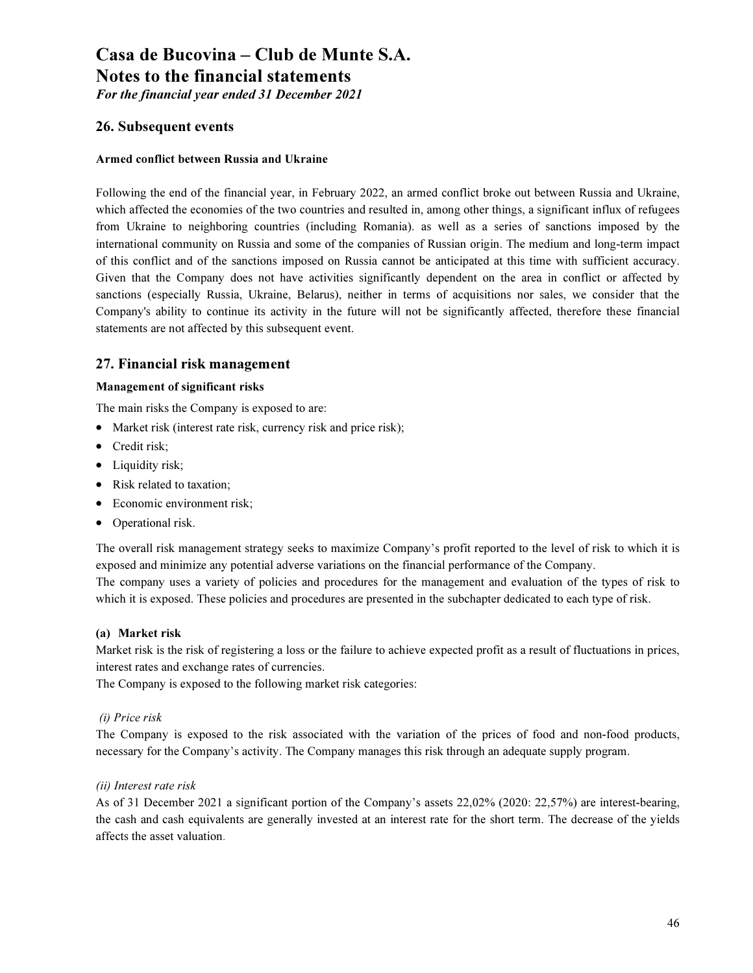For the financial year ended 31 December 2021

# 26. Subsequent events

## Armed conflict between Russia and Ukraine

Following the end of the financial year, in February 2022, an armed conflict broke out between Russia and Ukraine, which affected the economies of the two countries and resulted in, among other things, a significant influx of refugees from Ukraine to neighboring countries (including Romania). as well as a series of sanctions imposed by the international community on Russia and some of the companies of Russian origin. The medium and long-term impact of this conflict and of the sanctions imposed on Russia cannot be anticipated at this time with sufficient accuracy. Given that the Company does not have activities significantly dependent on the area in conflict or affected by sanctions (especially Russia, Ukraine, Belarus), neither in terms of acquisitions nor sales, we consider that the Company's ability to continue its activity in the future will not be significantly affected, therefore these financial statements are not affected by this subsequent event.

## 27. Financial risk management

## Management of significant risks

The main risks the Company is exposed to are:

- Market risk (interest rate risk, currency risk and price risk);
- Credit risk;
- Liquidity risk;
- Risk related to taxation;
- Economic environment risk:
- Operational risk.

The overall risk management strategy seeks to maximize Company's profit reported to the level of risk to which it is exposed and minimize any potential adverse variations on the financial performance of the Company.

The company uses a variety of policies and procedures for the management and evaluation of the types of risk to which it is exposed. These policies and procedures are presented in the subchapter dedicated to each type of risk.

### (a) Market risk

Market risk is the risk of registering a loss or the failure to achieve expected profit as a result of fluctuations in prices, interest rates and exchange rates of currencies.

The Company is exposed to the following market risk categories:

## (i) Price risk

The Company is exposed to the risk associated with the variation of the prices of food and non-food products, necessary for the Company's activity. The Company manages this risk through an adequate supply program.

### (ii) Interest rate risk

As of 31 December 2021 a significant portion of the Company's assets 22,02% (2020: 22,57%) are interest-bearing, the cash and cash equivalents are generally invested at an interest rate for the short term. The decrease of the yields affects the asset valuation.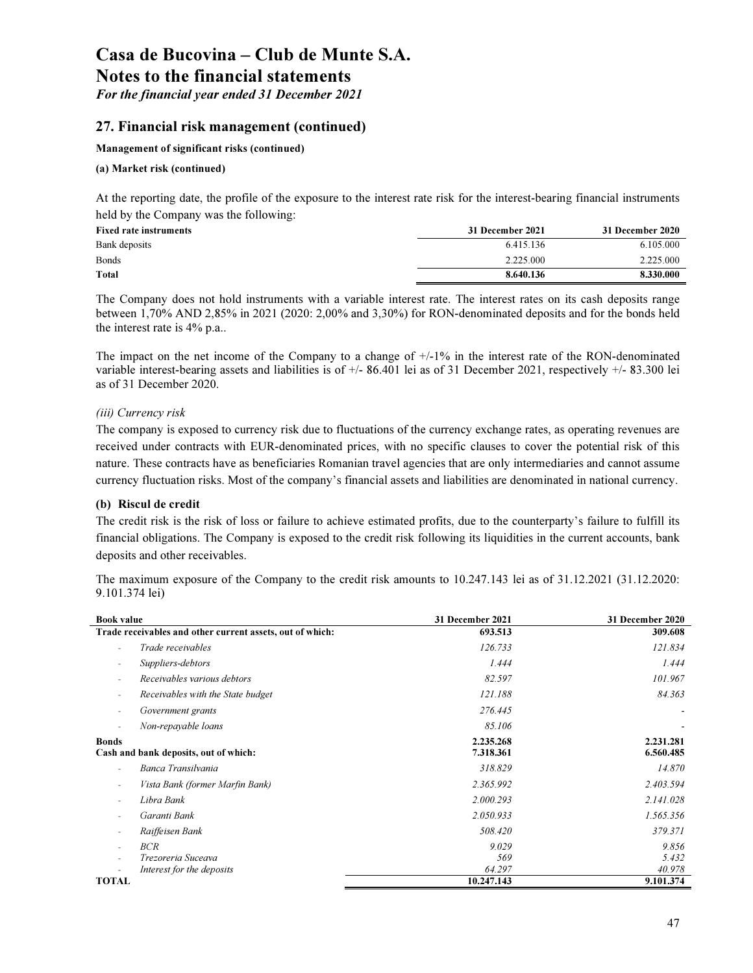For the financial year ended 31 December 2021

# 27. Financial risk management (continued)

### Management of significant risks (continued)

### (a) Market risk (continued)

At the reporting date, the profile of the exposure to the interest rate risk for the interest-bearing financial instruments held by the Company was the following:

| <b>Fixed rate instruments</b> | 31 December 2021 | 31 December 2020 |
|-------------------------------|------------------|------------------|
| Bank deposits                 | 6.415.136        | 6.105.000        |
| <b>Bonds</b>                  | 2.225.000        | 2.225.000        |
| Total                         | 8.640.136        | 8.330.000        |

The Company does not hold instruments with a variable interest rate. The interest rates on its cash deposits range between 1,70% AND 2,85% in 2021 (2020: 2,00% and 3,30%) for RON-denominated deposits and for the bonds held the interest rate is 4% p.a..

The impact on the net income of the Company to a change of  $+/-1\%$  in the interest rate of the RON-denominated variable interest-bearing assets and liabilities is of  $+/-86.401$  lei as of 31 December 2021, respectively  $+/-83.300$  lei as of 31 December 2020.

### (iii) Currency risk

The company is exposed to currency risk due to fluctuations of the currency exchange rates, as operating revenues are received under contracts with EUR-denominated prices, with no specific clauses to cover the potential risk of this nature. These contracts have as beneficiaries Romanian travel agencies that are only intermediaries and cannot assume currency fluctuation risks. Most of the company's financial assets and liabilities are denominated in national currency.

### (b) Riscul de credit

The credit risk is the risk of loss or failure to achieve estimated profits, due to the counterparty's failure to fulfill its financial obligations. The Company is exposed to the credit risk following its liquidities in the current accounts, bank deposits and other receivables.

The maximum exposure of the Company to the credit risk amounts to 10.247.143 lei as of 31.12.2021 (31.12.2020: 9.101.374 lei)

| <b>Book value</b>                                             | 31 December 2021       | 31 December 2020       |
|---------------------------------------------------------------|------------------------|------------------------|
| Trade receivables and other current assets, out of which:     | 693.513                | 309.608                |
| Trade receivables<br>$\sim$                                   | 126.733                | 121.834                |
| Suppliers-debtors<br>$\overline{\phantom{a}}$                 | 1.444                  | 1.444                  |
| Receivables various debtors<br>$\overline{\phantom{a}}$       | 82.597                 | 101.967                |
| Receivables with the State budget<br>$\overline{\phantom{a}}$ | 121.188                | 84.363                 |
| Government grants<br>$\overline{\phantom{a}}$                 | 276.445                |                        |
| Non-repayable loans<br>٠                                      | 85.106                 |                        |
| <b>Bonds</b><br>Cash and bank deposits, out of which:         | 2.235.268<br>7.318.361 | 2.231.281<br>6.560.485 |
| Banca Transilvania<br>$\overline{\phantom{a}}$                | 318.829                | 14.870                 |
| Vista Bank (former Marfin Bank)<br>$\overline{\phantom{a}}$   | 2.365.992              | 2.403.594              |
| Libra Bank<br>$\overline{\phantom{a}}$                        | 2.000.293              | 2.141.028              |
| Garanti Bank<br>٠                                             | 2.050.933              | 1.565.356              |
| Raiffeisen Bank<br>$\overline{\phantom{a}}$                   | 508.420                | 379.371                |
| <b>BCR</b>                                                    | 9.029                  | 9.856                  |
| Trezoreria Suceava                                            | 569                    | 5.432                  |
| Interest for the deposits                                     | 64.297                 | 40.978                 |
| <b>TOTAL</b>                                                  | 10.247.143             | 9.101.374              |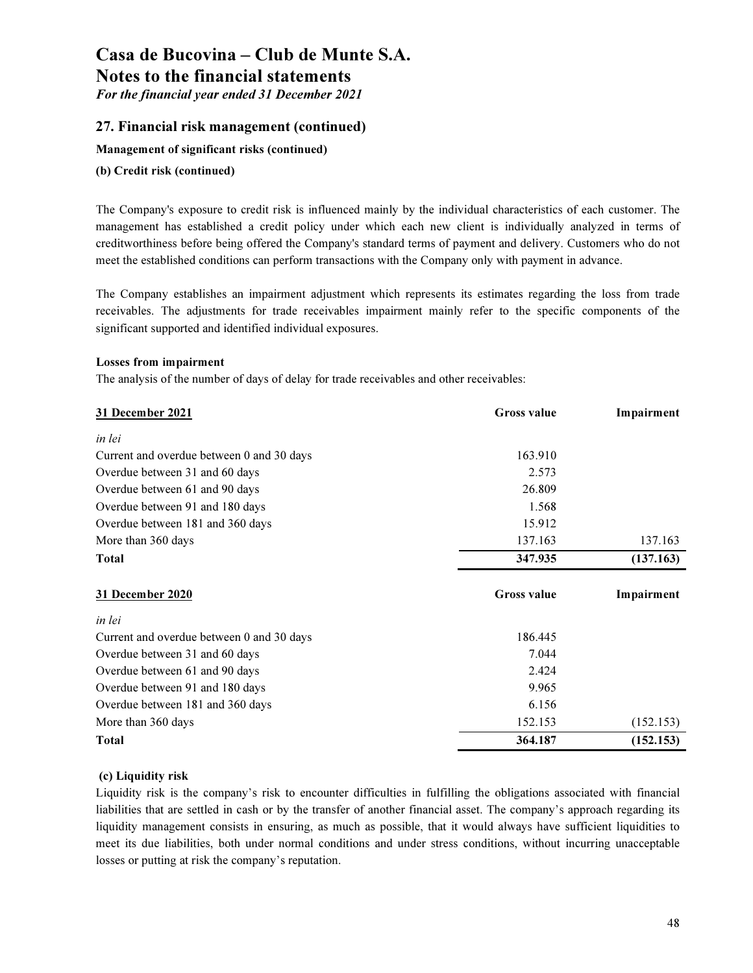For the financial year ended 31 December 2021

# 27. Financial risk management (continued)

## Management of significant risks (continued)

## (b) Credit risk (continued)

The Company's exposure to credit risk is influenced mainly by the individual characteristics of each customer. The management has established a credit policy under which each new client is individually analyzed in terms of creditworthiness before being offered the Company's standard terms of payment and delivery. Customers who do not meet the established conditions can perform transactions with the Company only with payment in advance.

The Company establishes an impairment adjustment which represents its estimates regarding the loss from trade receivables. The adjustments for trade receivables impairment mainly refer to the specific components of the significant supported and identified individual exposures.

## Losses from impairment

The analysis of the number of days of delay for trade receivables and other receivables:

| 31 December 2021                          | <b>Gross value</b> | Impairment |
|-------------------------------------------|--------------------|------------|
| in lei                                    |                    |            |
| Current and overdue between 0 and 30 days | 163.910            |            |
| Overdue between 31 and 60 days            | 2.573              |            |
| Overdue between 61 and 90 days            | 26.809             |            |
| Overdue between 91 and 180 days           | 1.568              |            |
| Overdue between 181 and 360 days          | 15.912             |            |
| More than 360 days                        | 137.163            | 137.163    |
| <b>Total</b>                              | 347.935            | (137.163)  |
| 31 December 2020                          | <b>Gross value</b> | Impairment |
| in lei                                    |                    |            |
| Current and overdue between 0 and 30 days | 186.445            |            |
| Overdue between 31 and 60 days            | 7.044              |            |
| Overdue between 61 and 90 days            | 2.424              |            |
| Overdue between 91 and 180 days           | 9.965              |            |
| Overdue between 181 and 360 days          | 6.156              |            |
| More than 360 days                        | 152.153            | (152.153)  |
| <b>Total</b>                              | 364.187            | (152.153)  |

### (c) Liquidity risk

Liquidity risk is the company's risk to encounter difficulties in fulfilling the obligations associated with financial liabilities that are settled in cash or by the transfer of another financial asset. The company's approach regarding its liquidity management consists in ensuring, as much as possible, that it would always have sufficient liquidities to meet its due liabilities, both under normal conditions and under stress conditions, without incurring unacceptable losses or putting at risk the company's reputation.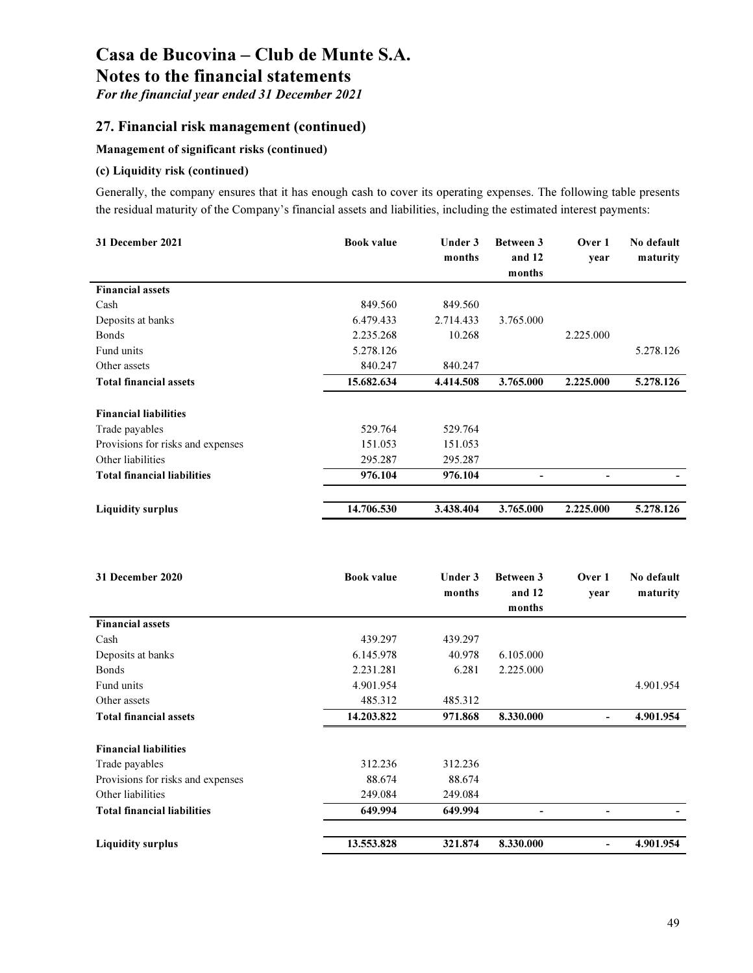For the financial year ended 31 December 2021

# 27. Financial risk management (continued)

## Management of significant risks (continued)

## (c) Liquidity risk (continued)

Generally, the company ensures that it has enough cash to cover its operating expenses. The following table presents the residual maturity of the Company's financial assets and liabilities, including the estimated interest payments:

| 31 December 2021                   | <b>Book value</b> | Under 3<br>months | <b>Between 3</b><br>and 12<br>months | Over 1<br>year | No default<br>maturity |
|------------------------------------|-------------------|-------------------|--------------------------------------|----------------|------------------------|
| <b>Financial assets</b>            |                   |                   |                                      |                |                        |
| Cash                               | 849.560           | 849.560           |                                      |                |                        |
| Deposits at banks                  | 6.479.433         | 2.714.433         | 3.765.000                            |                |                        |
| <b>Bonds</b>                       | 2.235.268         | 10.268            |                                      | 2.225.000      |                        |
| Fund units                         | 5.278.126         |                   |                                      |                | 5.278.126              |
| Other assets                       | 840.247           | 840.247           |                                      |                |                        |
| <b>Total financial assets</b>      | 15.682.634        | 4.414.508         | 3.765.000                            | 2.225.000      | 5.278.126              |
| <b>Financial liabilities</b>       |                   |                   |                                      |                |                        |
| Trade payables                     | 529.764           | 529.764           |                                      |                |                        |
| Provisions for risks and expenses  | 151.053           | 151.053           |                                      |                |                        |
| Other liabilities                  | 295.287           | 295.287           |                                      |                |                        |
| <b>Total financial liabilities</b> | 976.104           | 976.104           |                                      |                |                        |
| <b>Liquidity surplus</b>           | 14.706.530        | 3.438.404         | 3.765.000                            | 2.225.000      | 5.278.126              |

| 31 December 2020                   | <b>Book value</b> | Under 3 | <b>Between 3</b> | Over 1 | No default |
|------------------------------------|-------------------|---------|------------------|--------|------------|
|                                    |                   | months  | and 12           | year   | maturity   |
|                                    |                   |         | months           |        |            |
| <b>Financial assets</b>            |                   |         |                  |        |            |
| Cash                               | 439.297           | 439.297 |                  |        |            |
| Deposits at banks                  | 6.145.978         | 40.978  | 6.105.000        |        |            |
| <b>Bonds</b>                       | 2.231.281         | 6.281   | 2.225.000        |        |            |
| Fund units                         | 4.901.954         |         |                  |        | 4.901.954  |
| Other assets                       | 485.312           | 485.312 |                  |        |            |
| <b>Total financial assets</b>      | 14.203.822        | 971.868 | 8.330.000        |        | 4.901.954  |
|                                    |                   |         |                  |        |            |
| <b>Financial liabilities</b>       |                   |         |                  |        |            |
| Trade payables                     | 312.236           | 312.236 |                  |        |            |
| Provisions for risks and expenses  | 88.674            | 88.674  |                  |        |            |
| Other liabilities                  | 249.084           | 249.084 |                  |        |            |
| <b>Total financial liabilities</b> | 649.994           | 649.994 |                  |        |            |
| <b>Liquidity surplus</b>           | 13.553.828        | 321.874 | 8.330.000        |        | 4.901.954  |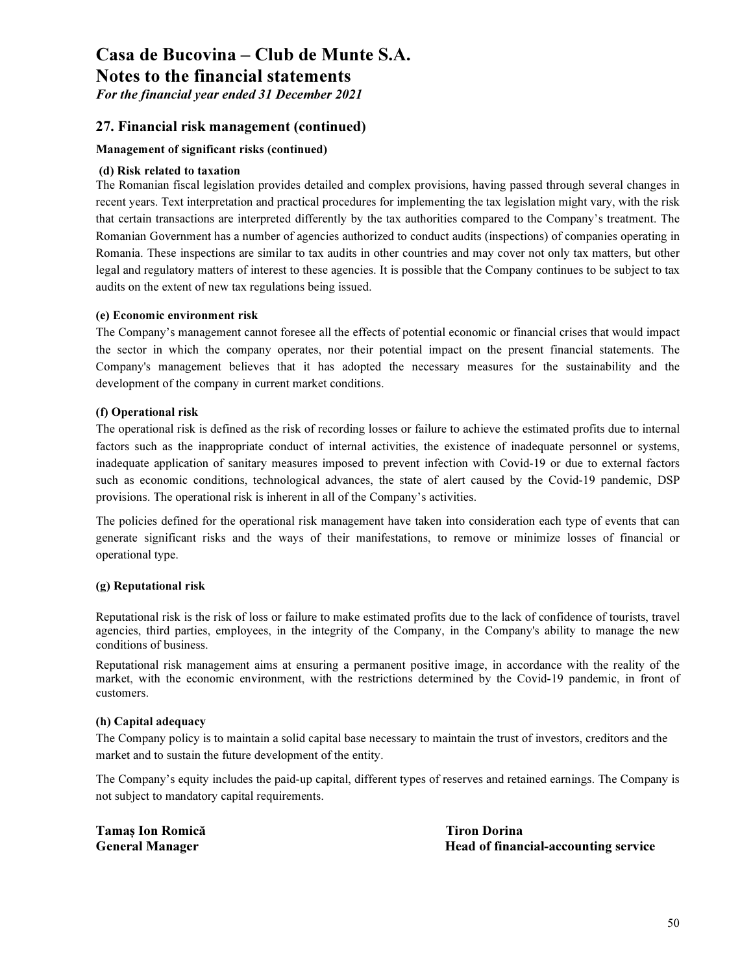For the financial year ended 31 December 2021

# 27. Financial risk management (continued)

## Management of significant risks (continued)

### (d) Risk related to taxation

The Romanian fiscal legislation provides detailed and complex provisions, having passed through several changes in recent years. Text interpretation and practical procedures for implementing the tax legislation might vary, with the risk that certain transactions are interpreted differently by the tax authorities compared to the Company's treatment. The Romanian Government has a number of agencies authorized to conduct audits (inspections) of companies operating in Romania. These inspections are similar to tax audits in other countries and may cover not only tax matters, but other legal and regulatory matters of interest to these agencies. It is possible that the Company continues to be subject to tax audits on the extent of new tax regulations being issued.

### (e) Economic environment risk

The Company's management cannot foresee all the effects of potential economic or financial crises that would impact the sector in which the company operates, nor their potential impact on the present financial statements. The Company's management believes that it has adopted the necessary measures for the sustainability and the development of the company in current market conditions.

## (f) Operational risk

The operational risk is defined as the risk of recording losses or failure to achieve the estimated profits due to internal factors such as the inappropriate conduct of internal activities, the existence of inadequate personnel or systems, inadequate application of sanitary measures imposed to prevent infection with Covid-19 or due to external factors such as economic conditions, technological advances, the state of alert caused by the Covid-19 pandemic, DSP provisions. The operational risk is inherent in all of the Company's activities.

The policies defined for the operational risk management have taken into consideration each type of events that can generate significant risks and the ways of their manifestations, to remove or minimize losses of financial or operational type.

### (g) Reputational risk

Reputational risk is the risk of loss or failure to make estimated profits due to the lack of confidence of tourists, travel agencies, third parties, employees, in the integrity of the Company, in the Company's ability to manage the new conditions of business.

Reputational risk management aims at ensuring a permanent positive image, in accordance with the reality of the market, with the economic environment, with the restrictions determined by the Covid-19 pandemic, in front of customers.

### (h) Capital adequacy

The Company policy is to maintain a solid capital base necessary to maintain the trust of investors, creditors and the market and to sustain the future development of the entity.

The Company's equity includes the paid-up capital, different types of reserves and retained earnings. The Company is not subject to mandatory capital requirements.

Tamaș Ion Romică Tiron Dorina

General Manager **Head of financial-accounting service Head of financial-accounting service**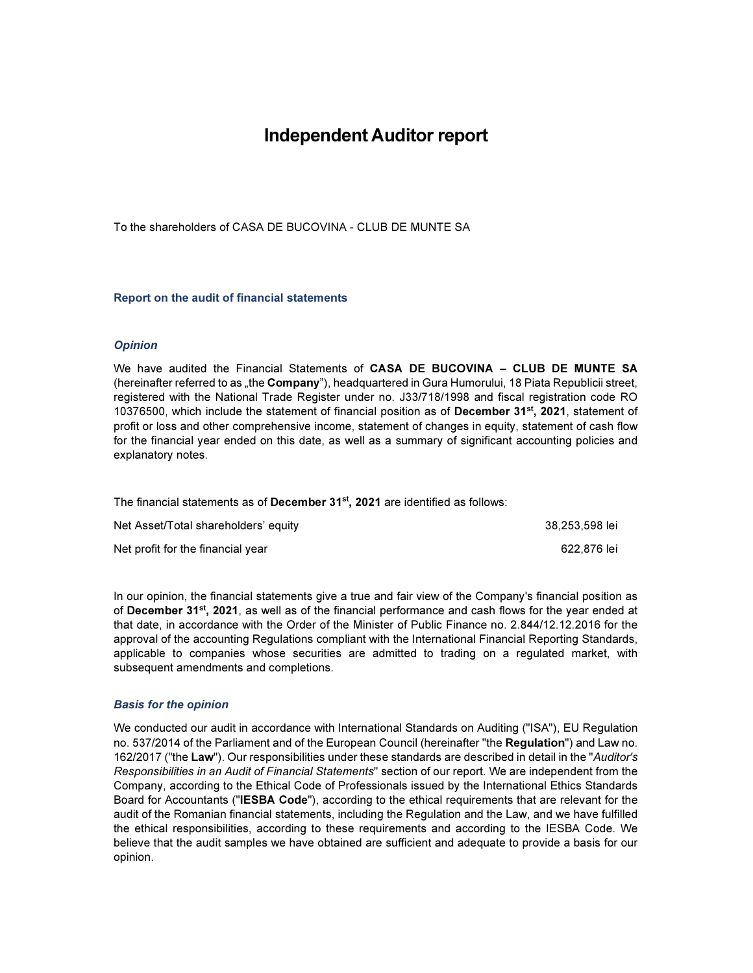# Independent Auditor report

To the shareholders of CASA DE BUCOVINA - CLUB DE MUNTE SA

### Report on the audit of financial statements

### **Opinion**

We have audited the Financial Statements of CASA DE BUCOVINA – CLUB DE MUNTE SA (hereinafter referred to as "the Company"), headquartered in Gura Humorului, 18 Piata Republicii street, registered with the National Trade Register under no. J33/718/1998 and fiscal registration code RO 10376500, which include the statement of financial position as of December 31<sup>st</sup>, 2021, statement of profit or loss and other comprehensive income, statement of changes in equity, statement of cash flow for the financial year ended on this date, as well as a summary of significant accounting policies and explanatory notes.

The financial statements as of December 31<sup>st</sup>, 2021 are identified as follows:

| Net Asset/Total shareholders' equity | 38.253.598 lei |
|--------------------------------------|----------------|
| Net profit for the financial year    | 622.876 lei    |

In our opinion, the financial statements give a true and fair view of the Company's financial position as of December 31<sup>st</sup>, 2021, as well as of the financial performance and cash flows for the year ended at that date, in accordance with the Order of the Minister of Public Finance no. 2.844/12.12.2016 for the approval of the accounting Regulations compliant with the International Financial Reporting Standards, applicable to companies whose securities are admitted to trading on a regulated market, with subsequent amendments and completions.

#### Basis for the opinion

We conducted our audit in accordance with International Standards on Auditing ("ISA"), EU Regulation no. 537/2014 of the Parliament and of the European Council (hereinafter "the Regulation") and Law no. 162/2017 ("the Law"). Our responsibilities under these standards are described in detail in the "Auditor's Responsibilities in an Audit of Financial Statements" section of our report. We are independent from the Company, according to the Ethical Code of Professionals issued by the International Ethics Standards Board for Accountants ("IESBA Code"), according to the ethical requirements that are relevant for the audit of the Romanian financial statements, including the Regulation and the Law, and we have fulfilled the ethical responsibilities, according to these requirements and according to the IESBA Code. We believe that the audit samples we have obtained are sufficient and adequate to provide a basis for our opinion.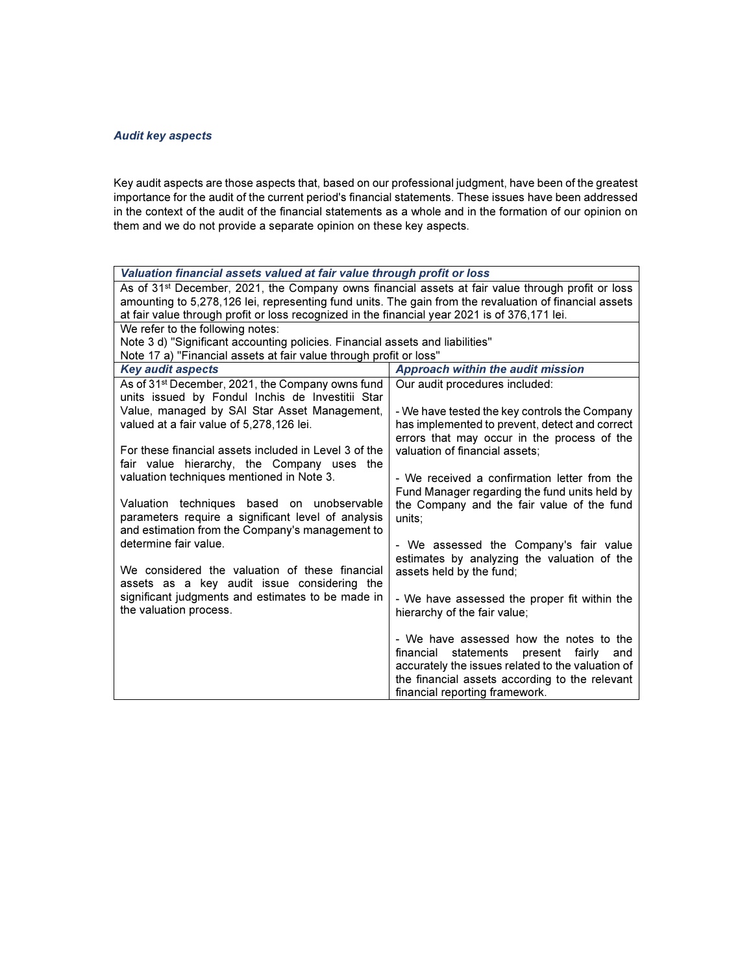## Audit key aspects

Key audit aspects are those aspects that, based on our professional judgment, have been of the greatest importance for the audit of the current period's financial statements. These issues have been addressed in the context of the audit of the financial statements as a whole and in the formation of our opinion on them and we do not provide a separate opinion on these key aspects.

| Valuation financial assets valued at fair value through profit or loss                                                                                                                                  |                                                                                       |  |
|---------------------------------------------------------------------------------------------------------------------------------------------------------------------------------------------------------|---------------------------------------------------------------------------------------|--|
| As of 31 <sup>st</sup> December, 2021, the Company owns financial assets at fair value through profit or loss                                                                                           |                                                                                       |  |
| amounting to 5,278,126 lei, representing fund units. The gain from the revaluation of financial assets<br>at fair value through profit or loss recognized in the financial year 2021 is of 376,171 lei. |                                                                                       |  |
| We refer to the following notes:                                                                                                                                                                        |                                                                                       |  |
| Note 3 d) "Significant accounting policies. Financial assets and liabilities"                                                                                                                           |                                                                                       |  |
| Note 17 a) "Financial assets at fair value through profit or loss"                                                                                                                                      |                                                                                       |  |
| <b>Key audit aspects</b>                                                                                                                                                                                | <b>Approach within the audit mission</b>                                              |  |
| As of 31 <sup>st</sup> December, 2021, the Company owns fund<br>units issued by Fondul Inchis de Investitii Star                                                                                        | Our audit procedures included:                                                        |  |
| Value, managed by SAI Star Asset Management,                                                                                                                                                            | - We have tested the key controls the Company                                         |  |
| valued at a fair value of 5,278,126 lei.                                                                                                                                                                | has implemented to prevent, detect and correct                                        |  |
|                                                                                                                                                                                                         | errors that may occur in the process of the                                           |  |
| For these financial assets included in Level 3 of the                                                                                                                                                   | valuation of financial assets;                                                        |  |
| fair value hierarchy, the Company uses the<br>valuation techniques mentioned in Note 3.                                                                                                                 | - We received a confirmation letter from the                                          |  |
|                                                                                                                                                                                                         | Fund Manager regarding the fund units held by                                         |  |
| Valuation techniques based on unobservable                                                                                                                                                              | the Company and the fair value of the fund                                            |  |
| parameters require a significant level of analysis                                                                                                                                                      | units;                                                                                |  |
| and estimation from the Company's management to<br>determine fair value.                                                                                                                                |                                                                                       |  |
|                                                                                                                                                                                                         | - We assessed the Company's fair value<br>estimates by analyzing the valuation of the |  |
| We considered the valuation of these financial                                                                                                                                                          | assets held by the fund;                                                              |  |
| assets as a key audit issue considering the                                                                                                                                                             |                                                                                       |  |
| significant judgments and estimates to be made in                                                                                                                                                       | - We have assessed the proper fit within the                                          |  |
| the valuation process.                                                                                                                                                                                  | hierarchy of the fair value;                                                          |  |
|                                                                                                                                                                                                         | - We have assessed how the notes to the                                               |  |
|                                                                                                                                                                                                         | financial<br>statements present fairly<br>and                                         |  |
|                                                                                                                                                                                                         | accurately the issues related to the valuation of                                     |  |
|                                                                                                                                                                                                         | the financial assets according to the relevant<br>financial reporting framework.      |  |
|                                                                                                                                                                                                         |                                                                                       |  |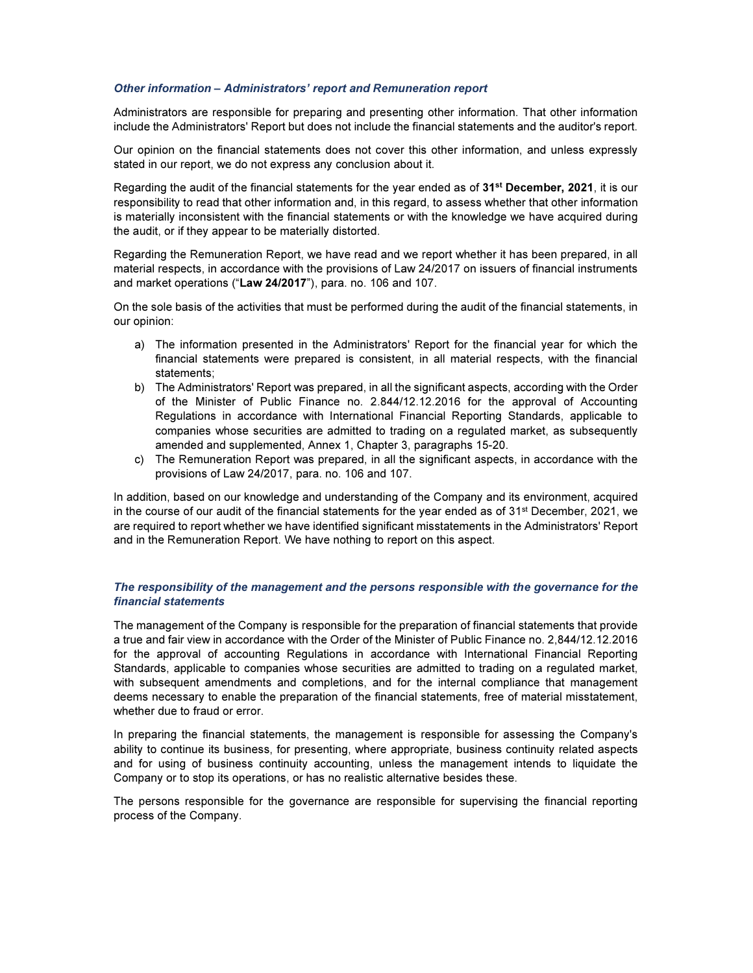### Other information – Administrators' report and Remuneration report

Administrators are responsible for preparing and presenting other information. That other information include the Administrators' Report but does not include the financial statements and the auditor's report.

Our opinion on the financial statements does not cover this other information, and unless expressly stated in our report, we do not express any conclusion about it.

Regarding the audit of the financial statements for the year ended as of  $31<sup>st</sup>$  December, 2021, it is our responsibility to read that other information and, in this regard, to assess whether that other information is materially inconsistent with the financial statements or with the knowledge we have acquired during the audit, or if they appear to be materially distorted.

Regarding the Remuneration Report, we have read and we report whether it has been prepared, in all material respects, in accordance with the provisions of Law 24/2017 on issuers of financial instruments and market operations ("Law 24/2017"), para. no. 106 and 107.

On the sole basis of the activities that must be performed during the audit of the financial statements, in our opinion:

- a) The information presented in the Administrators' Report for the financial year for which the financial statements were prepared is consistent, in all material respects, with the financial statements;
- b) The Administrators' Report was prepared, in all the significant aspects, according with the Order of the Minister of Public Finance no. 2.844/12.12.2016 for the approval of Accounting Regulations in accordance with International Financial Reporting Standards, applicable to companies whose securities are admitted to trading on a regulated market, as subsequently amended and supplemented, Annex 1, Chapter 3, paragraphs 15-20.
- c) The Remuneration Report was prepared, in all the significant aspects, in accordance with the provisions of Law 24/2017, para. no. 106 and 107.

In addition, based on our knowledge and understanding of the Company and its environment, acquired in the course of our audit of the financial statements for the year ended as of  $31<sup>st</sup>$  December, 2021, we are required to report whether we have identified significant misstatements in the Administrators' Report and in the Remuneration Report. We have nothing to report on this aspect.

### The responsibility of the management and the persons responsible with the governance for the financial statements

The management of the Company is responsible for the preparation of financial statements that provide a true and fair view in accordance with the Order of the Minister of Public Finance no. 2,844/12.12.2016 for the approval of accounting Regulations in accordance with International Financial Reporting Standards, applicable to companies whose securities are admitted to trading on a regulated market, with subsequent amendments and completions, and for the internal compliance that management deems necessary to enable the preparation of the financial statements, free of material misstatement, whether due to fraud or error.

In preparing the financial statements, the management is responsible for assessing the Company's ability to continue its business, for presenting, where appropriate, business continuity related aspects and for using of business continuity accounting, unless the management intends to liquidate the Company or to stop its operations, or has no realistic alternative besides these.

The persons responsible for the governance are responsible for supervising the financial reporting process of the Company.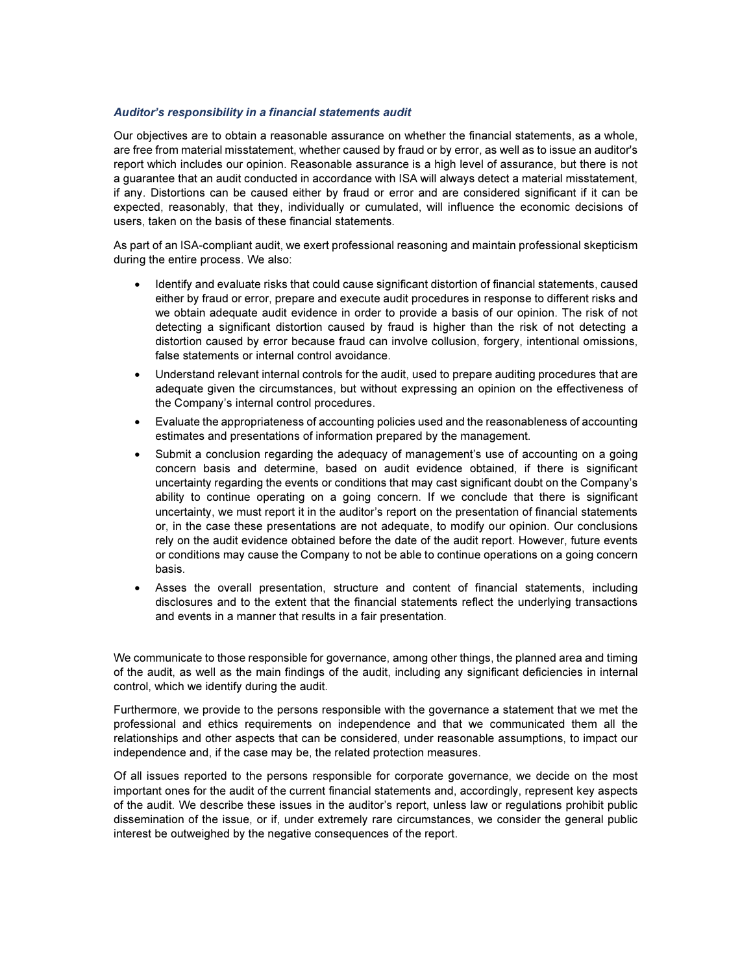### Auditor's responsibility in a financial statements audit

Our objectives are to obtain a reasonable assurance on whether the financial statements, as a whole, are free from material misstatement, whether caused by fraud or by error, as well as to issue an auditor's report which includes our opinion. Reasonable assurance is a high level of assurance, but there is not a guarantee that an audit conducted in accordance with ISA will always detect a material misstatement, if any. Distortions can be caused either by fraud or error and are considered significant if it can be expected, reasonably, that they, individually or cumulated, will influence the economic decisions of users, taken on the basis of these financial statements.

As part of an ISA-compliant audit, we exert professional reasoning and maintain professional skepticism during the entire process. We also:

- Identify and evaluate risks that could cause significant distortion of financial statements, caused either by fraud or error, prepare and execute audit procedures in response to different risks and we obtain adequate audit evidence in order to provide a basis of our opinion. The risk of not detecting a significant distortion caused by fraud is higher than the risk of not detecting a distortion caused by error because fraud can involve collusion, forgery, intentional omissions, false statements or internal control avoidance.
- Understand relevant internal controls for the audit, used to prepare auditing procedures that are adequate given the circumstances, but without expressing an opinion on the effectiveness of the Company's internal control procedures.
- Evaluate the appropriateness of accounting policies used and the reasonableness of accounting estimates and presentations of information prepared by the management.
- Submit a conclusion regarding the adequacy of management's use of accounting on a going concern basis and determine, based on audit evidence obtained, if there is significant uncertainty regarding the events or conditions that may cast significant doubt on the Company's ability to continue operating on a going concern. If we conclude that there is significant uncertainty, we must report it in the auditor's report on the presentation of financial statements or, in the case these presentations are not adequate, to modify our opinion. Our conclusions rely on the audit evidence obtained before the date of the audit report. However, future events or conditions may cause the Company to not be able to continue operations on a going concern basis.
- Asses the overall presentation, structure and content of financial statements, including disclosures and to the extent that the financial statements reflect the underlying transactions and events in a manner that results in a fair presentation.

We communicate to those responsible for governance, among other things, the planned area and timing of the audit, as well as the main findings of the audit, including any significant deficiencies in internal control, which we identify during the audit.

Furthermore, we provide to the persons responsible with the governance a statement that we met the professional and ethics requirements on independence and that we communicated them all the relationships and other aspects that can be considered, under reasonable assumptions, to impact our independence and, if the case may be, the related protection measures.

Of all issues reported to the persons responsible for corporate governance, we decide on the most important ones for the audit of the current financial statements and, accordingly, represent key aspects of the audit. We describe these issues in the auditor's report, unless law or regulations prohibit public dissemination of the issue, or if, under extremely rare circumstances, we consider the general public interest be outweighed by the negative consequences of the report.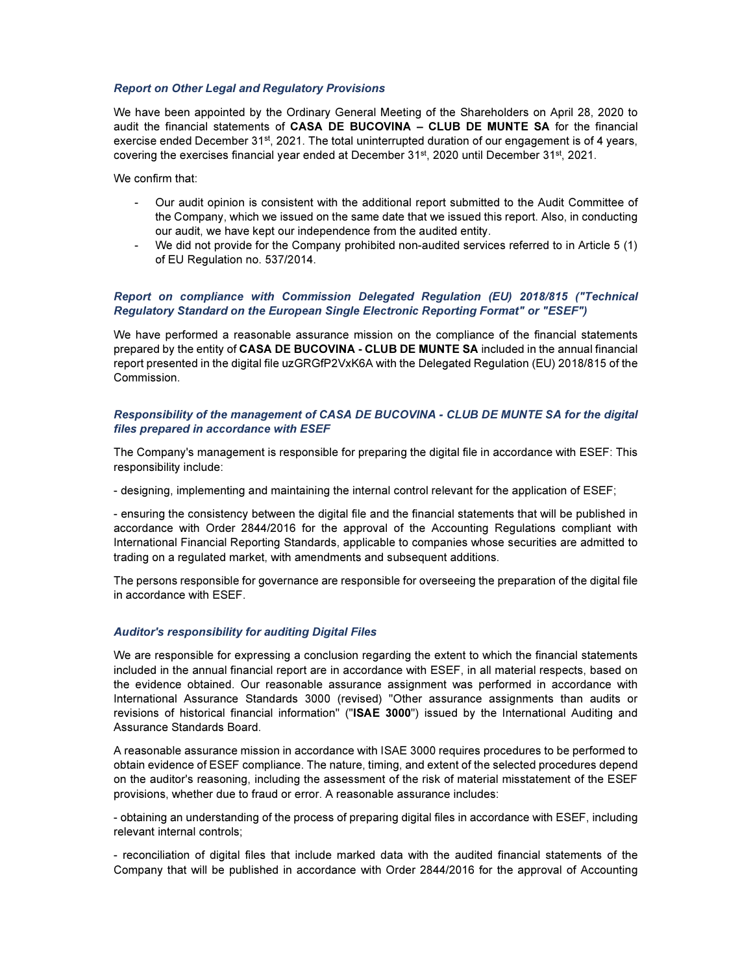### Report on Other Legal and Regulatory Provisions

We have been appointed by the Ordinary General Meeting of the Shareholders on April 28, 2020 to audit the financial statements of CASA DE BUCOVINA – CLUB DE MUNTE SA for the financial exercise ended December 31<sup>st</sup>, 2021. The total uninterrupted duration of our engagement is of 4 years, covering the exercises financial year ended at December 31st, 2020 until December 31st, 2021.

We confirm that:

- Our audit opinion is consistent with the additional report submitted to the Audit Committee of the Company, which we issued on the same date that we issued this report. Also, in conducting our audit, we have kept our independence from the audited entity.
- We did not provide for the Company prohibited non-audited services referred to in Article 5 (1) of EU Regulation no. 537/2014.

### Report on compliance with Commission Delegated Regulation (EU) 2018/815 ("Technical Regulatory Standard on the European Single Electronic Reporting Format" or "ESEF")

We have performed a reasonable assurance mission on the compliance of the financial statements prepared by the entity of CASA DE BUCOVINA - CLUB DE MUNTE SA included in the annual financial report presented in the digital file uzGRGfP2VxK6A with the Delegated Regulation (EU) 2018/815 of the Commission.

#### Responsibility of the management of CASA DE BUCOVINA - CLUB DE MUNTE SA for the digital files prepared in accordance with ESEF

The Company's management is responsible for preparing the digital file in accordance with ESEF: This responsibility include:

- designing, implementing and maintaining the internal control relevant for the application of ESEF;

- ensuring the consistency between the digital file and the financial statements that will be published in accordance with Order 2844/2016 for the approval of the Accounting Regulations compliant with International Financial Reporting Standards, applicable to companies whose securities are admitted to trading on a regulated market, with amendments and subsequent additions.

The persons responsible for governance are responsible for overseeing the preparation of the digital file in accordance with ESEF.

#### Auditor's responsibility for auditing Digital Files

We are responsible for expressing a conclusion regarding the extent to which the financial statements included in the annual financial report are in accordance with ESEF, in all material respects, based on the evidence obtained. Our reasonable assurance assignment was performed in accordance with International Assurance Standards 3000 (revised) "Other assurance assignments than audits or revisions of historical financial information" ("ISAE 3000") issued by the International Auditing and Assurance Standards Board.

A reasonable assurance mission in accordance with ISAE 3000 requires procedures to be performed to obtain evidence of ESEF compliance. The nature, timing, and extent of the selected procedures depend on the auditor's reasoning, including the assessment of the risk of material misstatement of the ESEF provisions, whether due to fraud or error. A reasonable assurance includes:

- obtaining an understanding of the process of preparing digital files in accordance with ESEF, including relevant internal controls;

- reconciliation of digital files that include marked data with the audited financial statements of the Company that will be published in accordance with Order 2844/2016 for the approval of Accounting